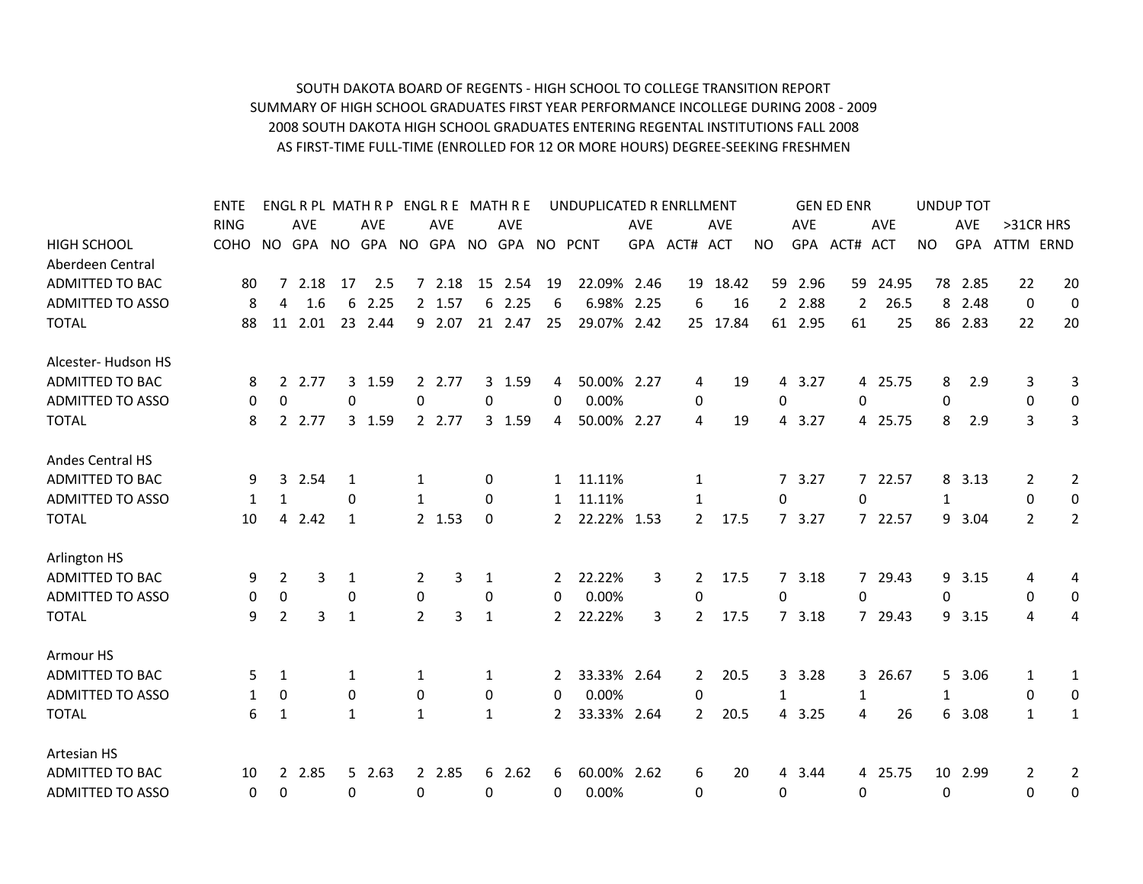## SOUTH DAKOTA BOARD OF REGENTS ‐ HIGH SCHOOL TO COLLEGE TRANSITION REPORT SUMMARY OF HIGH SCHOOL GRADUATES FIRST YEAR PERFORMANCE INCOLLEGE DURING 2008 ‐ 2009 2008 SOUTH DAKOTA HIGH SCHOOL GRADUATES ENTERING REGENTAL INSTITUTIONS FALL 2008 AS FIRST‐TIME FULL‐TIME (ENROLLED FOR 12 OR MORE HOURS) DEGREE‐SEEKING FRESHMEN

|                         | <b>ENTE</b> |                |            |    | ENGL R PL MATH R P ENGL R E MATH R E |                |            |              |            |              | UNDUPLICATED R ENRLLMENT         |            |                |            |                |            | <b>GEN ED ENR</b> |            | <b>UNDUP TOT</b> |            |                |                |
|-------------------------|-------------|----------------|------------|----|--------------------------------------|----------------|------------|--------------|------------|--------------|----------------------------------|------------|----------------|------------|----------------|------------|-------------------|------------|------------------|------------|----------------|----------------|
|                         | <b>RING</b> |                | <b>AVE</b> |    | <b>AVE</b>                           |                | <b>AVE</b> |              | <b>AVE</b> |              |                                  | <b>AVE</b> |                | <b>AVE</b> |                | <b>AVE</b> |                   | <b>AVE</b> |                  | <b>AVE</b> |                | >31CR HRS      |
| <b>HIGH SCHOOL</b>      | COHO NO     |                |            |    |                                      |                |            |              |            |              | GPA NO GPA NO GPA NO GPA NO PCNT |            | GPA ACT# ACT   |            | <b>NO</b>      | GPA        | ACT#              | <b>ACT</b> | <b>NO</b>        | GPA        | ATTM ERND      |                |
| Aberdeen Central        |             |                |            |    |                                      |                |            |              |            |              |                                  |            |                |            |                |            |                   |            |                  |            |                |                |
| <b>ADMITTED TO BAC</b>  | 80          | $7^{\circ}$    | 2.18       | 17 | 2.5                                  |                | 72.18      |              | 15 2.54    | 19           | 22.09% 2.46                      |            |                | 19 18.42   | 59             | 2.96       | 59                | 24.95      |                  | 78 2.85    | 22             | 20             |
| <b>ADMITTED TO ASSO</b> | 8           | 4              | 1.6        | 6  | 2.25                                 |                | 2 1.57     | 6            | 2.25       | 6            | 6.98%                            | 2.25       | 6              | 16         |                | 2 2.88     | $\overline{2}$    | 26.5       | 8                | 2.48       | 0              | 0              |
| <b>TOTAL</b>            | 88          | 11             | 2.01       |    | 23 2.44                              |                | 9 2.07     |              | 21 2.47    | 25           | 29.07% 2.42                      |            |                | 25 17.84   |                | 61 2.95    | 61                | 25         |                  | 86 2.83    | 22             | 20             |
| Alcester-Hudson HS      |             |                |            |    |                                      |                |            |              |            |              |                                  |            |                |            |                |            |                   |            |                  |            |                |                |
| ADMITTED TO BAC         | 8           | 2              | 2.77       |    | 3 1.59                               |                | 2 2.77     |              | 3 1.59     | 4            | 50.00% 2.27                      |            | 4              | 19         | 4              | 3.27       |                   | 4 25.75    | 8                | 2.9        | 3              | 3              |
| <b>ADMITTED TO ASSO</b> | 0           | $\mathbf 0$    |            | 0  |                                      | 0              |            | 0            |            | $\Omega$     | 0.00%                            |            | 0              |            | 0              |            | $\Omega$          |            | 0                |            | 0              | $\pmb{0}$      |
| <b>TOTAL</b>            | 8           |                | 2 2.77     |    | 3 1.59                               |                | 2 2.77     |              | 3 1.59     | 4            | 50.00% 2.27                      |            | 4              | 19         | $\overline{4}$ | 3.27       |                   | 4 25.75    | 8                | 2.9        | 3              | 3              |
| <b>Andes Central HS</b> |             |                |            |    |                                      |                |            |              |            |              |                                  |            |                |            |                |            |                   |            |                  |            |                |                |
| <b>ADMITTED TO BAC</b>  | 9           | 3              | 2.54       | 1  |                                      | 1              |            | 0            |            | $\mathbf{1}$ | 11.11%                           |            | 1              |            |                | 7 3.27     |                   | 7 22.57    | 8                | 3.13       | 2              | 2              |
| <b>ADMITTED TO ASSO</b> | 1           | 1              |            | 0  |                                      | 1              |            | $\Omega$     |            | 1            | 11.11%                           |            | 1              |            | $\Omega$       |            | 0                 |            | 1                |            | $\Omega$       | $\mathbf 0$    |
| <b>TOTAL</b>            | 10          | $\overline{4}$ | 2.42       | 1  |                                      |                | 2 1.53     | 0            |            | $\mathbf{2}$ | 22.22% 1.53                      |            | $\mathbf{2}$   | 17.5       |                | 73.27      |                   | 7 22.57    |                  | 9 3.04     | $\overline{2}$ | $\overline{2}$ |
| Arlington HS            |             |                |            |    |                                      |                |            |              |            |              |                                  |            |                |            |                |            |                   |            |                  |            |                |                |
| <b>ADMITTED TO BAC</b>  | 9           | 2              | 3          | 1  |                                      | 2              | 3          | 1            |            | $\mathbf{2}$ | 22.22%                           | 3          | $\overline{2}$ | 17.5       |                | 73.18      |                   | 7 29.43    |                  | 9 3.15     | 4              | 4              |
| <b>ADMITTED TO ASSO</b> | $\Omega$    | $\mathbf 0$    |            | 0  |                                      | $\mathbf 0$    |            | 0            |            | $\Omega$     | 0.00%                            |            | 0              |            | 0              |            | 0                 |            | $\Omega$         |            | $\Omega$       | 0              |
| <b>TOTAL</b>            | 9           | $\overline{2}$ | 3          | 1  |                                      | $\overline{2}$ | 3          | 1            |            | $\mathbf{2}$ | 22.22%                           | 3          | $\overline{2}$ | 17.5       |                | 73.18      |                   | 7 29.43    |                  | 9 3.15     | 4              | 4              |
| Armour HS               |             |                |            |    |                                      |                |            |              |            |              |                                  |            |                |            |                |            |                   |            |                  |            |                |                |
| <b>ADMITTED TO BAC</b>  | 5.          | 1              |            | 1  |                                      | 1              |            | 1            |            | 2            | 33.33% 2.64                      |            | $\overline{2}$ | 20.5       | 3              | 3.28       | 3 <sup>1</sup>    | 26.67      |                  | 5 3.06     | 1              | 1              |
| <b>ADMITTED TO ASSO</b> | 1           | $\mathbf{0}$   |            | 0  |                                      | $\mathbf{0}$   |            | 0            |            | $\Omega$     | 0.00%                            |            | 0              |            | 1              |            | 1                 |            | 1                |            | $\Omega$       | 0              |
| <b>TOTAL</b>            | 6           | 1              |            | 1  |                                      | 1              |            | $\mathbf{1}$ |            | 2            | 33.33% 2.64                      |            | $\mathbf{2}$   | 20.5       | 4              | 3.25       | 4                 | 26         | 6                | 3.08       | 1              | 1              |
| Artesian HS             |             |                |            |    |                                      |                |            |              |            |              |                                  |            |                |            |                |            |                   |            |                  |            |                |                |
| <b>ADMITTED TO BAC</b>  | 10          | $\mathbf{2}$   | 2.85       |    | 52.63                                |                | 2 2.85     |              | 62.62      | 6            | 60.00% 2.62                      |            | 6              | 20         | 4              | 3.44       |                   | 4 25.75    | 10               | 2.99       | 2              | 2              |
| <b>ADMITTED TO ASSO</b> | 0           | 0              |            | 0  |                                      | 0              |            | 0            |            | 0            | 0.00%                            |            | 0              |            | 0              |            | 0                 |            | 0                |            | $\Omega$       | 0              |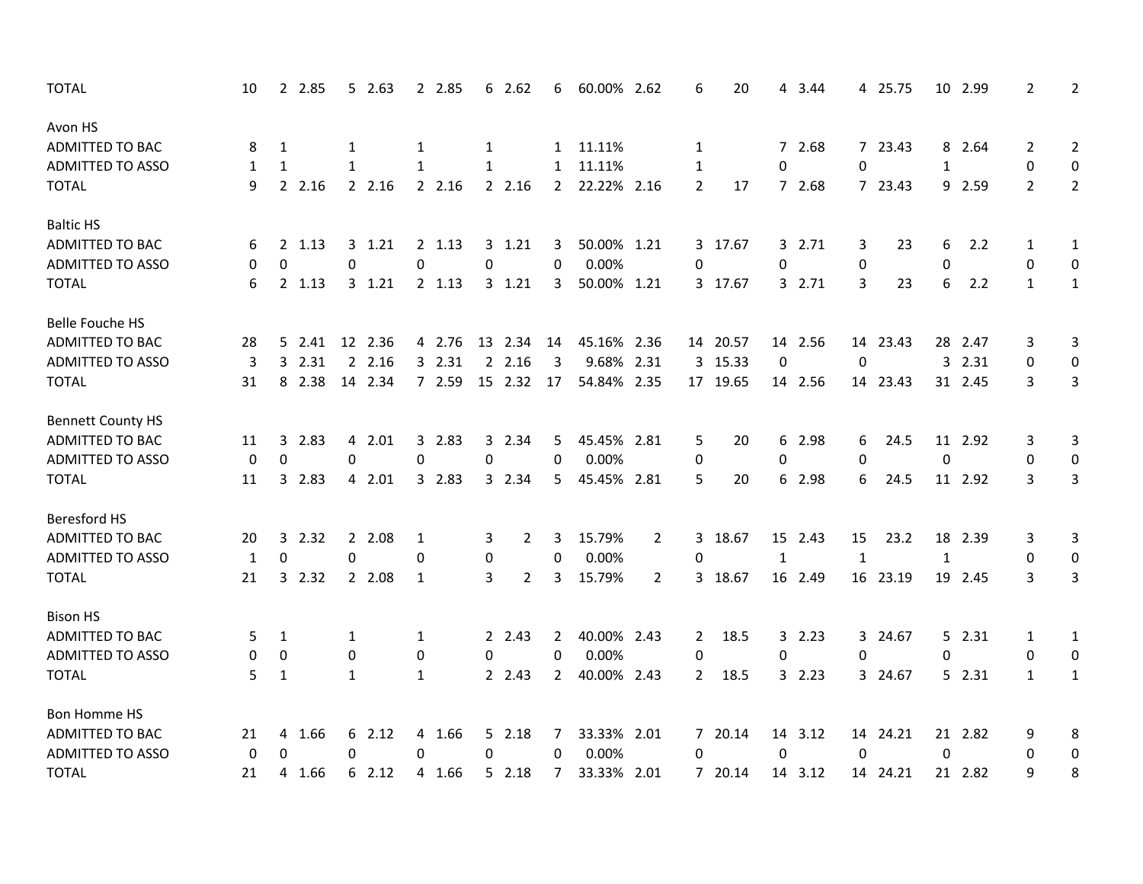| <b>TOTAL</b>             | 10 |                  | 2 2.85 |              | 52.63   |             | 2 2.85   |           | 62.62          | 6                | 60.00% 2.62 |                | 6              | 20       |              | 4 3.44  |              | 4 25.75  |              | 10 2.99 | $\overline{2}$ | 2              |
|--------------------------|----|------------------|--------|--------------|---------|-------------|----------|-----------|----------------|------------------|-------------|----------------|----------------|----------|--------------|---------|--------------|----------|--------------|---------|----------------|----------------|
| Avon HS                  |    |                  |        |              |         |             |          |           |                |                  |             |                |                |          |              |         |              |          |              |         |                |                |
| <b>ADMITTED TO BAC</b>   | 8  | 1                |        | 1            |         | 1           |          | 1         |                |                  | 1 11.11%    |                | 1              |          |              | 7 2.68  |              | 7 23.43  |              | 8 2.64  | 2              | $\overline{2}$ |
| <b>ADMITTED TO ASSO</b>  | 1  | 1                |        | 1            |         | 1           |          | 1         |                | $\mathbf{1}$     | 11.11%      |                | 1              |          | $\Omega$     |         | 0            |          | 1            |         | 0              | 0              |
| <b>TOTAL</b>             | 9  |                  | 2 2.16 |              | 2.16    |             | 2 2.16   |           | 2 2.16         | $2^{\circ}$      | 22.22% 2.16 |                | $\overline{2}$ | 17       |              | 7 2.68  |              | 7 23.43  |              | 9 2.59  | $\overline{2}$ | $\overline{2}$ |
| <b>Baltic HS</b>         |    |                  |        |              |         |             |          |           |                |                  |             |                |                |          |              |         |              |          |              |         |                |                |
| ADMITTED TO BAC          | 6  |                  | 2 1.13 |              | 3, 1.21 |             | $2$ 1.13 |           | 3 1.21         | 3                | 50.00% 1.21 |                |                | 3 17.67  |              | 3 2.71  | 3            | 23       | 6            | 2.2     | 1              | 1              |
| <b>ADMITTED TO ASSO</b>  | 0  | $\boldsymbol{0}$ |        | 0            |         | 0           |          | 0         |                | 0                | 0.00%       |                | $\Omega$       |          | 0            |         | 0            |          | 0            |         | 0              | 0              |
| <b>TOTAL</b>             | 6  |                  | 2 1.13 |              | 3, 1.21 |             | 2 1.13   |           | 3 1.21         | 3                | 50.00% 1.21 |                |                | 3 17.67  |              | 3 2.71  | 3            | 23       | 6            | 2.2     | $\mathbf{1}$   | $\mathbf{1}$   |
| <b>Belle Fouche HS</b>   |    |                  |        |              |         |             |          |           |                |                  |             |                |                |          |              |         |              |          |              |         |                |                |
| ADMITTED TO BAC          | 28 |                  | 5 2.41 |              | 12 2.36 |             | 4 2.76   |           | 13 2.34        | 14               | 45.16% 2.36 |                |                | 14 20.57 |              | 14 2.56 |              | 14 23.43 | 28           | 2.47    | 3              | 3              |
| <b>ADMITTED TO ASSO</b>  | 3  |                  | 3 2.31 |              | 2 2.16  |             | 3 2.31   |           | 2.16           | 3                | 9.68% 2.31  |                |                | 3 15.33  | 0            |         | 0            |          |              | 3 2.31  | 0              | 0              |
| <b>TOTAL</b>             | 31 |                  | 8 2.38 |              | 14 2.34 |             | 7 2.59   |           | 15 2.32        | 17               | 54.84% 2.35 |                |                | 17 19.65 |              | 14 2.56 |              | 14 23.43 |              | 31 2.45 | 3              | $\mathbf{3}$   |
| <b>Bennett County HS</b> |    |                  |        |              |         |             |          |           |                |                  |             |                |                |          |              |         |              |          |              |         |                |                |
| ADMITTED TO BAC          | 11 | 3                | 2.83   |              | 4 2.01  |             | 3 2.83   |           | 3 2.34         | 5.               | 45.45% 2.81 |                | 5              | 20       |              | 6 2.98  | 6            | 24.5     |              | 11 2.92 | 3              | 3              |
| <b>ADMITTED TO ASSO</b>  | 0  | 0                |        | 0            |         | 0           |          | 0         |                | $\mathbf 0$      | 0.00%       |                | 0              |          | 0            |         | $\mathbf 0$  |          | 0            |         | 0              | 0              |
| <b>TOTAL</b>             | 11 | 3                | 2.83   |              | 4 2.01  |             | 3 2.83   |           | 3 2.34         | 5                | 45.45% 2.81 |                | 5              | 20       |              | 6 2.98  | 6            | 24.5     |              | 11 2.92 | 3              | 3              |
| <b>Beresford HS</b>      |    |                  |        |              |         |             |          |           |                |                  |             |                |                |          |              |         |              |          |              |         |                |                |
| <b>ADMITTED TO BAC</b>   | 20 | 3                | 2.32   |              | 2 2.08  | 1           |          | 3         | 2              | 3                | 15.79%      | $\overline{2}$ |                | 3 18.67  |              | 15 2.43 | 15           | 23.2     | 18           | 2.39    | 3              | 3              |
| <b>ADMITTED TO ASSO</b>  | 1  | $\mathbf 0$      |        | $\mathbf 0$  |         | 0           |          | $\pmb{0}$ |                | $\boldsymbol{0}$ | 0.00%       |                | 0              |          | $\mathbf{1}$ |         | $\mathbf{1}$ |          | $\mathbf{1}$ |         | 0              | $\mathbf 0$    |
| <b>TOTAL</b>             | 21 |                  | 3 2.32 |              | 2 2.08  | 1           |          | 3         | $\overline{2}$ | 3                | 15.79%      | $\overline{2}$ |                | 3 18.67  |              | 16 2.49 |              | 16 23.19 |              | 19 2.45 | 3              | 3              |
| <b>Bison HS</b>          |    |                  |        |              |         |             |          |           |                |                  |             |                |                |          |              |         |              |          |              |         |                |                |
| ADMITTED TO BAC          | 5  | 1                |        | 1            |         | 1           |          |           | 2 2.43         | $\mathbf{2}$     | 40.00% 2.43 |                | 2              | 18.5     |              | 32.23   |              | 3 24.67  |              | 52.31   | 1              | $\mathbf{1}$   |
| <b>ADMITTED TO ASSO</b>  | 0  | 0                |        | 0            |         | $\mathbf 0$ |          | 0         |                | 0                | 0.00%       |                | 0              |          | $\mathbf 0$  |         | 0            |          | 0            |         | 0              | 0              |
| <b>TOTAL</b>             | 5  | 1                |        | $\mathbf{1}$ |         | 1           |          |           | 2 2.43         | $\mathbf{2}$     | 40.00% 2.43 |                | $\mathbf{2}$   | 18.5     |              | 32.23   |              | 3 24.67  |              | 52.31   | $\mathbf{1}$   | $\mathbf{1}$   |
| Bon Homme HS             |    |                  |        |              |         |             |          |           |                |                  |             |                |                |          |              |         |              |          |              |         |                |                |
| ADMITTED TO BAC          | 21 | 4                | 1.66   |              | 6 2.12  |             | 4 1.66   |           | 5 2.18         | 7                | 33.33% 2.01 |                |                | 7 20.14  |              | 14 3.12 |              | 14 24.21 |              | 21 2.82 | 9              | 8              |
| <b>ADMITTED TO ASSO</b>  | 0  | 0                |        | 0            |         | 0           |          | 0         |                | 0                | 0.00%       |                | 0              |          | $\mathbf 0$  |         | $\Omega$     |          | 0            |         | $\mathbf{0}$   | 0              |
| <b>TOTAL</b>             | 21 | 4                | 1.66   |              | 62.12   |             | 4 1.66   |           | 52.18          | $7^{\circ}$      | 33.33% 2.01 |                |                | 7 20.14  |              | 14 3.12 |              | 14 24.21 |              | 21 2.82 | 9              | 8              |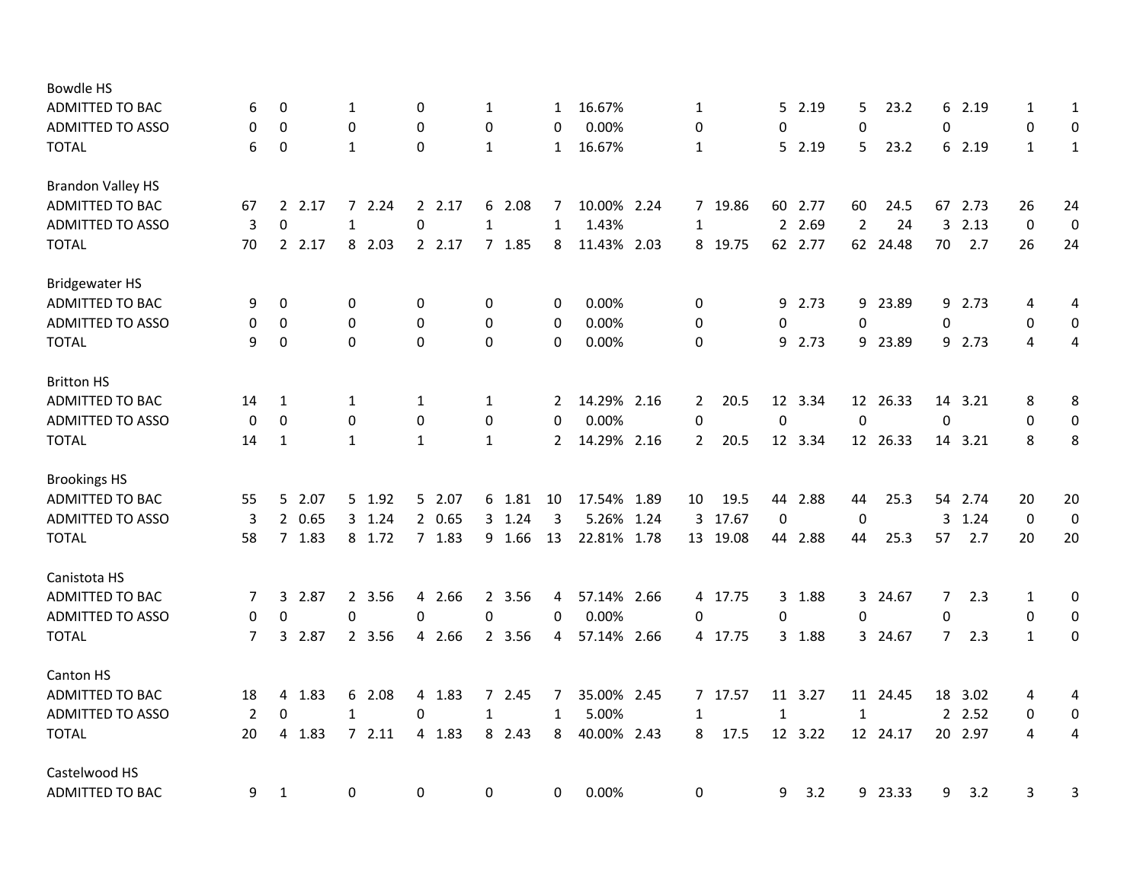| <b>Bowdle HS</b>         |                |                        |                  |              |              |                |             |      |                |          |              |         |                  |          |                |         |              |                  |
|--------------------------|----------------|------------------------|------------------|--------------|--------------|----------------|-------------|------|----------------|----------|--------------|---------|------------------|----------|----------------|---------|--------------|------------------|
| ADMITTED TO BAC          | 6              | 0                      | 1                | 0            | 1            | $\mathbf{1}$   | 16.67%      |      | 1              |          | 5.           | 2.19    | 5                | 23.2     | 6              | 2.19    | 1            | 1                |
| <b>ADMITTED TO ASSO</b>  | 0              | $\mathbf 0$            | 0                | $\Omega$     | 0            | $\mathbf 0$    | 0.00%       |      | 0              |          | 0            |         | 0                |          | 0              |         | 0            | 0                |
| <b>TOTAL</b>             | 6              | $\boldsymbol{0}$       | 1                | 0            | 1            | $\mathbf{1}$   | 16.67%      |      | 1              |          | 5.           | 2.19    | 5                | 23.2     |                | 6 2.19  | $\mathbf{1}$ | $\mathbf{1}$     |
| <b>Brandon Valley HS</b> |                |                        |                  |              |              |                |             |      |                |          |              |         |                  |          |                |         |              |                  |
| <b>ADMITTED TO BAC</b>   | 67             | $\overline{2}$<br>2.17 | 2.24<br>7        | 2 2.17       | 6 2.08       | 7              | 10.00% 2.24 |      | $7^{\circ}$    | 19.86    | 60           | 2.77    | 60               | 24.5     | 67             | 2.73    | 26           | 24               |
| <b>ADMITTED TO ASSO</b>  | 3              | $\mathbf 0$            | $\mathbf{1}$     | $\pmb{0}$    | $\mathbf{1}$ | $\mathbf{1}$   | 1.43%       |      | $\mathbf{1}$   |          |              | 2 2.69  | $\overline{2}$   | 24       | 3              | 2.13    | $\mathbf 0$  | 0                |
| <b>TOTAL</b>             | 70             | 2.17                   | 8 2.03           | 2 2.17       | 7 1.85       | 8              | 11.43% 2.03 |      |                | 8 19.75  |              | 62 2.77 |                  | 62 24.48 | 70             | 2.7     | 26           | 24               |
| <b>Bridgewater HS</b>    |                |                        |                  |              |              |                |             |      |                |          |              |         |                  |          |                |         |              |                  |
| ADMITTED TO BAC          | 9              | 0                      | 0                | 0            | 0            | 0              | 0.00%       |      | 0              |          |              | 9 2.73  |                  | 9 23.89  |                | 9 2.73  | 4            | 4                |
| <b>ADMITTED TO ASSO</b>  | 0              | 0                      | 0                | $\mathbf 0$  | 0            | 0              | 0.00%       |      | 0              |          | 0            |         | 0                |          | 0              |         | $\mathbf 0$  | 0                |
| <b>TOTAL</b>             | 9              | 0                      | 0                | $\mathbf{0}$ | $\mathbf 0$  | $\mathbf 0$    | 0.00%       |      | 0              |          |              | 9 2.73  |                  | 9 23.89  |                | 9 2.73  | 4            | 4                |
| <b>Britton HS</b>        |                |                        |                  |              |              |                |             |      |                |          |              |         |                  |          |                |         |              |                  |
| ADMITTED TO BAC          | 14             | 1                      | 1                | 1            | 1            | $\mathbf{2}$   | 14.29% 2.16 |      | $\mathbf{2}$   | 20.5     |              | 12 3.34 |                  | 12 26.33 |                | 14 3.21 | 8            | 8                |
| <b>ADMITTED TO ASSO</b>  | 0              | $\Omega$               | $\boldsymbol{0}$ | $\mathbf 0$  | 0            | 0              | 0.00%       |      | 0              |          | 0            |         | $\boldsymbol{0}$ |          | $\mathbf 0$    |         | 0            | $\boldsymbol{0}$ |
| <b>TOTAL</b>             | 14             | 1                      | 1                | $\mathbf{1}$ | $\mathbf{1}$ | $\overline{2}$ | 14.29% 2.16 |      | $\overline{2}$ | 20.5     |              | 12 3.34 |                  | 12 26.33 |                | 14 3.21 | 8            | 8                |
| <b>Brookings HS</b>      |                |                        |                  |              |              |                |             |      |                |          |              |         |                  |          |                |         |              |                  |
| <b>ADMITTED TO BAC</b>   | 55             | 5 2.07                 | 5 1.92           | 5 2.07       | 6 1.81       | 10             | 17.54%      | 1.89 | 10             | 19.5     |              | 44 2.88 | 44               | 25.3     |                | 54 2.74 | 20           | 20               |
| <b>ADMITTED TO ASSO</b>  | 3              | 2 0.65                 | 3 1.24           | 2 0.65       | 3 1.24       | 3              | 5.26%       | 1.24 | 3              | 17.67    | 0            |         | 0                |          | 3              | 1.24    | $\mathbf 0$  | 0                |
| <b>TOTAL</b>             | 58             | 7 1.83                 | 8 1.72           | 7 1.83       | 9 1.66       | 13             | 22.81%      | 1.78 |                | 13 19.08 |              | 44 2.88 | 44               | 25.3     | 57             | 2.7     | 20           | 20               |
| Canistota HS             |                |                        |                  |              |              |                |             |      |                |          |              |         |                  |          |                |         |              |                  |
| ADMITTED TO BAC          | 7              | 3 2.87                 | 2 3.56           | 4 2.66       | 2 3.56       | 4              | 57.14% 2.66 |      |                | 4 17.75  |              | 3 1.88  |                  | 3 24.67  | 7              | 2.3     | 1            | 0                |
| <b>ADMITTED TO ASSO</b>  | 0              | 0                      | $\mathbf 0$      | $\Omega$     | 0            | $\Omega$       | 0.00%       |      | 0              |          | 0            |         | 0                |          | 0              |         | 0            | 0                |
| <b>TOTAL</b>             | $\overline{7}$ | 3 2.87                 | 2 3.56           | 4 2.66       | 2 3.56       | 4              | 57.14% 2.66 |      |                | 4 17.75  |              | 3 1.88  |                  | 3 24.67  | $\overline{7}$ | 2.3     | $\mathbf{1}$ | 0                |
| Canton HS                |                |                        |                  |              |              |                |             |      |                |          |              |         |                  |          |                |         |              |                  |
| ADMITTED TO BAC          | 18             | 1.83<br>4              | 6<br>2.08        | 4 1.83       | 7 2.45       | 7              | 35.00% 2.45 |      |                | 7 17.57  |              | 11 3.27 |                  | 11 24.45 | 18             | 3.02    | 4            | 4                |
| <b>ADMITTED TO ASSO</b>  | 2              | 0                      | $\mathbf{1}$     | 0            | 1            | $\mathbf{1}$   | 5.00%       |      | 1              |          | $\mathbf{1}$ |         | $\mathbf{1}$     |          |                | 2 2.52  | 0            | 0                |
| <b>TOTAL</b>             | 20             | 4<br>1.83              | 72.11            | 4 1.83       | 8 2.43       | 8              | 40.00% 2.43 |      | 8              | 17.5     |              | 12 3.22 |                  | 12 24.17 |                | 20 2.97 | 4            | 4                |
| Castelwood HS            |                |                        |                  |              |              |                |             |      |                |          |              |         |                  |          |                |         |              |                  |
| <b>ADMITTED TO BAC</b>   | 9              | 1                      | 0                | 0            | 0            | 0              | 0.00%       |      | 0              |          | 9            | 3.2     |                  | 9 23.33  | 9              | 3.2     | 3            | 3                |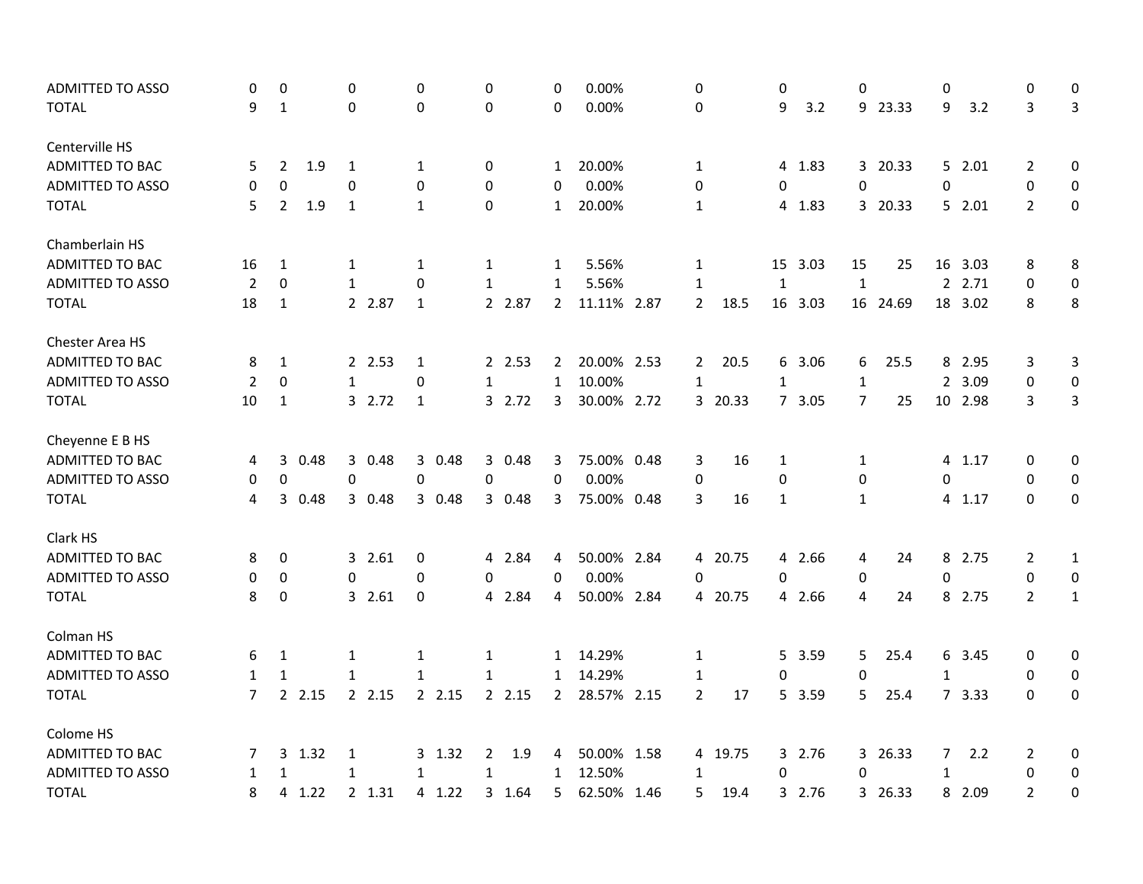| <b>ADMITTED TO ASSO</b><br>0   | 0              | 0                   |              | 0            | 0            |        | 0            | 0.00%       |      | 0              |         | 0            |         | 0              |          | 0              |         | 0              | 0                |
|--------------------------------|----------------|---------------------|--------------|--------------|--------------|--------|--------------|-------------|------|----------------|---------|--------------|---------|----------------|----------|----------------|---------|----------------|------------------|
| <b>TOTAL</b><br>9              | 1              | 0                   |              | 0            | $\mathbf 0$  |        | $\Omega$     | 0.00%       |      | 0              |         | 9            | 3.2     |                | 9 23.33  | 9              | 3.2     | 3              | 3                |
|                                |                |                     |              |              |              |        |              |             |      |                |         |              |         |                |          |                |         |                |                  |
| Centerville HS                 |                |                     |              |              |              |        |              |             |      |                |         |              |         |                |          |                |         |                |                  |
| <b>ADMITTED TO BAC</b><br>5    | $\overline{2}$ | 1.9<br>$\mathbf{1}$ |              | 1            | 0            |        | $\mathbf{1}$ | 20.00%      |      | $\mathbf{1}$   |         |              | 4 1.83  |                | 3 20.33  |                | 5 2.01  | 2              | 0                |
| <b>ADMITTED TO ASSO</b><br>0   | 0              | 0                   |              | 0            | $\mathbf 0$  |        | 0            | 0.00%       |      | 0              |         | 0            |         | 0              |          | 0              |         | 0              | 0                |
| <b>TOTAL</b><br>5              | $\overline{2}$ | 1.9<br>$\mathbf{1}$ |              | $\mathbf{1}$ | $\mathbf 0$  |        | $\mathbf{1}$ | 20.00%      |      | $\mathbf{1}$   |         |              | 4 1.83  |                | 3 20.33  |                | 52.01   | $\overline{2}$ | $\mathbf 0$      |
| Chamberlain HS                 |                |                     |              |              |              |        |              |             |      |                |         |              |         |                |          |                |         |                |                  |
| ADMITTED TO BAC<br>16          | $\mathbf{1}$   | 1                   |              | 1            | $\mathbf{1}$ |        | 1            | 5.56%       |      | 1              |         |              | 15 3.03 | 15             | 25       |                | 16 3.03 | 8              | 8                |
| <b>ADMITTED TO ASSO</b><br>2   | $\Omega$       |                     | $\mathbf{1}$ | $\Omega$     | $\mathbf{1}$ |        | 1            | 5.56%       |      | $\mathbf{1}$   |         | $\mathbf{1}$ |         | $\mathbf{1}$   |          |                | 2 2.71  | 0              | $\pmb{0}$        |
| <b>TOTAL</b><br>18             | 1              |                     | 2 2.87       | $\mathbf{1}$ |              | 2 2.87 | $2^{\circ}$  | 11.11% 2.87 |      | $2^{\circ}$    | 18.5    |              | 16 3.03 |                | 16 24.69 |                | 18 3.02 | 8              | 8                |
| Chester Area HS                |                |                     |              |              |              |        |              |             |      |                |         |              |         |                |          |                |         |                |                  |
| ADMITTED TO BAC<br>8           | 1              |                     | 2 2.53       | 1            |              | 2 2.53 | $2^{\circ}$  | 20.00% 2.53 |      | $\overline{2}$ | 20.5    |              | 6 3.06  | 6              | 25.5     |                | 8 2.95  | 3              | 3                |
| <b>ADMITTED TO ASSO</b><br>2   | 0              | $\mathbf{1}$        |              | 0            | $\mathbf{1}$ |        | $\mathbf{1}$ | 10.00%      |      | $\mathbf{1}$   |         | $\mathbf{1}$ |         | $\mathbf 1$    |          |                | 2 3.09  | 0              | $\pmb{0}$        |
| <b>TOTAL</b><br>10             | $\mathbf{1}$   |                     | 3 2.72       | $\mathbf{1}$ |              | 3 2.72 | 3            | 30.00% 2.72 |      |                | 3 20.33 |              | 7 3.05  | $\overline{7}$ | 25       |                | 10 2.98 | 3              | 3                |
| Cheyenne E B HS                |                |                     |              |              |              |        |              |             |      |                |         |              |         |                |          |                |         |                |                  |
| ADMITTED TO BAC<br>4           | 3              | 0.48                | 3 0.48       | 3 0.48       |              | 3 0.48 | 3            | 75.00% 0.48 |      | 3              | 16      | 1            |         | 1              |          |                | 4 1.17  | 0              | 0                |
| <b>ADMITTED TO ASSO</b><br>0   | 0              | 0                   |              | 0            | 0            |        | $\mathbf 0$  | 0.00%       |      | 0              |         | 0            |         | 0              |          | 0              |         | $\mathbf 0$    | 0                |
| <b>TOTAL</b><br>4              | 3              | 0.48                | 3 0.48       | 3 0.48       |              | 3 0.48 | 3            | 75.00% 0.48 |      | 3              | 16      | $\mathbf{1}$ |         | $\mathbf{1}$   |          |                | 4 1.17  | $\mathbf 0$    | 0                |
| Clark HS                       |                |                     |              |              |              |        |              |             |      |                |         |              |         |                |          |                |         |                |                  |
| <b>ADMITTED TO BAC</b><br>8    | 0              |                     | 3 2.61       | 0            |              | 4 2.84 | 4            | 50.00% 2.84 |      |                | 4 20.75 |              | 4 2.66  | 4              | 24       |                | 8 2.75  | 2              | $\mathbf{1}$     |
| <b>ADMITTED TO ASSO</b><br>0   | 0              | 0                   |              | 0            | 0            |        | 0            | 0.00%       |      | 0              |         | 0            |         | 0              |          | 0              |         | 0              | 0                |
| <b>TOTAL</b><br>8              | 0              |                     | 3 2.61       | 0            |              | 4 2.84 | 4            | 50.00% 2.84 |      |                | 4 20.75 |              | 4 2.66  | 4              | 24       |                | 8 2.75  | $\overline{2}$ | $\mathbf{1}$     |
| Colman HS                      |                |                     |              |              |              |        |              |             |      |                |         |              |         |                |          |                |         |                |                  |
| ADMITTED TO BAC<br>6           | 1              | 1                   |              | 1            | 1            |        | $\mathbf{1}$ | 14.29%      |      | 1              |         |              | 5 3.59  | 5              | 25.4     |                | 6 3.45  | 0              | 0                |
| ADMITTED TO ASSO<br>1          | 1              | $\mathbf{1}$        |              | $\mathbf{1}$ | $\mathbf{1}$ |        | 1            | 14.29%      |      | 1              |         | 0            |         | $\pmb{0}$      |          | $\mathbf{1}$   |         | 0              | 0                |
| <b>TOTAL</b><br>$\overline{7}$ | 2.15           |                     | 2 2.15       | 2 2.15       |              | 2.15   | $2^{\circ}$  | 28.57% 2.15 |      | $\overline{2}$ | 17      |              | 5 3.59  | 5 <sub>1</sub> | 25.4     |                | 7 3.33  | $\mathbf 0$    | $\boldsymbol{0}$ |
| Colome HS                      |                |                     |              |              |              |        |              |             |      |                |         |              |         |                |          |                |         |                |                  |
| ADMITTED TO BAC<br>7           | 3 1.32         | 1                   |              | 3 1.32       | 2            | 1.9    | 4            | 50.00% 1.58 |      |                | 4 19.75 |              | 3 2.76  |                | 3 26.33  | $\overline{7}$ | 2.2     | $\overline{2}$ | 0                |
| <b>ADMITTED TO ASSO</b><br>1   | 1              | $\mathbf{1}$        |              | $\mathbf{1}$ | $\mathbf{1}$ |        | $\mathbf{1}$ | 12.50%      |      | $\mathbf{1}$   |         | 0            |         | $\mathbf 0$    |          | $\mathbf{1}$   |         | 0              | 0                |
| <b>TOTAL</b><br>8              | 4 1.22         |                     | 2 1.31       | 4 1.22       |              | 3 1.64 | 5            | 62.50%      | 1.46 | 5              | 19.4    |              | 3 2.76  |                | 3 26.33  |                | 8 2.09  | $\overline{2}$ | 0                |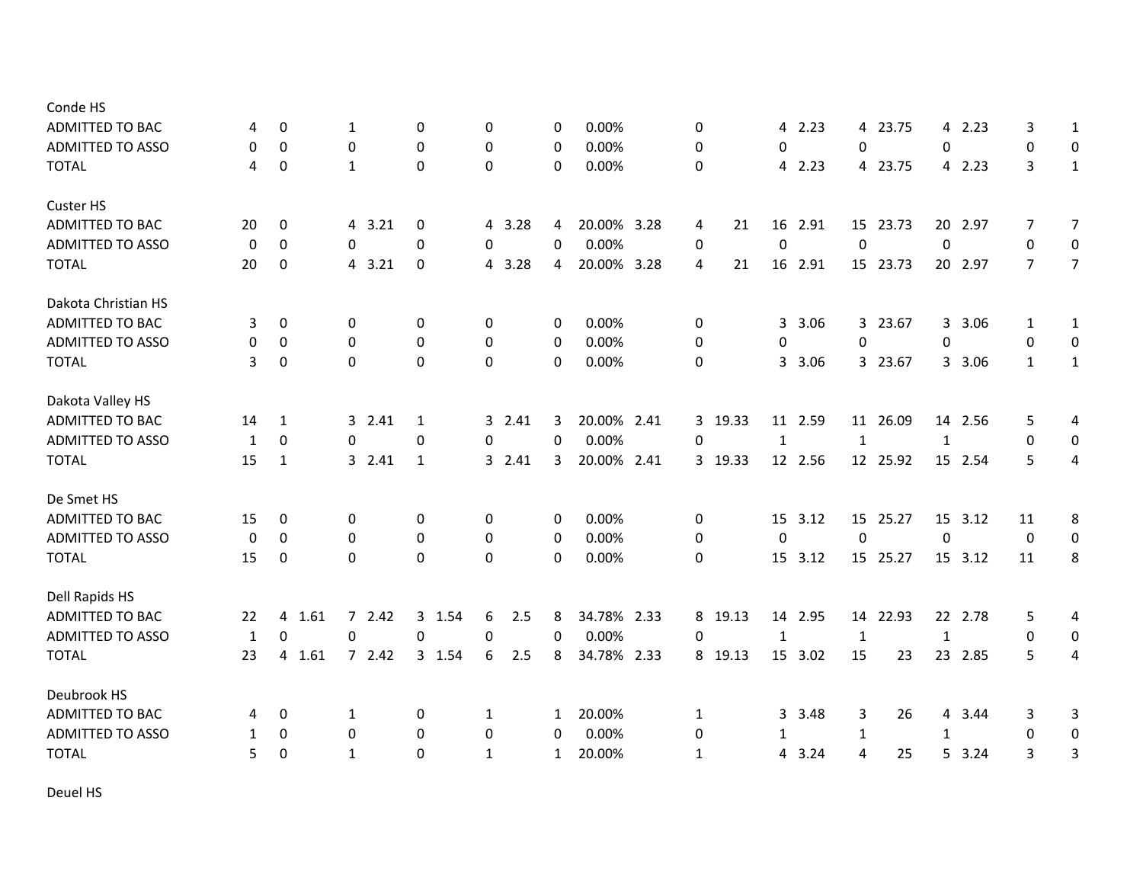| Conde HS                |    |                  |                  |              |             |              |             |              |         |              |         |              |          |              |         |                |                |
|-------------------------|----|------------------|------------------|--------------|-------------|--------------|-------------|--------------|---------|--------------|---------|--------------|----------|--------------|---------|----------------|----------------|
| <b>ADMITTED TO BAC</b>  | 4  | 0                | 1                | $\mathbf 0$  | $\mathbf 0$ | 0            | 0.00%       | 0            |         |              | 4 2.23  |              | 4 23.75  |              | 4 2.23  | 3              | 1              |
| <b>ADMITTED TO ASSO</b> | 0  | $\Omega$         | 0                | $\mathbf{0}$ | $\mathbf 0$ | $\mathbf{0}$ | 0.00%       | 0            |         | $\Omega$     |         | 0            |          | $\Omega$     |         | $\mathbf 0$    | 0              |
| <b>TOTAL</b>            | 4  | $\boldsymbol{0}$ | 1                | 0            | 0           | $\mathbf 0$  | 0.00%       | 0            |         |              | 4 2.23  |              | 4 23.75  |              | 4 2.23  | 3              | $\mathbf{1}$   |
| Custer HS               |    |                  |                  |              |             |              |             |              |         |              |         |              |          |              |         |                |                |
| ADMITTED TO BAC         | 20 | 0                | 4 3.21           | 0            | 4 3.28      | 4            | 20.00% 3.28 | 4            | 21      |              | 16 2.91 |              | 15 23.73 | 20           | 2.97    | $\overline{7}$ | $\overline{7}$ |
| <b>ADMITTED TO ASSO</b> | 0  | $\mathbf 0$      | 0                | $\mathbf 0$  | $\mathbf 0$ | $\mathbf 0$  | 0.00%       | 0            |         | $\mathbf 0$  |         | $\mathbf 0$  |          | 0            |         | 0              | 0              |
| <b>TOTAL</b>            | 20 | $\mathbf 0$      | 4 3.21           | $\mathbf 0$  | 4 3.28      | 4            | 20.00% 3.28 | 4            | 21      |              | 16 2.91 |              | 15 23.73 |              | 20 2.97 | $\overline{7}$ | $\overline{7}$ |
| Dakota Christian HS     |    |                  |                  |              |             |              |             |              |         |              |         |              |          |              |         |                |                |
| ADMITTED TO BAC         | 3  | $\boldsymbol{0}$ | 0                | 0            | 0           | 0            | 0.00%       | 0            |         | 3            | 3.06    |              | 3 23.67  |              | 3 3.06  | 1              | 1              |
| <b>ADMITTED TO ASSO</b> | 0  | 0                | 0                | $\mathbf 0$  | 0           | 0            | 0.00%       | 0            |         | 0            |         | $\mathbf 0$  |          | 0            |         | 0              | 0              |
| <b>TOTAL</b>            | 3  | $\mathbf 0$      | $\Omega$         | $\Omega$     | $\Omega$    | $\Omega$     | 0.00%       | 0            |         |              | 3 3.06  |              | 3 23.67  |              | 3 3.06  | $\mathbf{1}$   | $\mathbf{1}$   |
| Dakota Valley HS        |    |                  |                  |              |             |              |             |              |         |              |         |              |          |              |         |                |                |
| <b>ADMITTED TO BAC</b>  | 14 | 1                | 3 2.41           | 1            | 3 2.41      | 3            | 20.00% 2.41 |              | 3 19.33 |              | 11 2.59 |              | 11 26.09 |              | 14 2.56 | 5              | 4              |
| <b>ADMITTED TO ASSO</b> | 1  | $\boldsymbol{0}$ | 0                | $\pmb{0}$    | $\pmb{0}$   | 0            | 0.00%       | 0            |         | $\mathbf 1$  |         | $\mathbf 1$  |          | $\mathbf{1}$ |         | 0              | 0              |
| <b>TOTAL</b>            | 15 | $\mathbf{1}$     | 3 2.41           | $\mathbf{1}$ | 3 2.41      | 3            | 20.00% 2.41 |              | 3 19.33 |              | 12 2.56 |              | 12 25.92 |              | 15 2.54 | 5              | 4              |
| De Smet HS              |    |                  |                  |              |             |              |             |              |         |              |         |              |          |              |         |                |                |
| <b>ADMITTED TO BAC</b>  | 15 | 0                | 0                | 0            | 0           | 0            | 0.00%       | 0            |         | 15           | 3.12    |              | 15 25.27 | 15           | 3.12    | 11             | 8              |
| <b>ADMITTED TO ASSO</b> | 0  | $\boldsymbol{0}$ | $\boldsymbol{0}$ | $\mathbf 0$  | 0           | 0            | 0.00%       | 0            |         | $\mathbf 0$  |         | $\mathbf 0$  |          | $\mathbf 0$  |         | $\mathbf 0$    | 0              |
| <b>TOTAL</b>            | 15 | $\mathbf 0$      | $\mathbf 0$      | $\mathbf 0$  | $\Omega$    | $\Omega$     | 0.00%       | 0            |         |              | 15 3.12 |              | 15 25.27 |              | 15 3.12 | 11             | 8              |
| Dell Rapids HS          |    |                  |                  |              |             |              |             |              |         |              |         |              |          |              |         |                |                |
| ADMITTED TO BAC         | 22 | 1.61<br>4        | 72.42            | 3 1.54       | 6<br>2.5    | 8            | 34.78% 2.33 |              | 8 19.13 |              | 14 2.95 |              | 14 22.93 |              | 22 2.78 | 5              | 4              |
| <b>ADMITTED TO ASSO</b> | 1  | $\boldsymbol{0}$ | 0                | 0            | 0           | 0            | 0.00%       | 0            |         | $\mathbf{1}$ |         | $\mathbf{1}$ |          | $\mathbf{1}$ |         | 0              | 0              |
| <b>TOTAL</b>            | 23 | 1.61<br>4        | 72.42            | 3 1.54       | 6<br>2.5    | 8            | 34.78% 2.33 |              | 8 19.13 |              | 15 3.02 | 15           | 23       | 23           | 2.85    | 5              | 4              |
| Deubrook HS             |    |                  |                  |              |             |              |             |              |         |              |         |              |          |              |         |                |                |
| ADMITTED TO BAC         | 4  | 0                | 1                | 0            | 1           | $\mathbf{1}$ | 20.00%      | 1            |         | 3            | 3.48    | 3            | 26       | 4            | 3.44    | 3              | 3              |
| <b>ADMITTED TO ASSO</b> | 1  | 0                | 0                | $\mathbf 0$  | 0           | 0            | 0.00%       | 0            |         | $\mathbf{1}$ |         | $\mathbf{1}$ |          | $\mathbf{1}$ |         | 0              | 0              |
| <b>TOTAL</b>            | 5  | $\Omega$         | $\mathbf{1}$     | $\mathbf{0}$ | 1           | $\mathbf{1}$ | 20.00%      | $\mathbf{1}$ |         | 4            | 3.24    | 4            | 25       | 5.           | 3.24    | 3              | 3              |

Deuel HS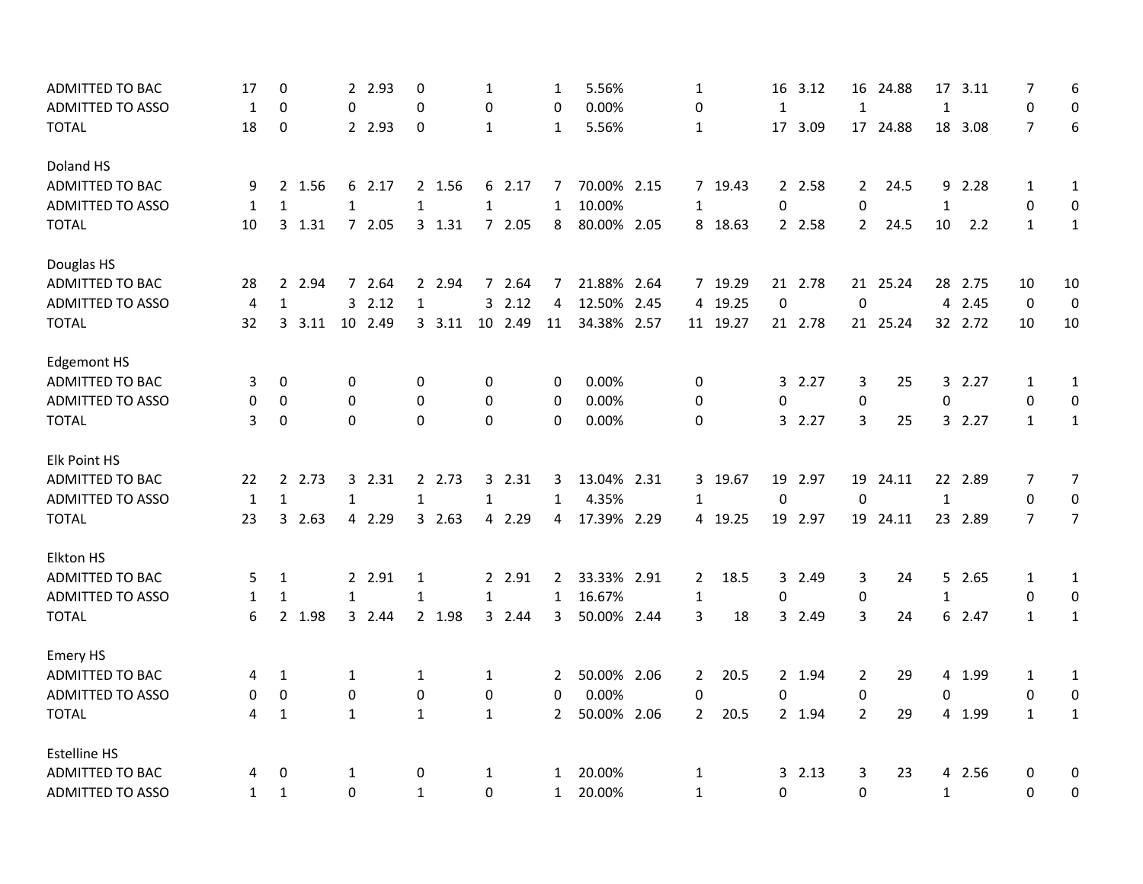| ADMITTED TO BAC<br>17                   | $\pmb{0}$    |        | $\overline{2}$ | 2.93    | $\pmb{0}$    |         | 1            |         | 1              | 5.56%       | 1              |          | 16           | 3.12    | 16             | 24.88    | 17             | 3.11    | 7              | 6              |
|-----------------------------------------|--------------|--------|----------------|---------|--------------|---------|--------------|---------|----------------|-------------|----------------|----------|--------------|---------|----------------|----------|----------------|---------|----------------|----------------|
| <b>ADMITTED TO ASSO</b><br>1            | $\mathbf 0$  |        | 0              |         | $\mathbf 0$  |         | 0            |         | $\mathbf 0$    | 0.00%       | 0              |          | $\mathbf{1}$ |         | $\mathbf{1}$   |          | $\mathbf{1}$   |         | $\mathbf 0$    | 0              |
| <b>TOTAL</b><br>18                      | $\mathbf 0$  |        |                | 2 2.93  | $\mathbf 0$  |         | $\mathbf{1}$ |         | $\mathbf{1}$   | 5.56%       | 1              |          | 17           | 3.09    |                | 17 24.88 |                | 18 3.08 | $\overline{7}$ | 6              |
| Doland HS                               |              |        |                |         |              |         |              |         |                |             |                |          |              |         |                |          |                |         |                |                |
| ADMITTED TO BAC<br>9                    |              | 2 1.56 | 6              | 2.17    |              | 2 1.56  |              | 6 2.17  | 7              | 70.00% 2.15 |                | 7 19.43  |              | 2 2.58  | $\mathbf{2}$   | 24.5     | 9              | 2.28    | 1              | $\mathbf{1}$   |
| <b>ADMITTED TO ASSO</b><br>1            | $\mathbf{1}$ |        | $\mathbf{1}$   |         | $\mathbf{1}$ |         | $\mathbf{1}$ |         | $\mathbf{1}$   | 10.00%      | $\mathbf{1}$   |          | 0            |         | 0              |          | $\mathbf{1}$   |         | $\mathbf 0$    | 0              |
| <b>TOTAL</b><br>10                      |              | 3 1.31 |                | 7 2.05  |              | 3 1.31  |              | 7 2.05  | 8              | 80.00% 2.05 |                | 8 18.63  |              | 2 2.58  | $\overline{2}$ | 24.5     | 10             | 2.2     | $\mathbf{1}$   | $\mathbf{1}$   |
| Douglas HS                              |              |        |                |         |              |         |              |         |                |             |                |          |              |         |                |          |                |         |                |                |
| ADMITTED TO BAC<br>28                   |              | 2 2.94 |                | 7 2.64  |              | 2 2.94  |              | 7 2.64  | 7              | 21.88% 2.64 |                | 7 19.29  |              | 21 2.78 |                | 21 25.24 |                | 28 2.75 | 10             | 10             |
| <b>ADMITTED TO ASSO</b><br>4            | $\mathbf{1}$ |        |                | 32.12   | $\mathbf{1}$ |         |              | 32.12   | 4              | 12.50% 2.45 |                | 4 19.25  | $\mathbf 0$  |         | $\Omega$       |          | $\overline{4}$ | 2.45    | $\mathbf 0$    | $\mathbf 0$    |
| <b>TOTAL</b><br>32                      | 3            | 3.11   |                | 10 2.49 |              | 3, 3.11 |              | 10 2.49 | 11             | 34.38% 2.57 |                | 11 19.27 |              | 21 2.78 |                | 21 25.24 |                | 32 2.72 | 10             | 10             |
| <b>Edgemont HS</b>                      |              |        |                |         |              |         |              |         |                |             |                |          |              |         |                |          |                |         |                |                |
| ADMITTED TO BAC<br>3                    | $\mathbf{0}$ |        | 0              |         | 0            |         | 0            |         | 0              | 0.00%       | 0              |          |              | 3 2.27  | 3              | 25       |                | 3 2.27  | $\mathbf{1}$   | $\mathbf{1}$   |
| <b>ADMITTED TO ASSO</b><br>0            | $\mathbf 0$  |        | $\Omega$       |         | $\Omega$     |         | $\mathbf 0$  |         | $\Omega$       | 0.00%       | 0              |          | 0            |         | 0              |          | 0              |         | $\Omega$       | 0              |
| <b>TOTAL</b><br>3                       | 0            |        | $\Omega$       |         | $\Omega$     |         | $\Omega$     |         | $\Omega$       | 0.00%       | 0              |          |              | 32.27   | 3              | 25       |                | 32.27   | $\mathbf{1}$   | $\mathbf{1}$   |
| Elk Point HS                            |              |        |                |         |              |         |              |         |                |             |                |          |              |         |                |          |                |         |                |                |
| ADMITTED TO BAC<br>22                   |              | 2 2.73 |                | 3 2.31  |              | 2 2.73  |              | 3 2.31  | 3              | 13.04% 2.31 |                | 3 19.67  |              | 19 2.97 |                | 19 24.11 |                | 22 2.89 | 7              | 7              |
| <b>ADMITTED TO ASSO</b><br>$\mathbf{1}$ | $\mathbf{1}$ |        | $\mathbf{1}$   |         | $\mathbf{1}$ |         | $\mathbf{1}$ |         | $\mathbf{1}$   | 4.35%       | 1              |          | $\Omega$     |         | $\Omega$       |          | $\mathbf{1}$   |         | $\mathbf 0$    | 0              |
| <b>TOTAL</b><br>23                      |              | 3 2.63 |                | 4 2.29  |              | 32.63   |              | 4 2.29  | 4              | 17.39% 2.29 |                | 4 19.25  |              | 19 2.97 |                | 19 24.11 |                | 23 2.89 | $\overline{7}$ | $\overline{7}$ |
| Elkton HS                               |              |        |                |         |              |         |              |         |                |             |                |          |              |         |                |          |                |         |                |                |
| ADMITTED TO BAC<br>5                    | $\mathbf{1}$ |        |                | 2 2.91  | 1            |         |              | 2 2.91  | 2              | 33.33% 2.91 | $\mathbf{2}$   | 18.5     |              | 3 2.49  | 3              | 24       |                | 5 2.65  | 1              | $\mathbf{1}$   |
| <b>ADMITTED TO ASSO</b><br>1            | $\mathbf{1}$ |        | $\mathbf{1}$   |         | $\mathbf{1}$ |         | $\mathbf{1}$ |         | $\mathbf{1}$   | 16.67%      | $\mathbf{1}$   |          | 0            |         | 0              |          | $\mathbf{1}$   |         | 0              | 0              |
| 6<br><b>TOTAL</b>                       |              | 2 1.98 |                | 3 2.44  |              | 2 1.98  |              | 3 2.44  | 3              | 50.00% 2.44 | 3              | 18       |              | 3 2.49  | 3              | 24       |                | 6 2.47  | $\mathbf{1}$   | $\mathbf{1}$   |
| Emery HS                                |              |        |                |         |              |         |              |         |                |             |                |          |              |         |                |          |                |         |                |                |
| ADMITTED TO BAC<br>4                    | $\mathbf{1}$ |        | $\mathbf{1}$   |         | 1            |         | 1            |         | 2              | 50.00% 2.06 | $\mathbf{2}$   | 20.5     |              | 2 1.94  | $\overline{2}$ | 29       |                | 4 1.99  | 1              | $\mathbf{1}$   |
| <b>ADMITTED TO ASSO</b><br>0            | $\mathbf 0$  |        | 0              |         | $\mathbf 0$  |         | 0            |         | $\mathbf 0$    | 0.00%       | 0              |          | 0            |         | 0              |          | 0              |         | $\pmb{0}$      | 0              |
| <b>TOTAL</b><br>4                       | $\mathbf{1}$ |        | $\mathbf{1}$   |         | $\mathbf{1}$ |         | $\mathbf{1}$ |         | $\overline{2}$ | 50.00% 2.06 | $\overline{2}$ | 20.5     |              | 2 1.94  | $\overline{2}$ | 29       |                | 4 1.99  | $\mathbf{1}$   | $\mathbf{1}$   |
| <b>Estelline HS</b>                     |              |        |                |         |              |         |              |         |                |             |                |          |              |         |                |          |                |         |                |                |
| ADMITTED TO BAC<br>4                    | 0            |        | 1              |         | 0            |         | 1            |         | $\mathbf{1}$   | 20.00%      | 1              |          | $3 -$        | 2.13    | 3              | 23       |                | 4 2.56  | 0              | 0              |
| <b>ADMITTED TO ASSO</b><br>$\mathbf{1}$ | $\mathbf{1}$ |        | 0              |         | $\mathbf{1}$ |         | $\Omega$     |         | $\mathbf{1}$   | 20.00%      | $\mathbf{1}$   |          | $\Omega$     |         | $\Omega$       |          | $\mathbf{1}$   |         | $\Omega$       | 0              |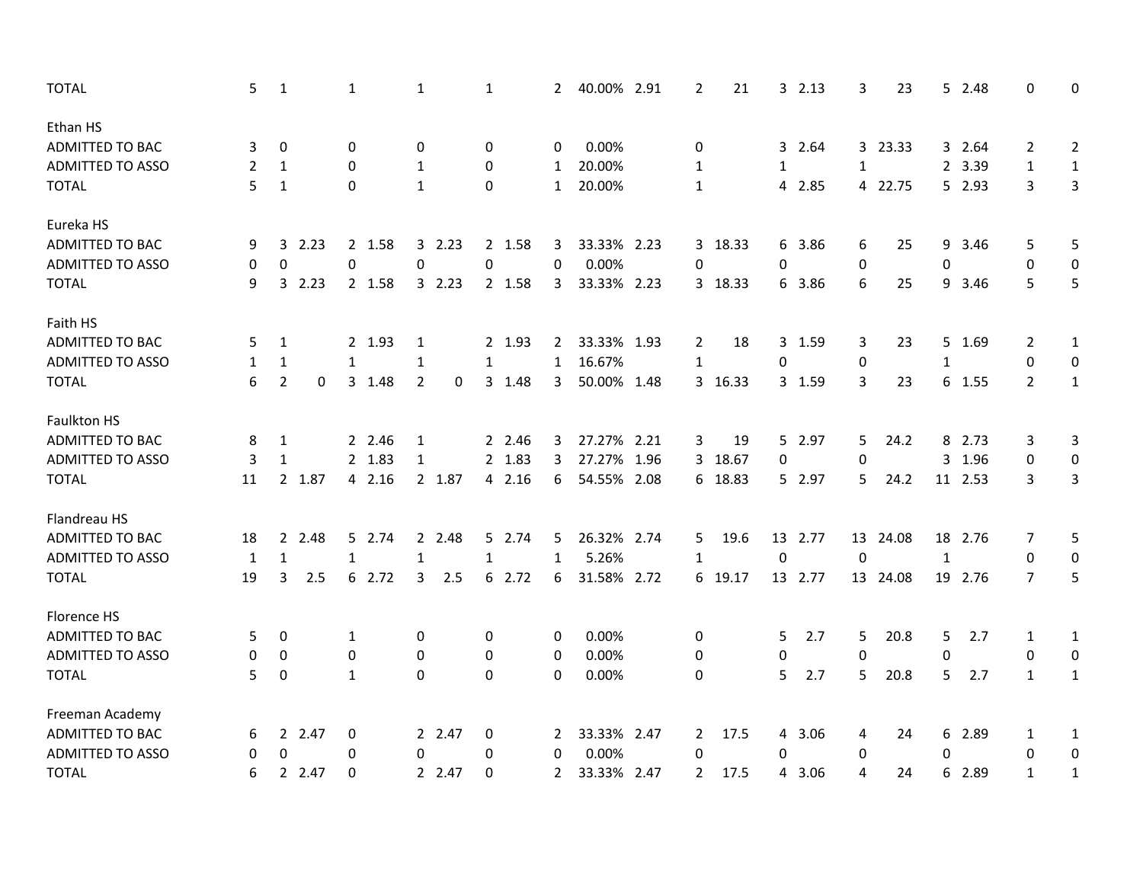| <b>TOTAL</b>            | 5  | $\mathbf 1$      |        | 1            |        | 1              |        | 1            |        | $\mathbf{2}$          | 40.00% 2.91 | $\overline{2}$ | 21      |              | 32.13   | 3           | 23       |              | 5 2.48  | 0              | 0              |
|-------------------------|----|------------------|--------|--------------|--------|----------------|--------|--------------|--------|-----------------------|-------------|----------------|---------|--------------|---------|-------------|----------|--------------|---------|----------------|----------------|
| Ethan HS                |    |                  |        |              |        |                |        |              |        |                       |             |                |         |              |         |             |          |              |         |                |                |
| <b>ADMITTED TO BAC</b>  | 3  | $\mathbf 0$      |        | 0            |        | 0              |        | 0            |        | 0                     | 0.00%       | 0              |         |              | 3 2.64  |             | 3 23.33  |              | 3 2.64  | 2              | 2              |
| <b>ADMITTED TO ASSO</b> | 2  | 1                |        | 0            |        | 1              |        | 0            |        | $\mathbf{1}$          | 20.00%      | $\mathbf{1}$   |         | $\mathbf{1}$ |         | 1           |          |              | 2 3.39  | $\mathbf{1}$   | $\mathbf{1}$   |
| <b>TOTAL</b>            | 5  | 1                |        | 0            |        | 1              |        | $\mathbf 0$  |        | $\mathbf{1}$          | 20.00%      | 1              |         |              | 4 2.85  |             | 4 22.75  |              | 5 2.93  | 3              | $\overline{3}$ |
| Eureka HS               |    |                  |        |              |        |                |        |              |        |                       |             |                |         |              |         |             |          |              |         |                |                |
| ADMITTED TO BAC         | 9  | 3                | 2.23   | $2^{\circ}$  | 1.58   |                | 32.23  |              | 2 1.58 | 3                     | 33.33% 2.23 |                | 3 18.33 | 6            | 3.86    | 6           | 25       | 9            | 3.46    | 5              | 5              |
| <b>ADMITTED TO ASSO</b> | 0  | 0                |        | $\mathbf 0$  |        | 0              |        | $\pmb{0}$    |        | $\mathbf 0$           | 0.00%       | 0              |         | 0            |         | 0           |          | 0            |         | 0              | 0              |
| <b>TOTAL</b>            | 9  | 3                | 2.23   |              | 2 1.58 |                | 32.23  |              | 2 1.58 | 3                     | 33.33% 2.23 |                | 3 18.33 |              | 6 3.86  | 6           | 25       | 9            | 3.46    | 5              | 5              |
| Faith HS                |    |                  |        |              |        |                |        |              |        |                       |             |                |         |              |         |             |          |              |         |                |                |
| ADMITTED TO BAC         | 5  | 1                |        |              | 2 1.93 | 1              |        |              | 2 1.93 | $\mathbf{2}^{\prime}$ | 33.33% 1.93 | 2              | 18      |              | 3 1.59  | 3           | 23       | 5            | 1.69    | 2              | 1              |
| <b>ADMITTED TO ASSO</b> | 1  | $\mathbf{1}$     |        | 1            |        | 1              |        | 1            |        | $\mathbf{1}$          | 16.67%      | $\mathbf{1}$   |         | 0            |         | 0           |          | $\mathbf{1}$ |         | 0              | 0              |
| <b>TOTAL</b>            | 6  | $\overline{2}$   | 0      |              | 3 1.48 | $\overline{2}$ | 0      | $\mathbf{3}$ | 1.48   | 3                     | 50.00% 1.48 |                | 3 16.33 |              | 3 1.59  | 3           | 23       |              | 6 1.55  | $\overline{2}$ | $\mathbf{1}$   |
| <b>Faulkton HS</b>      |    |                  |        |              |        |                |        |              |        |                       |             |                |         |              |         |             |          |              |         |                |                |
| <b>ADMITTED TO BAC</b>  | 8  | 1                |        |              | 2 2.46 | 1              |        |              | 2 2.46 | 3                     | 27.27% 2.21 | 3              | 19      |              | 5 2.97  | 5           | 24.2     |              | 8 2.73  | 3              | 3              |
| <b>ADMITTED TO ASSO</b> | 3  | 1                |        |              | 2 1.83 | 1              |        |              | 2 1.83 | 3                     | 27.27% 1.96 |                | 3 18.67 | 0            |         | 0           |          |              | 3 1.96  | $\mathbf 0$    | 0              |
| <b>TOTAL</b>            | 11 |                  | 2 1.87 |              | 4 2.16 |                | 2 1.87 |              | 4 2.16 | 6                     | 54.55% 2.08 |                | 6 18.83 |              | 5 2.97  | 5           | 24.2     |              | 11 2.53 | 3              | 3              |
| Flandreau HS            |    |                  |        |              |        |                |        |              |        |                       |             |                |         |              |         |             |          |              |         |                |                |
| ADMITTED TO BAC         | 18 | $\mathbf{2}$     | 2.48   | 5.           | 2.74   |                | 2 2.48 | 5.           | 2.74   | 5                     | 26.32% 2.74 | 5              | 19.6    |              | 13 2.77 |             | 13 24.08 | 18           | 2.76    | 7              | 5              |
| <b>ADMITTED TO ASSO</b> | 1  | $\mathbf{1}$     |        | $\mathbf{1}$ |        | $\mathbf{1}$   |        | $\mathbf{1}$ |        | $\mathbf{1}$          | 5.26%       | $\mathbf{1}$   |         | $\mathbf 0$  |         | $\mathbf 0$ |          | $\mathbf{1}$ |         | $\mathbf 0$    | 0              |
| <b>TOTAL</b>            | 19 | 3                | 2.5    | 6            | 2.72   | 3              | 2.5    |              | 6 2.72 | 6                     | 31.58% 2.72 |                | 6 19.17 |              | 13 2.77 |             | 13 24.08 |              | 19 2.76 | $\overline{7}$ | 5              |
| Florence HS             |    |                  |        |              |        |                |        |              |        |                       |             |                |         |              |         |             |          |              |         |                |                |
| ADMITTED TO BAC         | 5  | 0                |        | 1            |        | 0              |        | 0            |        | 0                     | 0.00%       | 0              |         | 5            | 2.7     | 5           | 20.8     | 5            | 2.7     | $\mathbf{1}$   | $\mathbf{1}$   |
| <b>ADMITTED TO ASSO</b> | 0  | 0                |        | 0            |        | $\mathbf 0$    |        | $\mathbf 0$  |        | 0                     | 0.00%       | 0              |         | $\mathbf 0$  |         | 0           |          | 0            |         | $\mathbf 0$    | 0              |
| <b>TOTAL</b>            | 5  | $\boldsymbol{0}$ |        | 1            |        | $\mathbf{0}$   |        | $\Omega$     |        | $\Omega$              | 0.00%       | 0              |         | 5            | 2.7     | 5           | 20.8     | 5.           | 2.7     | $\mathbf{1}$   | $\mathbf{1}$   |
| Freeman Academy         |    |                  |        |              |        |                |        |              |        |                       |             |                |         |              |         |             |          |              |         |                |                |
| ADMITTED TO BAC         | 6  |                  | 2 2.47 | 0            |        |                | 2 2.47 | 0            |        | $\mathbf{2}$          | 33.33% 2.47 | $\mathbf{2}$   | 17.5    |              | 4 3.06  | 4           | 24       |              | 6 2.89  | 1              | $\mathbf{1}$   |
| <b>ADMITTED TO ASSO</b> | 0  | 0                |        | 0            |        | 0              |        | 0            |        | 0                     | 0.00%       | 0              |         | 0            |         | 0           |          | $\Omega$     |         | 0              | 0              |
| <b>TOTAL</b>            | 6  |                  | 2 2.47 | 0            |        |                | 2 2.47 | 0            |        | $\mathbf{2}$          | 33.33% 2.47 | 2              | 17.5    | 4            | 3.06    | 4           | 24       | 6            | 2.89    | $\mathbf{1}$   | $\mathbf{1}$   |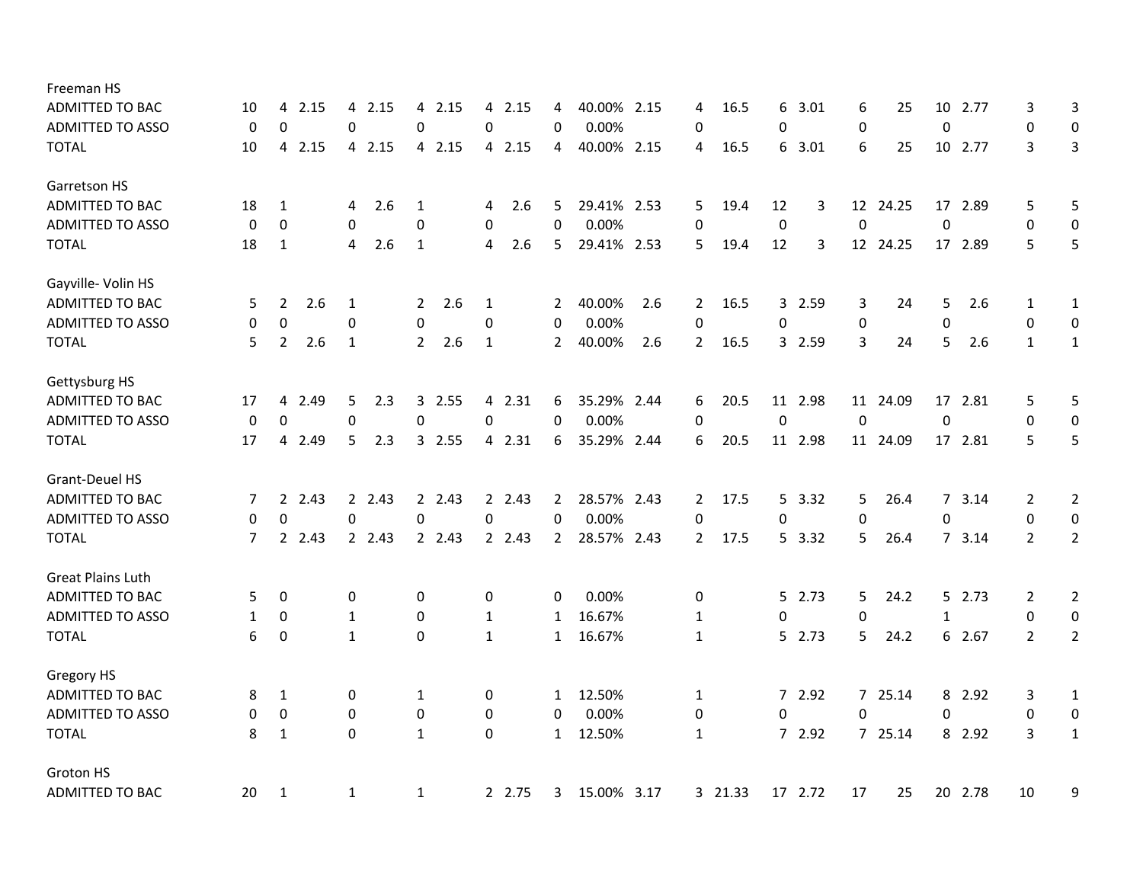| Freeman HS               |             |                        |              |                       |             |                |                |                |         |              |         |                  |          |                  |         |                |                  |
|--------------------------|-------------|------------------------|--------------|-----------------------|-------------|----------------|----------------|----------------|---------|--------------|---------|------------------|----------|------------------|---------|----------------|------------------|
| ADMITTED TO BAC          | 10          | 2.15<br>4              | 2.15<br>4    | 2.15<br>4             | 2.15<br>4   | 4              | 40.00%<br>2.15 | 4              | 16.5    | 6            | 3.01    | 6                | 25       | 10               | 2.77    | 3              | 3                |
| <b>ADMITTED TO ASSO</b>  | $\mathbf 0$ | $\mathbf 0$            | 0            | $\mathbf 0$           | 0           | $\Omega$       | 0.00%          | 0              |         | 0            |         | 0                |          | $\boldsymbol{0}$ |         | 0              | $\boldsymbol{0}$ |
| <b>TOTAL</b>             | 10          | 2.15<br>$\overline{4}$ | 4 2.15       | 4 2.15                | 4 2.15      | 4              | 40.00% 2.15    | 4              | 16.5    | 6            | 3.01    | 6                | 25       | 10               | 2.77    | 3              | $\overline{3}$   |
| Garretson HS             |             |                        |              |                       |             |                |                |                |         |              |         |                  |          |                  |         |                |                  |
| <b>ADMITTED TO BAC</b>   | 18          | 1                      | 2.6<br>4     | 1                     | 2.6<br>4    | 5              | 29.41% 2.53    | 5              | 19.4    | 12           | 3       |                  | 12 24.25 | 17               | 2.89    | 5              | 5                |
| <b>ADMITTED TO ASSO</b>  | 0           | 0                      | 0            | $\pmb{0}$             | 0           | 0              | 0.00%          | 0              |         | $\pmb{0}$    |         | $\boldsymbol{0}$ |          | $\boldsymbol{0}$ |         | $\pmb{0}$      | $\mathbf 0$      |
| <b>TOTAL</b>             | 18          | 1                      | 2.6<br>4     | 1                     | 2.6<br>4    | 5              | 29.41% 2.53    | 5              | 19.4    | 12           | 3       |                  | 12 24.25 |                  | 17 2.89 | 5              | 5                |
| Gayville- Volin HS       |             |                        |              |                       |             |                |                |                |         |              |         |                  |          |                  |         |                |                  |
| ADMITTED TO BAC          | 5           | 2<br>2.6               | 1            | 2.6<br>$\overline{2}$ | 1           | 2              | 40.00%<br>2.6  | 2              | 16.5    | $\mathbf{3}$ | 2.59    | 3                | 24       | 5                | 2.6     | 1              | 1                |
| <b>ADMITTED TO ASSO</b>  | 0           | $\mathbf 0$            | 0            | $\mathbf{0}$          | $\mathbf 0$ | 0              | 0.00%          | $\mathbf 0$    |         | 0            |         | 0                |          | 0                |         | 0              | 0                |
| <b>TOTAL</b>             | 5           | 2.6<br>$\overline{2}$  | $\mathbf{1}$ | $\overline{2}$<br>2.6 | 1           | $\overline{2}$ | 40.00%<br>2.6  | $\overline{2}$ | 16.5    |              | 3 2.59  | 3                | 24       | 5                | 2.6     | $\mathbf{1}$   | $\mathbf{1}$     |
| Gettysburg HS            |             |                        |              |                       |             |                |                |                |         |              |         |                  |          |                  |         |                |                  |
| ADMITTED TO BAC          | 17          | 4<br>2.49              | 5<br>2.3     | 3 2.55                | 4 2.31      | 6              | 35.29% 2.44    | 6              | 20.5    |              | 11 2.98 |                  | 11 24.09 |                  | 17 2.81 | 5              | 5                |
| <b>ADMITTED TO ASSO</b>  | 0           | 0                      | 0            | 0                     | 0           | 0              | 0.00%          | 0              |         | 0            |         | $\mathbf 0$      |          | 0                |         | 0              | 0                |
| <b>TOTAL</b>             | 17          | 2.49<br>$\overline{4}$ | 5<br>2.3     | 3 2.55                | 4 2.31      | 6              | 35.29% 2.44    | 6              | 20.5    |              | 11 2.98 |                  | 11 24.09 |                  | 17 2.81 | 5              | 5                |
| Grant-Deuel HS           |             |                        |              |                       |             |                |                |                |         |              |         |                  |          |                  |         |                |                  |
| <b>ADMITTED TO BAC</b>   | 7           | 2, 2.43                | 2 2.43       | 2 2.43                | 2 2.43      | $\mathbf{2}$   | 28.57% 2.43    | $\overline{2}$ | 17.5    |              | 5 3.32  | 5                | 26.4     |                  | 7, 3.14 | $\overline{2}$ | $\overline{2}$   |
| <b>ADMITTED TO ASSO</b>  | 0           | 0                      | 0            | $\Omega$              | 0           | 0              | 0.00%          | 0              |         | 0            |         | $\mathbf 0$      |          | 0                |         | 0              | $\pmb{0}$        |
| <b>TOTAL</b>             | 7           | 2 2.43                 | 2 2.43       | 2 2.43                | 2 2.43      | $\mathbf{2}$   | 28.57% 2.43    | 2              | 17.5    |              | 5 3.32  | 5.               | 26.4     |                  | 7, 3.14 | $\overline{2}$ | $\overline{2}$   |
| <b>Great Plains Luth</b> |             |                        |              |                       |             |                |                |                |         |              |         |                  |          |                  |         |                |                  |
| ADMITTED TO BAC          | 5.          | 0                      | 0            | 0                     | 0           | 0              | 0.00%          | 0              |         |              | 5 2.73  | 5                | 24.2     |                  | 5 2.73  | 2              | $\overline{2}$   |
| <b>ADMITTED TO ASSO</b>  | 1           | $\mathbf 0$            | 1            | $\mathbf 0$           | 1           | 1              | 16.67%         | 1              |         | 0            |         | $\mathbf 0$      |          | $\mathbf{1}$     |         | $\pmb{0}$      | $\pmb{0}$        |
| <b>TOTAL</b>             | 6           | $\mathbf 0$            | 1            | $\mathbf 0$           | 1           | $\mathbf{1}$   | 16.67%         | 1              |         |              | 5 2.73  | 5                | 24.2     |                  | 6 2.67  | $\overline{2}$ | $\overline{2}$   |
| Gregory HS               |             |                        |              |                       |             |                |                |                |         |              |         |                  |          |                  |         |                |                  |
| <b>ADMITTED TO BAC</b>   | 8           | 1                      | 0            | 1                     | 0           | $\mathbf{1}$   | 12.50%         | 1              |         |              | 7 2.92  |                  | 7 25.14  |                  | 8 2.92  | 3              | 1                |
| <b>ADMITTED TO ASSO</b>  | 0           | 0                      | 0            | 0                     | 0           | 0              | 0.00%          | 0              |         | 0            |         | 0                |          | 0                |         | 0              | 0                |
| <b>TOTAL</b>             | 8           | 1                      | 0            | 1                     | 0           | $\mathbf{1}$   | 12.50%         | 1              |         |              | 7 2.92  |                  | 7 25.14  |                  | 8 2.92  | 3              | $1\,$            |
| Groton HS                |             |                        |              |                       |             |                |                |                |         |              |         |                  |          |                  |         |                |                  |
| <b>ADMITTED TO BAC</b>   | 20          | 1                      | 1            | $\mathbf{1}$          | 2 2.75      | 3              | 15.00% 3.17    |                | 3 21.33 |              | 17 2.72 | 17               | 25       | 20               | 2.78    | 10             | 9                |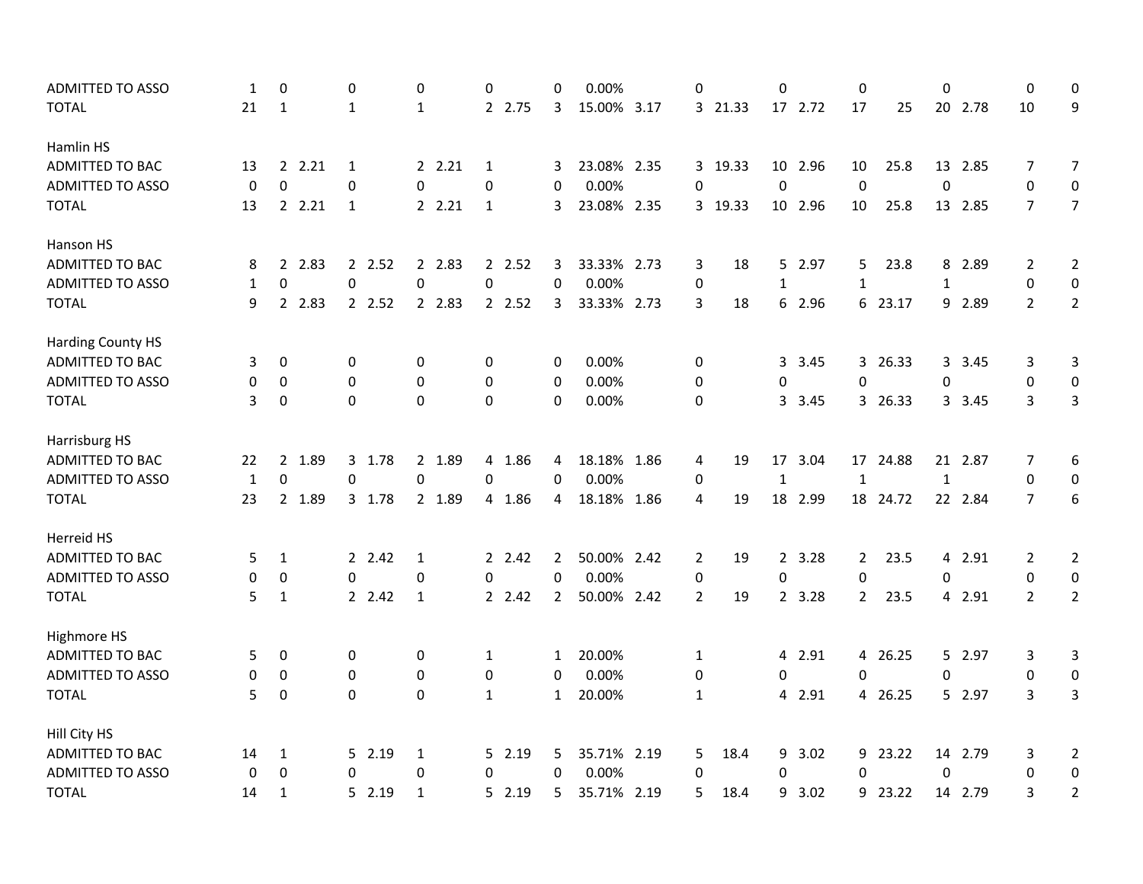| <b>ADMITTED TO ASSO</b>  | 1            | 0                   | 0            | 0            | 0            | 0              | 0.00%       | 0              |         | 0            |         | 0            |          | 0                |         | 0                | 0              |
|--------------------------|--------------|---------------------|--------------|--------------|--------------|----------------|-------------|----------------|---------|--------------|---------|--------------|----------|------------------|---------|------------------|----------------|
| <b>TOTAL</b>             | 21           | 1                   | 1            | 1            | 2 2.75       | 3              | 15.00% 3.17 |                | 3 21.33 |              | 17 2.72 | 17           | 25       |                  | 20 2.78 | 10               | 9              |
| Hamlin HS                |              |                     |              |              |              |                |             |                |         |              |         |              |          |                  |         |                  |                |
| <b>ADMITTED TO BAC</b>   | 13           | 2.21                | $\mathbf{1}$ | 2.21         | $\mathbf{1}$ | 3              | 23.08% 2.35 |                | 3 19.33 |              | 10 2.96 | 10           | 25.8     | 13               | 2.85    | 7                | $\overline{7}$ |
| <b>ADMITTED TO ASSO</b>  | 0            | $\Omega$            | 0            | 0            | 0            | 0              | 0.00%       | 0              |         | $\mathbf 0$  |         | $\mathbf 0$  |          | $\boldsymbol{0}$ |         | $\boldsymbol{0}$ | 0              |
| <b>TOTAL</b>             | 13           | 2.21                | $\mathbf{1}$ | 2.21         | $\mathbf{1}$ | 3              | 23.08% 2.35 |                | 3 19.33 |              | 10 2.96 | 10           | 25.8     |                  | 13 2.85 | $\overline{7}$   | $\overline{7}$ |
| Hanson HS                |              |                     |              |              |              |                |             |                |         |              |         |              |          |                  |         |                  |                |
| ADMITTED TO BAC          | 8            | 2.83<br>$2^{\circ}$ | 2 2.52       | 2 2.83       | 2 2.52       | 3              | 33.33% 2.73 | 3              | 18      |              | 5 2.97  | 5            | 23.8     |                  | 8 2.89  | 2                | 2              |
| <b>ADMITTED TO ASSO</b>  | $\mathbf{1}$ | $\Omega$            | $\Omega$     | $\mathbf 0$  | 0            | $\Omega$       | 0.00%       | 0              |         | $\mathbf{1}$ |         | 1            |          | $\mathbf{1}$     |         | 0                | 0              |
| <b>TOTAL</b>             | 9            | 2 2.83              | 2 2.52       | 2 2.83       | 2 2.52       | 3              | 33.33% 2.73 | 3              | 18      |              | 6 2.96  |              | 6 23.17  |                  | 9 2.89  | $\overline{2}$   | $\overline{2}$ |
| <b>Harding County HS</b> |              |                     |              |              |              |                |             |                |         |              |         |              |          |                  |         |                  |                |
| <b>ADMITTED TO BAC</b>   | 3            | 0                   | 0            | 0            | 0            | 0              | 0.00%       | 0              |         | 3            | 3.45    |              | 3 26.33  |                  | 3 3.45  | 3                | 3              |
| <b>ADMITTED TO ASSO</b>  | 0            | 0                   | 0            | 0            | $\mathbf 0$  | 0              | 0.00%       | 0              |         | 0            |         | 0            |          | 0                |         | 0                | 0              |
| <b>TOTAL</b>             | 3            | 0                   | 0            | 0            | $\mathbf 0$  | $\mathbf 0$    | 0.00%       | 0              |         | $\mathbf{3}$ | 3.45    |              | 3 26.33  |                  | 3 3.45  | 3                | 3              |
| Harrisburg HS            |              |                     |              |              |              |                |             |                |         |              |         |              |          |                  |         |                  |                |
| ADMITTED TO BAC          | 22           | 2 1.89              | 3 1.78       | 2 1.89       | 4 1.86       | 4              | 18.18% 1.86 | 4              | 19      |              | 17 3.04 |              | 17 24.88 |                  | 21 2.87 | 7                | 6              |
| <b>ADMITTED TO ASSO</b>  | $\mathbf{1}$ | $\mathbf 0$         | 0            | 0            | 0            | $\Omega$       | 0.00%       | 0              |         | $\mathbf{1}$ |         | $\mathbf{1}$ |          | $\mathbf{1}$     |         | $\boldsymbol{0}$ | 0              |
| <b>TOTAL</b>             | 23           | 2 1.89              | 3 1.78       | 2 1.89       | 4 1.86       | 4              | 18.18% 1.86 | 4              | 19      |              | 18 2.99 |              | 18 24.72 |                  | 22 2.84 | $\overline{7}$   | 6              |
| Herreid HS               |              |                     |              |              |              |                |             |                |         |              |         |              |          |                  |         |                  |                |
| <b>ADMITTED TO BAC</b>   | 5            | $\mathbf{1}$        | 2 2.42       | 1            | 2 2.42       | 2              | 50.00% 2.42 | 2              | 19      |              | 2 3.28  | $2^{\circ}$  | 23.5     |                  | 4 2.91  | 2                | $\overline{2}$ |
| ADMITTED TO ASSO         | 0            | 0                   | 0            | $\mathbf 0$  | 0            | 0              | 0.00%       | 0              |         | 0            |         | 0            |          | 0                |         | 0                | 0              |
| <b>TOTAL</b>             | 5            | 1                   | 2 2.42       | 1            | 2.42         | $\overline{2}$ | 50.00% 2.42 | $\overline{2}$ | 19      |              | 2 3.28  | $2^{\circ}$  | 23.5     |                  | 4 2.91  | $\overline{2}$   | $\overline{2}$ |
| Highmore HS              |              |                     |              |              |              |                |             |                |         |              |         |              |          |                  |         |                  |                |
| ADMITTED TO BAC          | 5            | 0                   | 0            | 0            | 1            | $\mathbf{1}$   | 20.00%      | $\mathbf{1}$   |         |              | 4 2.91  |              | 4 26.25  |                  | 5 2.97  | 3                | 3              |
| <b>ADMITTED TO ASSO</b>  | 0            | 0                   | 0            | 0            | 0            | 0              | 0.00%       | 0              |         | 0            |         | $\Omega$     |          | 0                |         | 0                | 0              |
| <b>TOTAL</b>             | 5            | 0                   | $\pmb{0}$    | 0            | $\mathbf{1}$ | $\mathbf{1}$   | 20.00%      | $\mathbf{1}$   |         |              | 4 2.91  |              | 4 26.25  |                  | 5 2.97  | 3                | 3              |
| Hill City HS             |              |                     |              |              |              |                |             |                |         |              |         |              |          |                  |         |                  |                |
| ADMITTED TO BAC          | 14           | 1                   | 5 2.19       | 1            | 5 2.19       | 5.             | 35.71% 2.19 | 5              | 18.4    | 9            | 3.02    |              | 9 23.22  |                  | 14 2.79 | 3                | $\overline{2}$ |
| <b>ADMITTED TO ASSO</b>  | $\mathbf 0$  | $\mathbf 0$         | 0            | 0            | 0            | $\mathbf 0$    | 0.00%       | $\mathbf 0$    |         | 0            |         | $\Omega$     |          | 0                |         | 0                | 0              |
| <b>TOTAL</b>             | 14           | $\mathbf{1}$        | 5 2.19       | $\mathbf{1}$ | 5 2.19       | 5              | 35.71% 2.19 | 5              | 18.4    | 9            | 3.02    | 9            | 23.22    |                  | 14 2.79 | 3                | $\overline{2}$ |
|                          |              |                     |              |              |              |                |             |                |         |              |         |              |          |                  |         |                  |                |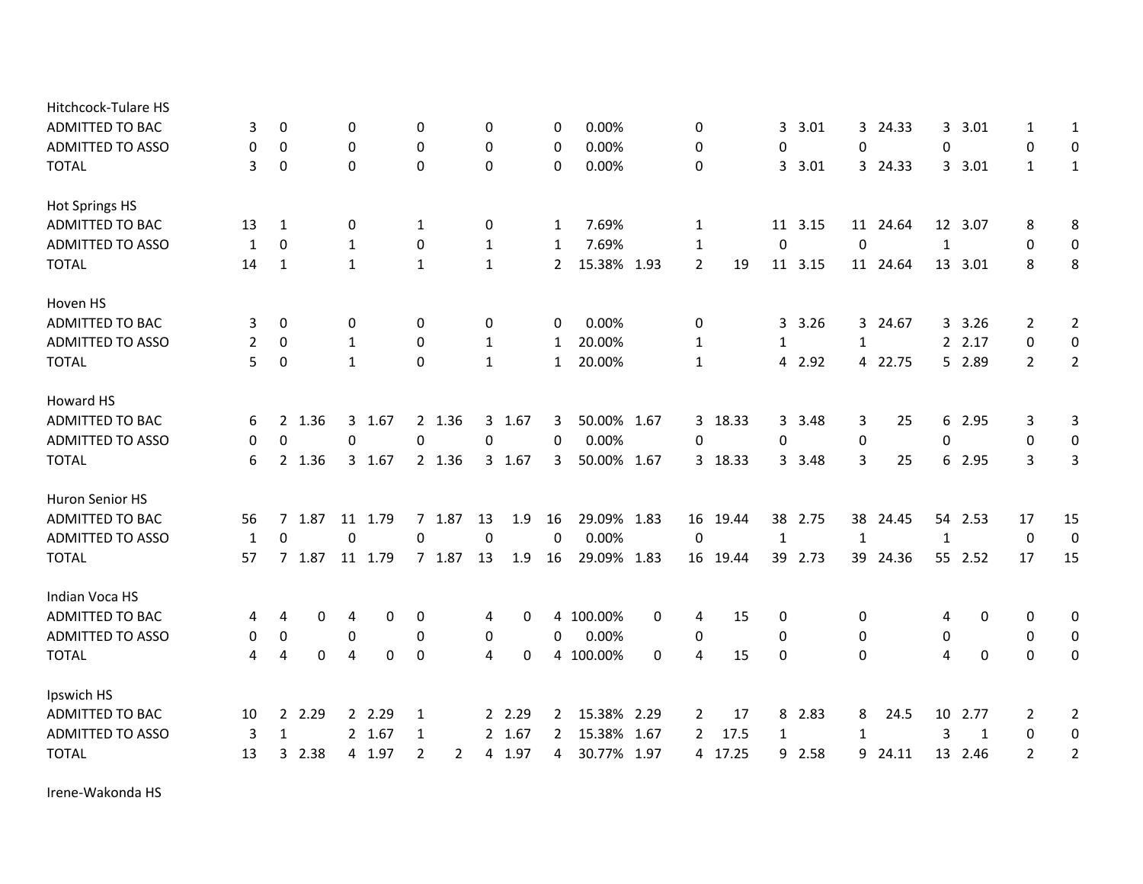| Hitchcock-Tulare HS     |                |                  |        |              |         |                |        |              |        |                       |             |      |                |          |              |         |              |          |                |         |                |                  |
|-------------------------|----------------|------------------|--------|--------------|---------|----------------|--------|--------------|--------|-----------------------|-------------|------|----------------|----------|--------------|---------|--------------|----------|----------------|---------|----------------|------------------|
| <b>ADMITTED TO BAC</b>  | 3              | 0                |        | 0            |         | 0              |        | 0            |        | 0                     | 0.00%       |      | 0              |          | 3            | 3.01    |              | 3 24.33  |                | 3 3.01  | $\mathbf{1}$   | 1                |
| <b>ADMITTED TO ASSO</b> | 0              | $\mathbf 0$      |        | 0            |         | $\mathbf 0$    |        | 0            |        | 0                     | 0.00%       |      | 0              |          | $\mathbf 0$  |         | 0            |          | $\Omega$       |         | $\mathbf 0$    | 0                |
| <b>TOTAL</b>            | 3              | 0                |        | 0            |         | $\mathbf{0}$   |        | $\mathbf 0$  |        | $\mathbf{0}$          | 0.00%       |      | 0              |          | $\mathbf{3}$ | 3.01    |              | 3 24.33  |                | 3, 3.01 | $\mathbf{1}$   | $\mathbf{1}$     |
| Hot Springs HS          |                |                  |        |              |         |                |        |              |        |                       |             |      |                |          |              |         |              |          |                |         |                |                  |
| <b>ADMITTED TO BAC</b>  | 13             | 1                |        | 0            |         | 1              |        | 0            |        | $\mathbf{1}$          | 7.69%       |      | 1              |          | 11           | 3.15    |              | 11 24.64 |                | 12 3.07 | 8              | 8                |
| <b>ADMITTED TO ASSO</b> | 1              | $\Omega$         |        | 1            |         | $\mathbf 0$    |        | 1            |        | 1                     | 7.69%       |      | $\mathbf{1}$   |          | 0            |         | $\mathbf 0$  |          | 1              |         | 0              | $\boldsymbol{0}$ |
| <b>TOTAL</b>            | 14             | 1                |        | 1            |         | 1              |        | 1            |        | $\mathbf{2}$          | 15.38%      | 1.93 | $\overline{2}$ | 19       | 11           | 3.15    |              | 11 24.64 |                | 13 3.01 | 8              | 8                |
| Hoven HS                |                |                  |        |              |         |                |        |              |        |                       |             |      |                |          |              |         |              |          |                |         |                |                  |
| <b>ADMITTED TO BAC</b>  | 3              | 0                |        | 0            |         | 0              |        | 0            |        | 0                     | 0.00%       |      | 0              |          |              | 3, 3.26 |              | 3 24.67  |                | 3.26    | $\overline{2}$ | 2                |
| <b>ADMITTED TO ASSO</b> | $\overline{2}$ | 0                |        | 1            |         | $\mathbf{0}$   |        | $\mathbf{1}$ |        | $\mathbf{1}$          | 20.00%      |      | 1              |          | 1            |         | 1            |          |                | 2 2.17  | 0              | 0                |
| <b>TOTAL</b>            | 5              | $\boldsymbol{0}$ |        | $\mathbf{1}$ |         | $\mathbf 0$    |        | $\mathbf{1}$ |        | $\mathbf{1}$          | 20.00%      |      | $\mathbf{1}$   |          |              | 4 2.92  |              | 4 22.75  |                | 5 2.89  | $\overline{2}$ | $\overline{2}$   |
| Howard HS               |                |                  |        |              |         |                |        |              |        |                       |             |      |                |          |              |         |              |          |                |         |                |                  |
| <b>ADMITTED TO BAC</b>  | 6              |                  | 2 1.36 |              | 3 1.67  |                | 2 1.36 |              | 3 1.67 | 3                     | 50.00% 1.67 |      |                | 3 18.33  |              | 3 3.48  | 3            | 25       |                | 6 2.95  | 3              | 3                |
| <b>ADMITTED TO ASSO</b> | 0              | $\boldsymbol{0}$ |        | 0            |         | 0              |        | $\pmb{0}$    |        | 0                     | 0.00%       |      | 0              |          | 0            |         | 0            |          | 0              |         | 0              | 0                |
| <b>TOTAL</b>            | 6              |                  | 2 1.36 |              | 3 1.67  |                | 2 1.36 |              | 3 1.67 | 3                     | 50.00% 1.67 |      |                | 3 18.33  |              | 3 3.48  | 3            | 25       |                | 6 2.95  | 3              | 3                |
| Huron Senior HS         |                |                  |        |              |         |                |        |              |        |                       |             |      |                |          |              |         |              |          |                |         |                |                  |
| <b>ADMITTED TO BAC</b>  | 56             | $\overline{7}$   | 1.87   | 11           | 1.79    |                | 7 1.87 | 13           | 1.9    | 16                    | 29.09% 1.83 |      |                | 16 19.44 |              | 38 2.75 | 38           | 24.45    |                | 54 2.53 | 17             | 15               |
| <b>ADMITTED TO ASSO</b> | 1              | $\Omega$         |        | 0            |         | 0              |        | $\pmb{0}$    |        | $\mathbf 0$           | 0.00%       |      | 0              |          | $\mathbf{1}$ |         | $\mathbf{1}$ |          | $\mathbf{1}$   |         | 0              | $\mathbf 0$      |
| <b>TOTAL</b>            | 57             |                  | 7 1.87 |              | 11 1.79 |                | 7 1.87 | 13           | 1.9    | 16                    | 29.09% 1.83 |      |                | 16 19.44 |              | 39 2.73 |              | 39 24.36 |                | 55 2.52 | 17             | 15               |
| Indian Voca HS          |                |                  |        |              |         |                |        |              |        |                       |             |      |                |          |              |         |              |          |                |         |                |                  |
| ADMITTED TO BAC         | 4              | 4                | 0      | 4            | 0       | 0              |        | 4            | 0      |                       | 4 100.00%   | 0    | 4              | 15       | 0            |         | 0            |          | 4              | 0       | 0              | 0                |
| <b>ADMITTED TO ASSO</b> | 0              | $\pmb{0}$        |        | 0            |         | 0              |        | 0            |        | 0                     | 0.00%       |      | 0              |          | 0            |         | 0            |          | 0              |         | 0              | 0                |
| <b>TOTAL</b>            | 4              | $\overline{4}$   | 0      | 4            | 0       | 0              |        | 4            | 0      |                       | 4 100.00%   | 0    | 4              | 15       | 0            |         | $\Omega$     |          | $\overline{4}$ | 0       | $\Omega$       | 0                |
| Ipswich HS              |                |                  |        |              |         |                |        |              |        |                       |             |      |                |          |              |         |              |          |                |         |                |                  |
| <b>ADMITTED TO BAC</b>  | 10             | $\overline{2}$   | 2.29   |              | 2 2.29  | 1              |        |              | 2 2.29 | $\mathbf{2}^{\prime}$ | 15.38%      | 2.29 | 2              | 17       | 8            | 2.83    | 8            | 24.5     | 10             | 2.77    | 2              | 2                |
| <b>ADMITTED TO ASSO</b> | 3              | $\mathbf{1}$     |        |              | 2 1.67  | 1              |        |              | 2 1.67 | $\overline{2}$        | 15.38%      | 1.67 | 2              | 17.5     | 1            |         | $\mathbf{1}$ |          | 3              | 1       | 0              | $\boldsymbol{0}$ |
| <b>TOTAL</b>            | 13             | 3                | 2.38   |              | 4 1.97  | $\overline{2}$ | 2      |              | 4 1.97 | 4                     | 30.77%      | 1.97 |                | 4 17.25  |              | 9 2.58  |              | 9 24.11  | 13             | 2.46    | $\overline{2}$ | $\overline{2}$   |

Irene‐Wakonda HS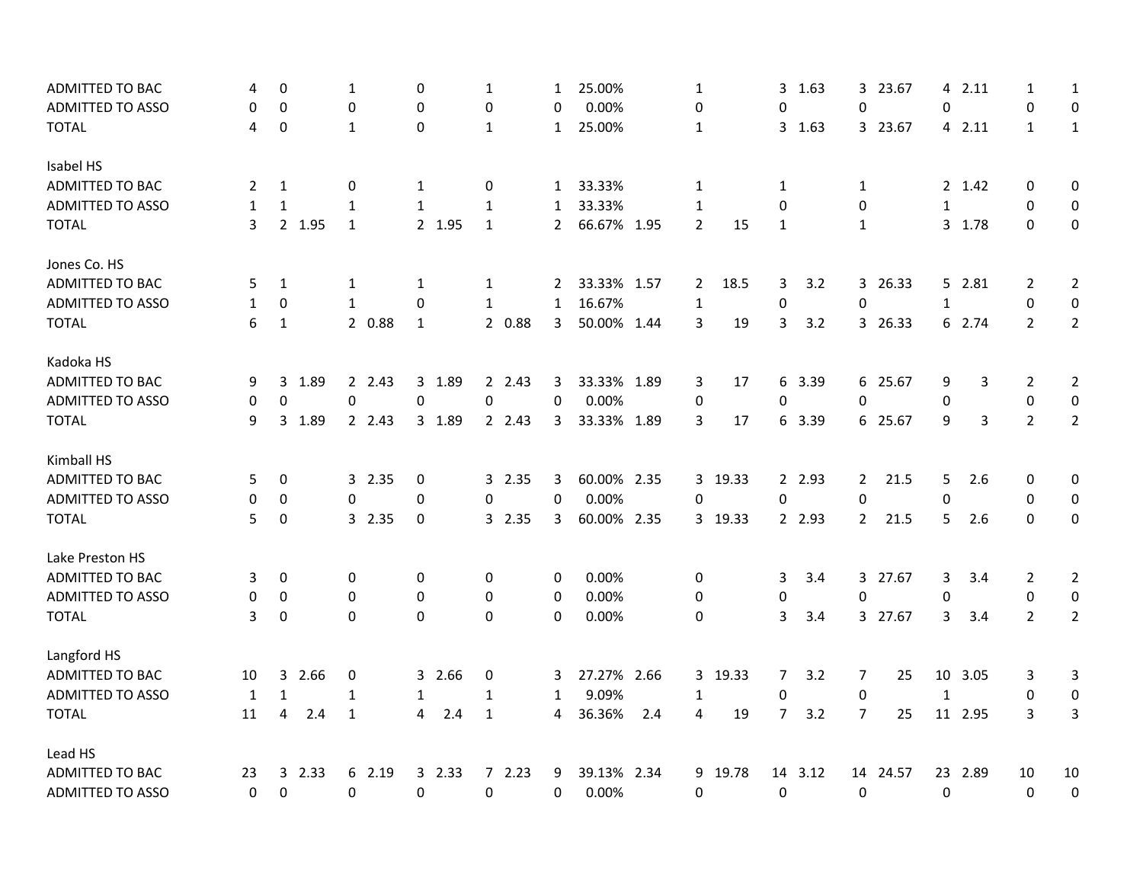| ADMITTED TO BAC<br>4                    | 0                |        | 1            |        | 0            |        | 1            |        | 1            | 25.00%      |     | 1              |         |                | 3 1.63  |                | 3 23.67  |              | 4 2.11  | 1              | 1                |
|-----------------------------------------|------------------|--------|--------------|--------|--------------|--------|--------------|--------|--------------|-------------|-----|----------------|---------|----------------|---------|----------------|----------|--------------|---------|----------------|------------------|
| <b>ADMITTED TO ASSO</b><br>0            | 0                |        | 0            |        | 0            |        | 0            |        | 0            | 0.00%       |     | 0              |         | 0              |         | 0              |          | 0            |         | 0              | 0                |
| <b>TOTAL</b><br>4                       | $\boldsymbol{0}$ |        | $\mathbf{1}$ |        | $\Omega$     |        | $1\,$        |        | 1            | 25.00%      |     | 1              |         |                | 3 1.63  |                | 3 23.67  |              | 4 2.11  | $\mathbf{1}$   | $1\,$            |
| Isabel HS                               |                  |        |              |        |              |        |              |        |              |             |     |                |         |                |         |                |          |              |         |                |                  |
| ADMITTED TO BAC<br>2                    | 1                |        | 0            |        | $\mathbf{1}$ |        | 0            |        | 1            | 33.33%      |     | 1              |         | 1              |         | 1              |          |              | 2 1.42  | $\mathbf 0$    | 0                |
| <b>ADMITTED TO ASSO</b><br>$\mathbf{1}$ | $\mathbf{1}$     |        | $\mathbf{1}$ |        | $\mathbf{1}$ |        | $\mathbf{1}$ |        | $\mathbf{1}$ | 33.33%      |     | $\mathbf{1}$   |         | 0              |         | 0              |          | $\mathbf{1}$ |         | $\mathbf 0$    | 0                |
| 3<br><b>TOTAL</b>                       |                  | 2 1.95 | $\mathbf{1}$ |        |              | 2 1.95 | $\mathbf{1}$ |        | $\mathbf{2}$ | 66.67% 1.95 |     | $\overline{2}$ | 15      | $\mathbf{1}$   |         | $\mathbf{1}$   |          |              | 3 1.78  | $\Omega$       | $\mathbf 0$      |
| Jones Co. HS                            |                  |        |              |        |              |        |              |        |              |             |     |                |         |                |         |                |          |              |         |                |                  |
| ADMITTED TO BAC<br>5                    | 1                |        | 1            |        | 1            |        | 1            |        | $2^{\circ}$  | 33.33% 1.57 |     | 2              | 18.5    | 3              | 3.2     |                | 3 26.33  |              | 5 2.81  | 2              | 2                |
| <b>ADMITTED TO ASSO</b><br>1            | 0                |        | $\mathbf{1}$ |        | 0            |        | $\mathbf{1}$ |        | $\mathbf{1}$ | 16.67%      |     | 1              |         | $\mathbf 0$    |         | 0              |          | $\mathbf{1}$ |         | 0              | 0                |
| <b>TOTAL</b><br>6                       | $\mathbf 1$      |        |              | 2 0.88 | $\mathbf{1}$ |        |              | 2 0.88 | 3            | 50.00% 1.44 |     | 3              | 19      | 3              | 3.2     |                | 3 26.33  |              | 6 2.74  | $\overline{2}$ | $\overline{2}$   |
| Kadoka HS                               |                  |        |              |        |              |        |              |        |              |             |     |                |         |                |         |                |          |              |         |                |                  |
| <b>ADMITTED TO BAC</b><br>9             | 3                | 1.89   |              | 2 2.43 |              | 3 1.89 |              | 2 2.43 | 3            | 33.33% 1.89 |     | 3              | 17      |                | 6 3.39  |                | 6 25.67  | 9            | 3       | 2              | $\overline{2}$   |
| <b>ADMITTED TO ASSO</b><br>0            | 0                |        | $\Omega$     |        | 0            |        | 0            |        | 0            | 0.00%       |     | 0              |         | 0              |         | $\Omega$       |          | 0            |         | $\mathbf 0$    | $\mathbf 0$      |
| <b>TOTAL</b><br>9                       |                  | 3 1.89 |              | 2 2.43 |              | 3 1.89 |              | 2 2.43 | 3            | 33.33% 1.89 |     | 3              | 17      |                | 6 3.39  |                | 6 25.67  | 9            | 3       | $\overline{2}$ | $\overline{2}$   |
| Kimball HS                              |                  |        |              |        |              |        |              |        |              |             |     |                |         |                |         |                |          |              |         |                |                  |
| <b>ADMITTED TO BAC</b><br>5             | 0                |        |              | 3 2.35 | 0            |        |              | 3 2.35 | 3            | 60.00% 2.35 |     |                | 3 19.33 |                | 2 2.93  | $2^{\circ}$    | 21.5     | 5            | 2.6     | 0              | 0                |
| ADMITTED TO ASSO<br>0                   | 0                |        | 0            |        | 0            |        | 0            |        | 0            | 0.00%       |     | 0              |         | $\mathbf 0$    |         | 0              |          | 0            |         | $\mathbf 0$    | $\boldsymbol{0}$ |
| <b>TOTAL</b><br>5.                      | $\boldsymbol{0}$ |        |              | 3 2.35 | 0            |        |              | 3 2.35 | 3            | 60.00% 2.35 |     |                | 3 19.33 |                | 2 2.93  | $\mathbf{2}$   | 21.5     | 5.           | 2.6     | $\Omega$       | $\mathbf 0$      |
| Lake Preston HS                         |                  |        |              |        |              |        |              |        |              |             |     |                |         |                |         |                |          |              |         |                |                  |
| ADMITTED TO BAC<br>3                    | 0                |        | 0            |        | 0            |        | 0            |        | 0            | 0.00%       |     | 0              |         | 3              | 3.4     |                | 3 27.67  | 3            | 3.4     | $\overline{2}$ | $\overline{2}$   |
| <b>ADMITTED TO ASSO</b><br>0            | 0                |        | 0            |        | 0            |        | $\mathbf 0$  |        | 0            | 0.00%       |     | 0              |         | 0              |         | 0              |          | 0            |         | $\mathbf 0$    | $\mathbf 0$      |
| <b>TOTAL</b><br>3                       | $\mathbf 0$      |        | 0            |        | 0            |        | 0            |        | $\Omega$     | 0.00%       |     | 0              |         | 3              | 3.4     |                | 3 27.67  | 3            | 3.4     | $\overline{2}$ | $\overline{2}$   |
| Langford HS                             |                  |        |              |        |              |        |              |        |              |             |     |                |         |                |         |                |          |              |         |                |                  |
| ADMITTED TO BAC<br>10                   |                  | 3 2.66 | 0            |        |              | 3 2.66 | 0            |        | 3            | 27.27% 2.66 |     |                | 3 19.33 | 7              | 3.2     | 7              | 25       |              | 10 3.05 | 3              | 3                |
| ADMITTED TO ASSO<br>1                   | 1                |        | $\mathbf{1}$ |        | 1            |        | $\mathbf{1}$ |        | 1            | 9.09%       |     | 1              |         | 0              |         | 0              |          | $\mathbf{1}$ |         | 0              | 0                |
| <b>TOTAL</b><br>11                      | 4                | 2.4    | 1            |        | 4            | 2.4    | $\mathbf 1$  |        | 4            | 36.36%      | 2.4 | 4              | 19      | $\overline{7}$ | 3.2     | $\overline{7}$ | 25       |              | 11 2.95 | 3              | 3                |
| Lead HS                                 |                  |        |              |        |              |        |              |        |              |             |     |                |         |                |         |                |          |              |         |                |                  |
| <b>ADMITTED TO BAC</b><br>23            |                  | 3 2.33 | 6            | 2.19   |              | 32.33  |              | 72.23  | 9            | 39.13% 2.34 |     |                | 9 19.78 |                | 14 3.12 |                | 14 24.57 |              | 23 2.89 | 10             | 10               |
| <b>ADMITTED TO ASSO</b><br>0            | $\mathbf 0$      |        | 0            |        | 0            |        | $\pmb{0}$    |        | 0            | 0.00%       |     | 0              |         | 0              |         | $\mathbf 0$    |          | 0            |         | $\mathbf 0$    | $\pmb{0}$        |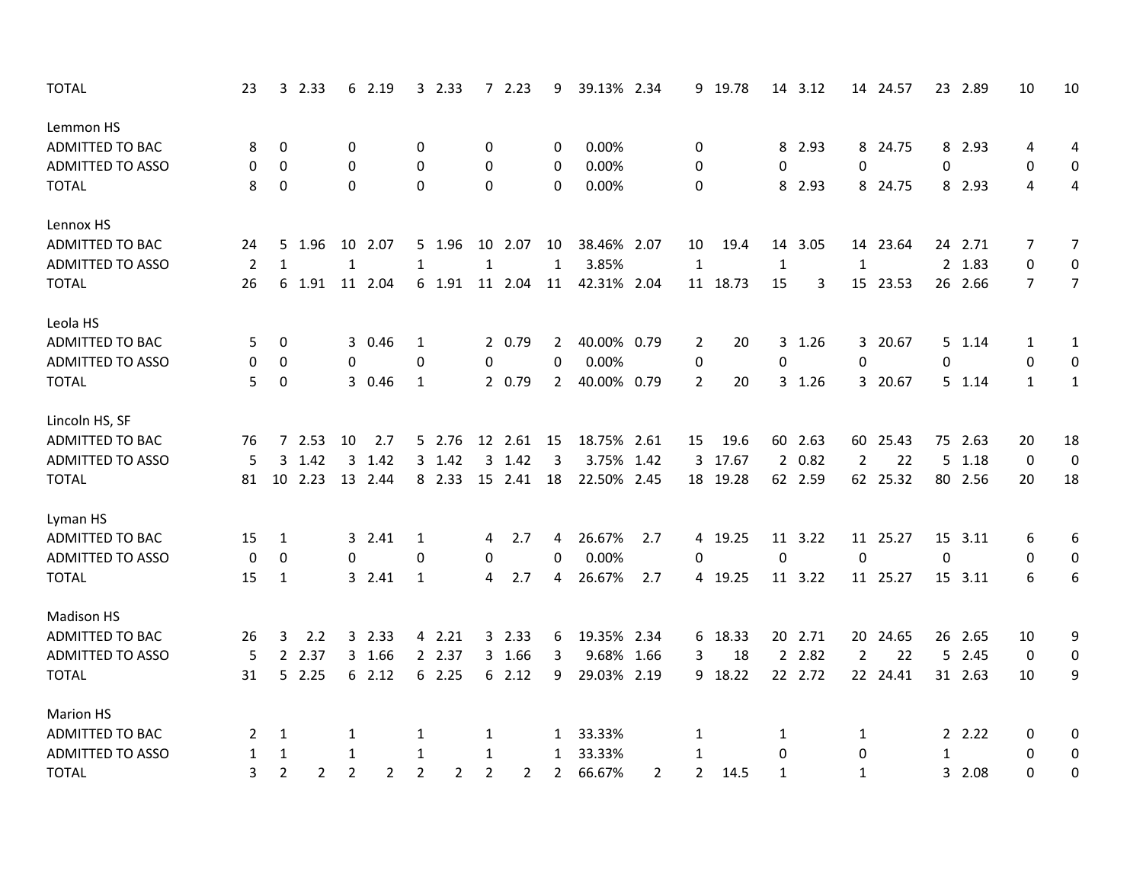| <b>TOTAL</b>            | 23             |                  | 32.33          |                | 6 2.19         |                | 3 2.33 |              | 72.23        | 9            | 39.13% 2.34 |                |                | 9 19.78  |              | 14 3.12 |                | 14 24.57 |          | 23 2.89 | 10               | 10             |
|-------------------------|----------------|------------------|----------------|----------------|----------------|----------------|--------|--------------|--------------|--------------|-------------|----------------|----------------|----------|--------------|---------|----------------|----------|----------|---------|------------------|----------------|
| Lemmon HS               |                |                  |                |                |                |                |        |              |              |              |             |                |                |          |              |         |                |          |          |         |                  |                |
| ADMITTED TO BAC         | 8              | 0                |                | 0              |                | 0              |        | 0            |              | 0            | 0.00%       |                | 0              |          |              | 8 2.93  |                | 8 24.75  |          | 8 2.93  | 4                | 4              |
| <b>ADMITTED TO ASSO</b> | 0              | 0                |                | $\Omega$       |                | $\Omega$       |        | 0            |              | 0            | 0.00%       |                | 0              |          | $\Omega$     |         | 0              |          | $\Omega$ |         | 0                | 0              |
| <b>TOTAL</b>            | 8              | 0                |                | 0              |                | $\Omega$       |        | $\mathbf 0$  |              | $\mathbf 0$  | 0.00%       |                | 0              |          |              | 8 2.93  |                | 8 24.75  |          | 8 2.93  | 4                | 4              |
| Lennox HS               |                |                  |                |                |                |                |        |              |              |              |             |                |                |          |              |         |                |          |          |         |                  |                |
| <b>ADMITTED TO BAC</b>  | 24             | 5                | 1.96           | 10             | 2.07           |                | 5 1.96 |              | 10 2.07      | 10           | 38.46% 2.07 |                | 10             | 19.4     | 14           | 3.05    |                | 14 23.64 |          | 24 2.71 | 7                | $\overline{7}$ |
| <b>ADMITTED TO ASSO</b> | $\overline{2}$ | $\mathbf{1}$     |                | $\mathbf{1}$   |                | $\mathbf{1}$   |        | $\mathbf{1}$ |              | $\mathbf{1}$ | 3.85%       |                | $\mathbf{1}$   |          | $\mathbf{1}$ |         | $\mathbf{1}$   |          |          | 2 1.83  | 0                | 0              |
| <b>TOTAL</b>            | 26             |                  | 6 1.91         | 11             | 2.04           |                | 6 1.91 |              | 11 2.04      | 11           | 42.31% 2.04 |                |                | 11 18.73 | 15           | 3       |                | 15 23.53 |          | 26 2.66 | $\overline{7}$   | $\overline{7}$ |
| Leola HS                |                |                  |                |                |                |                |        |              |              |              |             |                |                |          |              |         |                |          |          |         |                  |                |
| ADMITTED TO BAC         | 5              | 0                |                |                | 3 0.46         | 1              |        |              | 2 0.79       | 2            | 40.00% 0.79 |                | 2              | 20       |              | 3 1.26  |                | 3 20.67  |          | 5 1.14  | 1                | 1              |
| <b>ADMITTED TO ASSO</b> | 0              | 0                |                | 0              |                | 0              |        | 0            |              | $\Omega$     | 0.00%       |                | 0              |          | $\mathbf 0$  |         | 0              |          | 0        |         | 0                | 0              |
| <b>TOTAL</b>            | 5              | $\mathbf 0$      |                |                | 3 0.46         | 1              |        |              | 2 0.79       | $\mathbf{2}$ | 40.00% 0.79 |                | $\overline{2}$ | 20       |              | 3 1.26  |                | 3 20.67  |          | 5 1.14  | $\mathbf{1}$     | $\mathbf{1}$   |
| Lincoln HS, SF          |                |                  |                |                |                |                |        |              |              |              |             |                |                |          |              |         |                |          |          |         |                  |                |
| ADMITTED TO BAC         | 76             |                  | 7 2.53         | 10             | 2.7            |                | 5 2.76 |              | 12  2.61  15 |              | 18.75% 2.61 |                | 15             | 19.6     |              | 60 2.63 |                | 60 25.43 |          | 75 2.63 | 20               | 18             |
| <b>ADMITTED TO ASSO</b> | 5              |                  | 3 1.42         | 3              | 1.42           |                | 3 1.42 | 3            | 1.42         | 3            | 3.75% 1.42  |                | 3              | 17.67    |              | 2 0.82  | $\overline{2}$ | 22       |          | 5 1.18  | $\boldsymbol{0}$ | $\pmb{0}$      |
| <b>TOTAL</b>            | 81             | 10               | 2.23           |                | 13 2.44        |                | 8 2.33 |              | 15 2.41      | 18           | 22.50%      | 2.45           |                | 18 19.28 |              | 62 2.59 |                | 62 25.32 |          | 80 2.56 | 20               | 18             |
| Lyman HS                |                |                  |                |                |                |                |        |              |              |              |             |                |                |          |              |         |                |          |          |         |                  |                |
| ADMITTED TO BAC         | 15             | $\mathbf{1}$     |                |                | 3 2.41         | $\mathbf{1}$   |        | 4            | 2.7          | 4            | 26.67%      | 2.7            |                | 4 19.25  |              | 11 3.22 |                | 11 25.27 | 15       | 3.11    | 6                | 6              |
| <b>ADMITTED TO ASSO</b> | 0              | $\boldsymbol{0}$ |                | 0              |                | 0              |        | $\mathbf 0$  |              | 0            | 0.00%       |                | 0              |          | 0            |         | $\mathbf 0$    |          | 0        |         | $\mathbf 0$      | 0              |
| <b>TOTAL</b>            | 15             | $\mathbf{1}$     |                |                | 3 2.41         | $\mathbf{1}$   |        | 4            | 2.7          | 4            | 26.67%      | 2.7            |                | 4 19.25  |              | 11 3.22 |                | 11 25.27 |          | 15 3.11 | 6                | 6              |
| <b>Madison HS</b>       |                |                  |                |                |                |                |        |              |              |              |             |                |                |          |              |         |                |          |          |         |                  |                |
| ADMITTED TO BAC         | 26             | 3                | 2.2            |                | 3 2.33         |                | 4 2.21 |              | 3 2.33       | 6            | 19.35% 2.34 |                |                | 6 18.33  |              | 20 2.71 |                | 20 24.65 |          | 26 2.65 | 10               | 9              |
| <b>ADMITTED TO ASSO</b> | 5              | $\overline{2}$   | 2.37           |                | 3 1.66         |                | 2 2.37 |              | 3 1.66       | 3            | 9.68%       | 1.66           | 3              | 18       |              | 2 2.82  | $\overline{2}$ | 22       |          | 5 2.45  | $\mathbf 0$      | 0              |
| <b>TOTAL</b>            | 31             |                  | 52.25          |                | 62.12          |                | 62.25  |              | 62.12        | 9            | 29.03% 2.19 |                |                | 9 18.22  |              | 22 2.72 |                | 22 24.41 |          | 31 2.63 | 10               | 9              |
| <b>Marion HS</b>        |                |                  |                |                |                |                |        |              |              |              |             |                |                |          |              |         |                |          |          |         |                  |                |
| <b>ADMITTED TO BAC</b>  | 2              | 1                |                | 1              |                | 1              |        | 1            |              | $\mathbf{1}$ | 33.33%      |                | 1              |          | 1            |         | 1              |          |          | 2.22    | 0                | 0              |
| <b>ADMITTED TO ASSO</b> | 1              | $\mathbf{1}$     |                | 1              |                | 1              |        | 1            |              | $\mathbf{1}$ | 33.33%      |                | 1              |          | 0            |         | $\mathbf 0$    |          | 1        |         | 0                | 0              |
| <b>TOTAL</b>            | 3              | $\overline{2}$   | $\overline{2}$ | $\overline{2}$ | $\overline{2}$ | $\overline{2}$ | 2      | 2            | 2            | $\mathbf{2}$ | 66.67%      | $\overline{2}$ | $\overline{2}$ | 14.5     | 1            |         | 1              |          |          | 3 2.08  | $\Omega$         | 0              |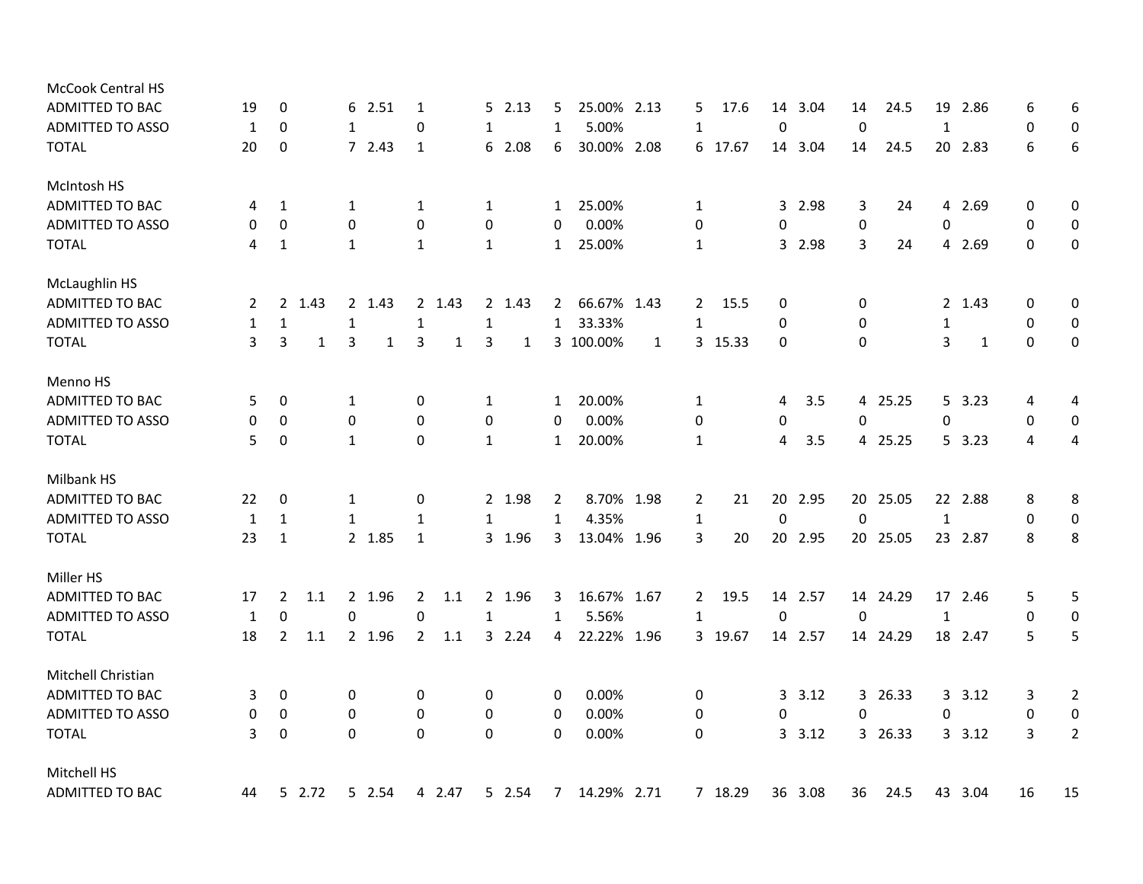| <b>McCook Central HS</b> |    |                  |      |                  |        |                |        |              |        |                |             |              |              |         |                |         |             |          |              |         |             |                  |
|--------------------------|----|------------------|------|------------------|--------|----------------|--------|--------------|--------|----------------|-------------|--------------|--------------|---------|----------------|---------|-------------|----------|--------------|---------|-------------|------------------|
| ADMITTED TO BAC          | 19 | 0                |      | 6                | 2.51   | 1              |        | 5.           | 2.13   | 5.             | 25.00% 2.13 |              | 5            | 17.6    | 14             | 3.04    | 14          | 24.5     | 19           | 2.86    | 6           | 6                |
| <b>ADMITTED TO ASSO</b>  | 1  | 0                |      | $\mathbf{1}$     |        | 0              |        | 1            |        | $\mathbf{1}$   | 5.00%       |              | $\mathbf{1}$ |         | 0              |         | $\mathbf 0$ |          | $\mathbf{1}$ |         | 0           | 0                |
| <b>TOTAL</b>             | 20 | $\mathbf 0$      |      |                  | 72.43  | $\mathbf{1}$   |        |              | 6 2.08 | 6              | 30.00%      | 2.08         | 6            | 17.67   | 14             | 3.04    | 14          | 24.5     | 20           | 2.83    | 6           | 6                |
| McIntosh HS              |    |                  |      |                  |        |                |        |              |        |                |             |              |              |         |                |         |             |          |              |         |             |                  |
| <b>ADMITTED TO BAC</b>   | 4  | 1                |      | 1                |        | 1              |        | $\mathbf{1}$ |        | $\mathbf{1}$   | 25.00%      |              | 1            |         | 3              | 2.98    | 3           | 24       | 4            | 2.69    | 0           | 0                |
| <b>ADMITTED TO ASSO</b>  | 0  | $\boldsymbol{0}$ |      | 0                |        | $\mathbf 0$    |        | 0            |        | 0              | 0.00%       |              | 0            |         | 0              |         | 0           |          | 0            |         | 0           | 0                |
| <b>TOTAL</b>             | 4  | 1                |      | 1                |        | $\mathbf{1}$   |        | 1            |        | 1              | 25.00%      |              | 1            |         | 3              | 2.98    | 3           | 24       |              | 4 2.69  | $\Omega$    | 0                |
| <b>McLaughlin HS</b>     |    |                  |      |                  |        |                |        |              |        |                |             |              |              |         |                |         |             |          |              |         |             |                  |
| ADMITTED TO BAC          | 2  | $\mathbf{2}$     | 1.43 |                  | 2 1.43 |                | 2 1.43 |              | 2 1.43 | $\mathbf{2}$   | 66.67% 1.43 |              | $\mathbf{2}$ | 15.5    | 0              |         | 0           |          |              | 2 1.43  | 0           | 0                |
| <b>ADMITTED TO ASSO</b>  | 1  | $\mathbf{1}$     |      | 1                |        | $\mathbf{1}$   |        | $\mathbf{1}$ |        | $\mathbf{1}$   | 33.33%      |              | $\mathbf{1}$ |         | 0              |         | 0           |          | $\mathbf{1}$ |         | 0           | $\boldsymbol{0}$ |
| <b>TOTAL</b>             | 3  | 3                | 1    | 3                | 1      | 3              | 1      | 3            | 1      |                | 3 100.00%   | $\mathbf{1}$ |              | 3 15.33 | 0              |         | $\Omega$    |          | 3            | 1       | $\Omega$    | 0                |
| Menno HS                 |    |                  |      |                  |        |                |        |              |        |                |             |              |              |         |                |         |             |          |              |         |             |                  |
| <b>ADMITTED TO BAC</b>   | 5. | 0                |      | 1                |        | 0              |        | 1            |        | 1              | 20.00%      |              | 1            |         | 4              | 3.5     |             | 4 25.25  |              | 5, 3.23 | 4           | 4                |
| <b>ADMITTED TO ASSO</b>  | 0  | 0                |      | 0                |        | $\mathbf 0$    |        | 0            |        | 0              | 0.00%       |              | 0            |         | 0              |         | 0           |          | 0            |         | 0           | $\boldsymbol{0}$ |
| <b>TOTAL</b>             | 5  | $\mathbf 0$      |      | 1                |        | $\mathbf 0$    |        | 1            |        | $\mathbf{1}$   | 20.00%      |              | 1            |         | 4              | 3.5     |             | 4 25.25  |              | 5 3.23  | 4           | 4                |
| Milbank HS               |    |                  |      |                  |        |                |        |              |        |                |             |              |              |         |                |         |             |          |              |         |             |                  |
| ADMITTED TO BAC          | 22 | 0                |      | 1                |        | 0              |        |              | 2 1.98 | $\overline{2}$ | 8.70% 1.98  |              | 2            | 21      |                | 20 2.95 |             | 20 25.05 |              | 22 2.88 | 8           | 8                |
| <b>ADMITTED TO ASSO</b>  | 1  | $\mathbf{1}$     |      | $\mathbf{1}$     |        | 1              |        | 1            |        | $\mathbf{1}$   | 4.35%       |              | $\mathbf{1}$ |         | $\mathbf 0$    |         | 0           |          | $\mathbf{1}$ |         | $\mathbf 0$ | $\boldsymbol{0}$ |
| <b>TOTAL</b>             | 23 | $\mathbf{1}$     |      |                  | 2 1.85 | $\mathbf{1}$   |        |              | 3 1.96 | 3              | 13.04% 1.96 |              | 3            | 20      |                | 20 2.95 |             | 20 25.05 |              | 23 2.87 | 8           | 8                |
| Miller HS                |    |                  |      |                  |        |                |        |              |        |                |             |              |              |         |                |         |             |          |              |         |             |                  |
| ADMITTED TO BAC          | 17 | 2                | 1.1  |                  | 2 1.96 | 2              | 1.1    |              | 2 1.96 | 3              | 16.67% 1.67 |              | $\mathbf{2}$ | 19.5    |                | 14 2.57 |             | 14 24.29 |              | 17 2.46 | 5           | 5                |
| <b>ADMITTED TO ASSO</b>  | 1  | $\boldsymbol{0}$ |      | $\mathbf 0$      |        | 0              |        | $\mathbf{1}$ |        | $\mathbf{1}$   | 5.56%       |              | $\mathbf{1}$ |         | $\mathbf 0$    |         | $\mathbf 0$ |          | $\mathbf{1}$ |         | 0           | 0                |
| <b>TOTAL</b>             | 18 | 2                | 1.1  |                  | 2 1.96 | $\overline{2}$ | 1.1    |              | 3 2.24 | 4              | 22.22% 1.96 |              |              | 3 19.67 |                | 14 2.57 |             | 14 24.29 |              | 18 2.47 | 5           | 5                |
| Mitchell Christian       |    |                  |      |                  |        |                |        |              |        |                |             |              |              |         |                |         |             |          |              |         |             |                  |
| ADMITTED TO BAC          | 3  | 0                |      | 0                |        | 0              |        | 0            |        | 0              | 0.00%       |              | 0            |         | $\overline{3}$ | 3.12    |             | 3 26.33  | 3            | 3.12    | 3           | 2                |
| <b>ADMITTED TO ASSO</b>  | 0  | 0                |      | $\boldsymbol{0}$ |        | $\mathbf 0$    |        | 0            |        | 0              | 0.00%       |              | 0            |         | 0              |         | 0           |          | 0            |         | 0           | 0                |
| <b>TOTAL</b>             | 3  | $\boldsymbol{0}$ |      | 0                |        | 0              |        | 0            |        | 0              | 0.00%       |              | 0            |         | 3              | 3.12    |             | 3 26.33  |              | 3.12    | 3           | $\overline{2}$   |
| Mitchell HS              |    |                  |      |                  |        |                |        |              |        |                |             |              |              |         |                |         |             |          |              |         |             |                  |
| <b>ADMITTED TO BAC</b>   | 44 | 5 2.72           |      |                  | 5 2.54 |                | 4 2.47 |              | 5 2.54 | $\overline{7}$ | 14.29% 2.71 |              |              | 7 18.29 |                | 36 3.08 | 36          | 24.5     |              | 43 3.04 | 16          | 15               |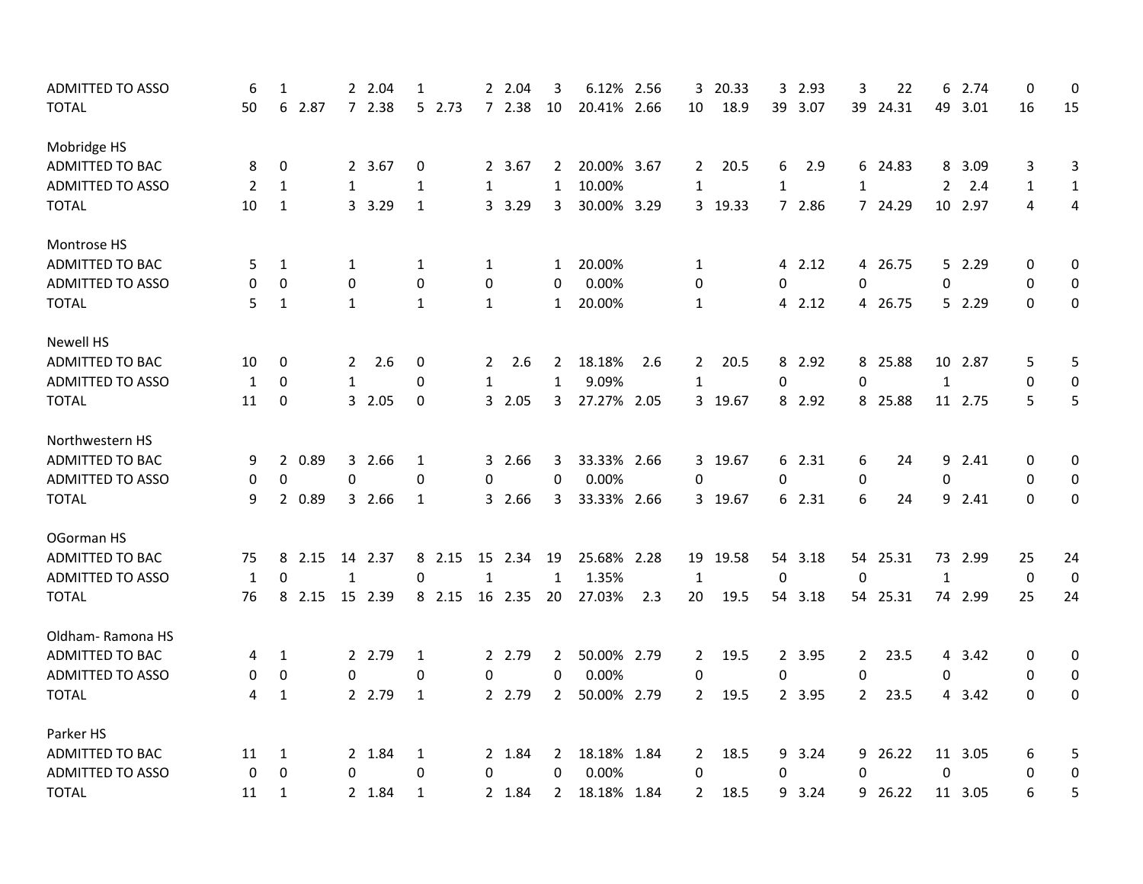| <b>ADMITTED TO ASSO</b> | 6  | 1                |        |              | 2 2.04  | 1            |        | $\mathbf{2}$ | 2.04    | 3              | 6.12%       | 2.56 | 3              | 20.33    | 3            | 2.93    | 3           | 22       | 6              | 2.74    | $\pmb{0}$   | $\mathbf 0$             |
|-------------------------|----|------------------|--------|--------------|---------|--------------|--------|--------------|---------|----------------|-------------|------|----------------|----------|--------------|---------|-------------|----------|----------------|---------|-------------|-------------------------|
| <b>TOTAL</b>            | 50 | 6                | 2.87   |              | 7 2.38  |              | 5 2.73 |              | 7 2.38  | 10             | 20.41% 2.66 |      | 10             | 18.9     | 39           | 3.07    | 39          | 24.31    | 49             | 3.01    | 16          | 15                      |
| Mobridge HS             |    |                  |        |              |         |              |        |              |         |                |             |      |                |          |              |         |             |          |                |         |             |                         |
| ADMITTED TO BAC         | 8  | 0                |        |              | 2 3.67  | 0            |        |              | 2 3.67  | 2              | 20.00% 3.67 |      | $\mathbf{2}$   | 20.5     | 6            | 2.9     |             | 6 24.83  | 8              | 3.09    | 3           | 3                       |
| <b>ADMITTED TO ASSO</b> | 2  | 1                |        | 1            |         | 1            |        | $\mathbf{1}$ |         | 1              | 10.00%      |      | 1              |          | 1            |         | 1           |          | $\overline{2}$ | 2.4     | 1           | $\mathbf{1}$            |
| <b>TOTAL</b>            | 10 | $\mathbf{1}$     |        | 3            | 3.29    | $\mathbf{1}$ |        |              | 3 3.29  | 3              | 30.00% 3.29 |      |                | 3 19.33  |              | 7 2.86  |             | 7 24.29  |                | 10 2.97 | 4           | $\overline{\mathbf{4}}$ |
| Montrose HS             |    |                  |        |              |         |              |        |              |         |                |             |      |                |          |              |         |             |          |                |         |             |                         |
| ADMITTED TO BAC         | 5. | $\mathbf{1}$     |        | 1            |         | 1            |        | 1            |         | 1              | 20.00%      |      | 1              |          |              | 4 2.12  |             | 4 26.75  |                | 5 2.29  | 0           | 0                       |
| <b>ADMITTED TO ASSO</b> | 0  | 0                |        | 0            |         | $\mathbf 0$  |        | $\pmb{0}$    |         | $\mathbf{0}$   | 0.00%       |      | 0              |          | 0            |         | 0           |          | 0              |         | 0           | 0                       |
| <b>TOTAL</b>            | 5  | $\mathbf{1}$     |        | $\mathbf{1}$ |         | 1            |        | $\mathbf{1}$ |         | $\mathbf{1}$   | 20.00%      |      | 1              |          |              | 4 2.12  |             | 4 26.75  |                | 5 2.29  | $\Omega$    | 0                       |
| <b>Newell HS</b>        |    |                  |        |              |         |              |        |              |         |                |             |      |                |          |              |         |             |          |                |         |             |                         |
| <b>ADMITTED TO BAC</b>  | 10 | 0                |        | $\mathbf{2}$ | 2.6     | 0            |        | 2            | 2.6     | 2              | 18.18%      | 2.6  | $\mathbf{2}$   | 20.5     |              | 8 2.92  |             | 8 25.88  |                | 10 2.87 | 5           | 5                       |
| <b>ADMITTED TO ASSO</b> | 1  | $\Omega$         |        | $\mathbf{1}$ |         | 0            |        | $\mathbf{1}$ |         | 1              | 9.09%       |      | 1              |          | $\mathbf{0}$ |         | 0           |          | 1              |         | $\Omega$    | $\boldsymbol{0}$        |
| <b>TOTAL</b>            | 11 | 0                |        |              | 3 2.05  | 0            |        |              | 3 2.05  | 3              | 27.27% 2.05 |      |                | 3 19.67  |              | 8 2.92  |             | 8 25.88  |                | 11 2.75 | 5           | 5                       |
| Northwestern HS         |    |                  |        |              |         |              |        |              |         |                |             |      |                |          |              |         |             |          |                |         |             |                         |
| <b>ADMITTED TO BAC</b>  | 9  |                  | 2 0.89 |              | 3 2.66  | 1            |        |              | 3 2.66  | 3              | 33.33% 2.66 |      |                | 3 19.67  |              | 6 2.31  | 6           | 24       |                | 9 2.41  | 0           | 0                       |
| ADMITTED TO ASSO        | 0  | $\pmb{0}$        |        | $\mathbf{0}$ |         | $\mathbf{0}$ |        | 0            |         | $\Omega$       | 0.00%       |      | 0              |          | $\mathbf{0}$ |         | 0           |          | 0              |         | 0           | 0                       |
| <b>TOTAL</b>            | 9  |                  | 2 0.89 |              | 3 2.66  | 1            |        |              | 3 2.66  | 3              | 33.33% 2.66 |      |                | 3 19.67  |              | 6 2.31  | 6           | 24       |                | 9 2.41  | $\Omega$    | 0                       |
| OGorman HS              |    |                  |        |              |         |              |        |              |         |                |             |      |                |          |              |         |             |          |                |         |             |                         |
| <b>ADMITTED TO BAC</b>  | 75 |                  | 8 2.15 |              | 14 2.37 |              | 8 2.15 |              | 15 2.34 | 19             | 25.68% 2.28 |      |                | 19 19.58 |              | 54 3.18 |             | 54 25.31 |                | 73 2.99 | 25          | 24                      |
| ADMITTED TO ASSO        | 1  | 0                |        | $\mathbf 1$  |         | $\Omega$     |        | 1            |         | 1              | 1.35%       |      | 1              |          | $\mathbf 0$  |         | $\Omega$    |          | 1              |         | $\mathbf 0$ | $\pmb{0}$               |
| <b>TOTAL</b>            | 76 |                  | 8 2.15 |              | 15 2.39 |              | 8 2.15 |              | 16 2.35 | 20             | 27.03%      | 2.3  | 20             | 19.5     |              | 54 3.18 |             | 54 25.31 |                | 74 2.99 | 25          | 24                      |
| Oldham-Ramona HS        |    |                  |        |              |         |              |        |              |         |                |             |      |                |          |              |         |             |          |                |         |             |                         |
| ADMITTED TO BAC         | 4  | 1                |        |              | 2 2.79  | 1            |        |              | 2 2.79  | 2              | 50.00% 2.79 |      | $\mathbf{2}$   | 19.5     |              | 2 3.95  | $2^{\circ}$ | 23.5     |                | 4 3.42  | 0           | 0                       |
| ADMITTED TO ASSO        | 0  | 0                |        | 0            |         | 0            |        | 0            |         | 0              | 0.00%       |      | 0              |          | 0            |         | 0           |          | 0              |         | 0           | 0                       |
| <b>TOTAL</b>            | 4  | $\mathbf{1}$     |        |              | 2 2.79  | $\mathbf{1}$ |        |              | 2 2.79  | $\overline{2}$ | 50.00% 2.79 |      | $\overline{2}$ | 19.5     |              | 2 3.95  | $2^{\circ}$ | 23.5     |                | 4 3.42  | $\Omega$    | 0                       |
| Parker HS               |    |                  |        |              |         |              |        |              |         |                |             |      |                |          |              |         |             |          |                |         |             |                         |
| ADMITTED TO BAC         | 11 | 1                |        |              | 2 1.84  | 1            |        |              | 2 1.84  | 2              | 18.18% 1.84 |      | 2              | 18.5     | 9            | 3.24    | 9           | 26.22    |                | 11 3.05 | 6           | 5                       |
| <b>ADMITTED TO ASSO</b> | 0  | $\boldsymbol{0}$ |        | 0            |         | 0            |        | 0            |         | $\pmb{0}$      | 0.00%       |      | $\mathbf 0$    |          | 0            |         | $\pmb{0}$   |          | $\pmb{0}$      |         | 0           | 0                       |
| <b>TOTAL</b>            | 11 | $\mathbf{1}$     |        |              | 2 1.84  | $\mathbf{1}$ |        |              | 2 1.84  | $\overline{2}$ | 18.18% 1.84 |      | $\overline{2}$ | 18.5     | 9            | 3.24    | 9           | 26.22    |                | 11 3.05 | 6           | 5                       |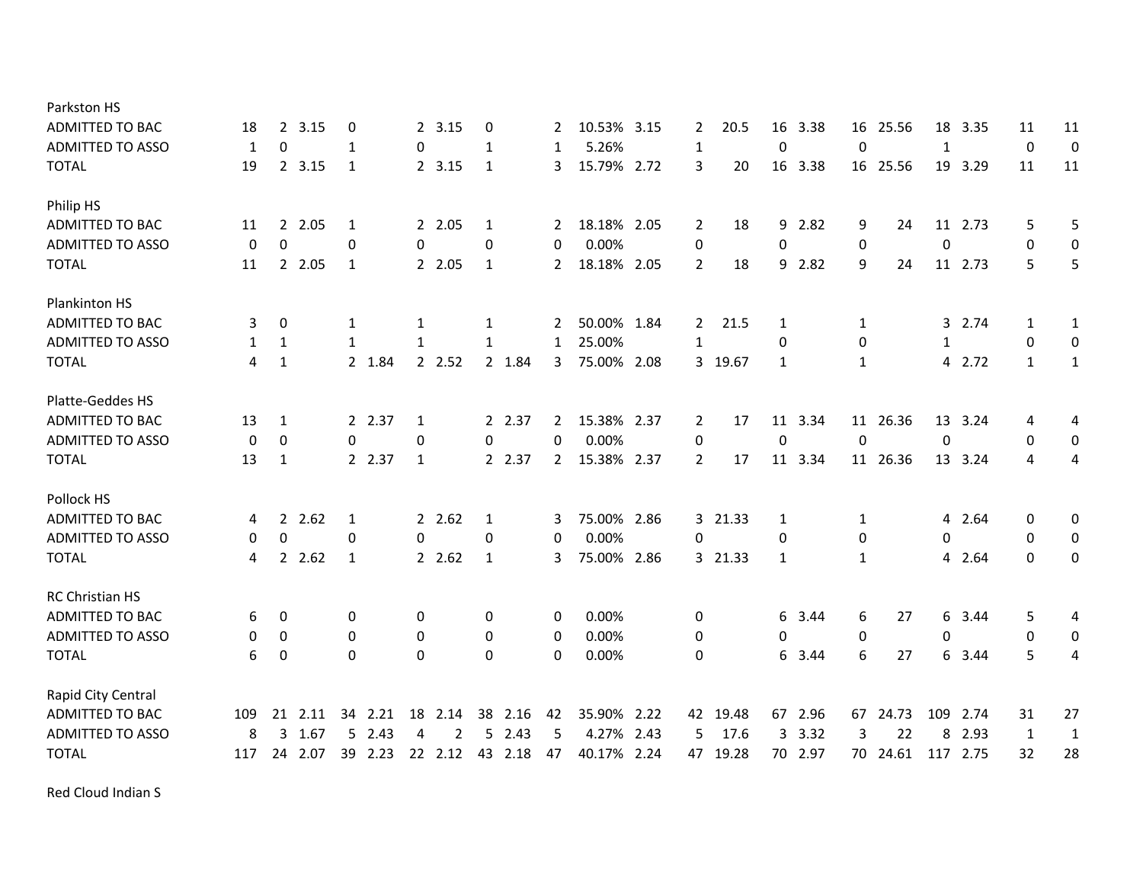| Parkston HS             |     |                |        |              |        |              |         |              |         |                       |             |      |                |         |              |         |                  |          |              |          |                  |              |
|-------------------------|-----|----------------|--------|--------------|--------|--------------|---------|--------------|---------|-----------------------|-------------|------|----------------|---------|--------------|---------|------------------|----------|--------------|----------|------------------|--------------|
| ADMITTED TO BAC         | 18  | $\overline{2}$ | 3.15   | 0            |        |              | 2 3.15  | 0            |         | $\mathbf{2}$          | 10.53% 3.15 |      | 2              | 20.5    | 16           | 3.38    |                  | 16 25.56 | 18           | 3.35     | 11               | 11           |
| <b>ADMITTED TO ASSO</b> | 1   | $\mathbf 0$    |        | $\mathbf{1}$ |        | $\mathbf{0}$ |         | $\mathbf{1}$ |         | 1                     | 5.26%       |      | $\mathbf{1}$   |         | $\mathbf 0$  |         | 0                |          | $\mathbf{1}$ |          | $\mathbf 0$      | $\mathbf 0$  |
| <b>TOTAL</b>            | 19  |                | 2 3.15 | 1            |        |              | 2 3.15  | 1            |         | 3                     | 15.79% 2.72 |      | 3              | 20      |              | 16 3.38 |                  | 16 25.56 | 19           | 3.29     | 11               | 11           |
| Philip HS               |     |                |        |              |        |              |         |              |         |                       |             |      |                |         |              |         |                  |          |              |          |                  |              |
| <b>ADMITTED TO BAC</b>  | 11  |                | 2 2.05 | 1            |        |              | 2 2.05  | 1            |         | 2                     | 18.18% 2.05 |      | $\overline{2}$ | 18      |              | 9 2.82  | 9                | 24       |              | 11 2.73  | 5                | 5            |
| <b>ADMITTED TO ASSO</b> | 0   | $\mathbf 0$    |        | 0            |        | 0            |         | 0            |         | $\Omega$              | 0.00%       |      | 0              |         | 0            |         | $\boldsymbol{0}$ |          | $\mathbf 0$  |          | $\boldsymbol{0}$ | $\pmb{0}$    |
| <b>TOTAL</b>            | 11  |                | 2 2.05 | 1            |        |              | 2 2.05  | 1            |         | 2                     | 18.18% 2.05 |      | $\overline{2}$ | 18      | 9            | 2.82    | 9                | 24       |              | 11 2.73  | 5                | 5            |
| Plankinton HS           |     |                |        |              |        |              |         |              |         |                       |             |      |                |         |              |         |                  |          |              |          |                  |              |
| <b>ADMITTED TO BAC</b>  | 3   | 0              |        | 1            |        | 1            |         | 1            |         | 2                     | 50.00% 1.84 |      | $\mathbf{2}$   | 21.5    | 1            |         | 1                |          |              | 3 2.74   | 1                | 1            |
| <b>ADMITTED TO ASSO</b> | 1   | $\mathbf{1}$   |        | 1            |        | $\mathbf{1}$ |         | 1            |         | $\mathbf{1}$          | 25.00%      |      | 1              |         | $\Omega$     |         | $\mathbf 0$      |          | 1            |          | $\mathbf 0$      | 0            |
| <b>TOTAL</b>            | 4   | 1              |        |              | 2 1.84 |              | 2 2.52  |              | 2 1.84  | 3                     | 75.00% 2.08 |      |                | 3 19.67 | $\mathbf{1}$ |         | 1                |          |              | 4 2.72   | $\mathbf{1}$     | $\mathbf{1}$ |
| Platte-Geddes HS        |     |                |        |              |        |              |         |              |         |                       |             |      |                |         |              |         |                  |          |              |          |                  |              |
| ADMITTED TO BAC         | 13  | 1              |        |              | 2 2.37 | 1            |         |              | 2 2.37  | $\mathbf{2}^{\prime}$ | 15.38% 2.37 |      | $\overline{2}$ | 17      | 11           | 3.34    |                  | 11 26.36 | 13           | 3.24     | 4                | 4            |
| <b>ADMITTED TO ASSO</b> | 0   | 0              |        | 0            |        | $\mathbf 0$  |         | $\mathbf 0$  |         | 0                     | 0.00%       |      | 0              |         | 0            |         | 0                |          | 0            |          | 0                | 0            |
| <b>TOTAL</b>            | 13  | 1              |        |              | 2 2.37 | $\mathbf{1}$ |         |              | 2 2.37  | $\overline{2}$        | 15.38% 2.37 |      | $\overline{2}$ | 17      | 11           | 3.34    |                  | 11 26.36 |              | 13 3.24  | 4                | 4            |
| Pollock HS              |     |                |        |              |        |              |         |              |         |                       |             |      |                |         |              |         |                  |          |              |          |                  |              |
| <b>ADMITTED TO BAC</b>  | 4   |                | 2.62   | 1            |        |              | 2.62    | $\mathbf{1}$ |         | 3                     | 75.00% 2.86 |      |                | 3 21.33 | 1            |         | 1                |          |              | 4 2.64   | 0                | 0            |
| <b>ADMITTED TO ASSO</b> | 0   | $\mathbf 0$    |        | 0            |        | $\Omega$     |         | $\mathbf 0$  |         | 0                     | 0.00%       |      | 0              |         | 0            |         | $\mathbf 0$      |          | 0            |          | 0                | 0            |
| <b>TOTAL</b>            | 4   |                | 2.62   | 1            |        |              | 2.62    | 1            |         | 3                     | 75.00% 2.86 |      |                | 3 21.33 | 1            |         | 1                |          |              | 4 2.64   | $\Omega$         | 0            |
| <b>RC Christian HS</b>  |     |                |        |              |        |              |         |              |         |                       |             |      |                |         |              |         |                  |          |              |          |                  |              |
| <b>ADMITTED TO BAC</b>  | 6   | 0              |        | 0            |        | 0            |         | 0            |         | 0                     | 0.00%       |      | 0              |         | 6            | 3.44    | 6                | 27       | 6            | 3.44     | 5                | 4            |
| <b>ADMITTED TO ASSO</b> | 0   | 0              |        | 0            |        | $\mathbf 0$  |         | 0            |         | 0                     | 0.00%       |      | 0              |         | 0            |         | 0                |          | 0            |          | 0                | 0            |
| <b>TOTAL</b>            | 6   | 0              |        | 0            |        | 0            |         | 0            |         | $\mathbf 0$           | 0.00%       |      | 0              |         | 6            | 3.44    | 6                | 27       | 6            | 3.44     | 5                | 4            |
| Rapid City Central      |     |                |        |              |        |              |         |              |         |                       |             |      |                |         |              |         |                  |          |              |          |                  |              |
| <b>ADMITTED TO BAC</b>  | 109 | 21             | 2.11   | 34           | 2.21   | 18           | 2.14    | 38           | 2.16    | 42                    | 35.90% 2.22 |      | 42             | 19.48   | 67           | 2.96    | 67               | 24.73    | 109          | 2.74     | 31               | 27           |
| <b>ADMITTED TO ASSO</b> | 8   | 3              | 1.67   | 5            | 2.43   | 4            | 2       | 5            | 2.43    | -5                    | 4.27%       | 2.43 | 5              | 17.6    | 3            | 3.32    | 3                | 22       | 8            | 2.93     | $\mathbf{1}$     | $\mathbf{1}$ |
| <b>TOTAL</b>            | 117 | 24             | 2.07   | 39           | 2.23   |              | 22 2.12 |              | 43 2.18 | 47                    | 40.17% 2.24 |      | 47             | 19.28   |              | 70 2.97 |                  | 70 24.61 |              | 117 2.75 | 32               | 28           |

Red Cloud Indian S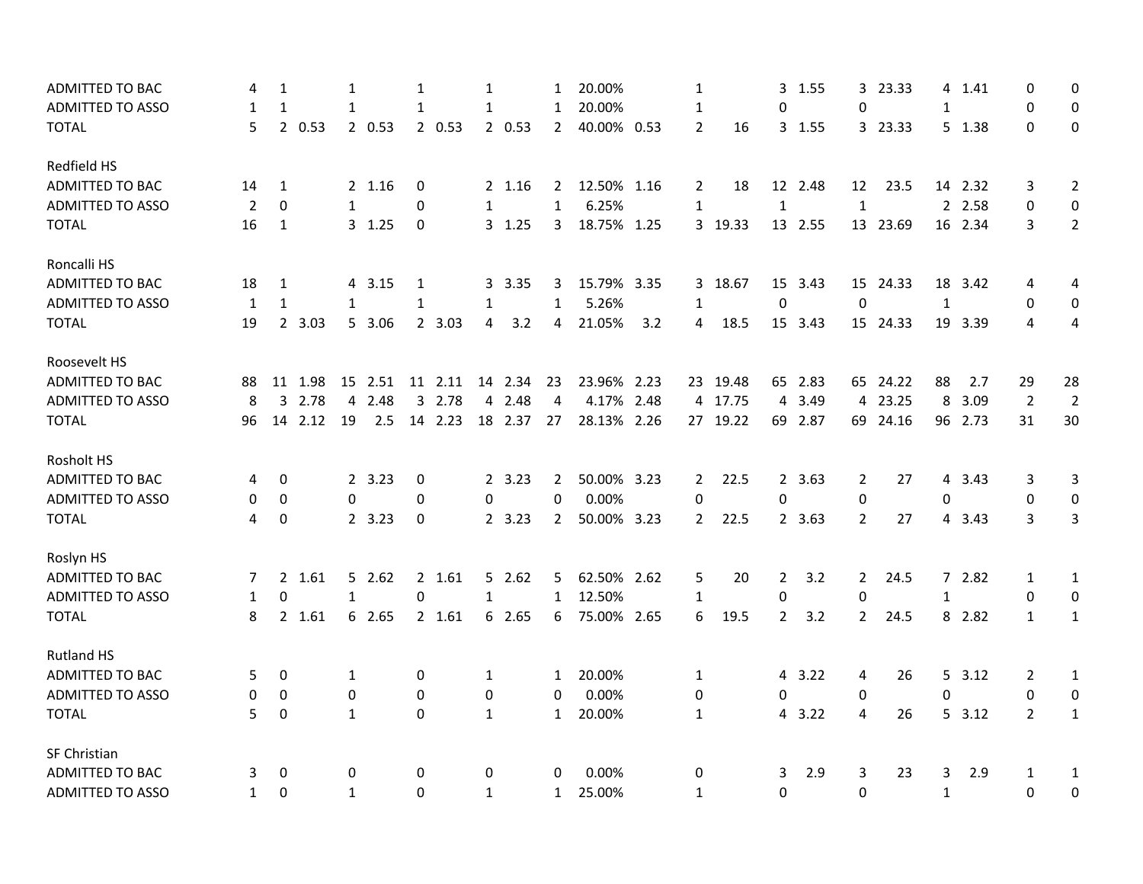| ADMITTED TO BAC         | 4            | $\mathbf{1}$     |         | $\mathbf{1}$ |         | $\mathbf{1}$     |         | $\mathbf{1}$ |         | 1              | 20.00%      |     | $\mathbf{1}$   |          |                | 3 1.55  |                | 3 23.33  |              | 4 1.41  | 0              | 0                |
|-------------------------|--------------|------------------|---------|--------------|---------|------------------|---------|--------------|---------|----------------|-------------|-----|----------------|----------|----------------|---------|----------------|----------|--------------|---------|----------------|------------------|
| <b>ADMITTED TO ASSO</b> | 1            | $\mathbf{1}$     |         | $\mathbf{1}$ |         | $\mathbf{1}$     |         | $\mathbf{1}$ |         | $\mathbf{1}$   | 20.00%      |     | 1              |          | 0              |         | 0              |          | $\mathbf{1}$ |         | 0              | 0                |
| <b>TOTAL</b>            | 5            |                  | 2 0.53  |              | 2 0.53  |                  | 20.53   |              | 2 0.53  | $\overline{2}$ | 40.00% 0.53 |     | $\overline{2}$ | 16       |                | 3 1.55  |                | 3 23.33  |              | 5 1.38  | $\Omega$       | $\mathbf 0$      |
| Redfield HS             |              |                  |         |              |         |                  |         |              |         |                |             |     |                |          |                |         |                |          |              |         |                |                  |
| <b>ADMITTED TO BAC</b>  | 14           | $\mathbf{1}$     |         |              | 2 1.16  | $\boldsymbol{0}$ |         |              | 2 1.16  | $\overline{2}$ | 12.50% 1.16 |     | $\mathbf{2}$   | 18       |                | 12 2.48 | 12             | 23.5     |              | 14 2.32 | 3              | 2                |
| <b>ADMITTED TO ASSO</b> | 2            | $\mathbf 0$      |         | 1            |         | 0                |         | 1            |         | 1              | 6.25%       |     | $\mathbf{1}$   |          | $\mathbf{1}$   |         | $\mathbf{1}$   |          |              | 2 2.58  | $\mathbf 0$    | $\mathbf 0$      |
| <b>TOTAL</b>            | 16           | 1                |         |              | 3, 1.25 | 0                |         |              | 3, 1.25 | 3              | 18.75% 1.25 |     |                | 3 19.33  |                | 13 2.55 |                | 13 23.69 |              | 16 2.34 | 3              | $2^{\circ}$      |
| Roncalli HS             |              |                  |         |              |         |                  |         |              |         |                |             |     |                |          |                |         |                |          |              |         |                |                  |
| <b>ADMITTED TO BAC</b>  | 18           | $\mathbf{1}$     |         | 4            | 3.15    | 1                |         |              | 3 3.35  | 3              | 15.79% 3.35 |     |                | 3 18.67  |                | 15 3.43 |                | 15 24.33 |              | 18 3.42 | 4              | 4                |
| <b>ADMITTED TO ASSO</b> | 1            | 1                |         | 1            |         | 1                |         | 1            |         | 1              | 5.26%       |     | $\mathbf{1}$   |          | $\mathbf 0$    |         | $\mathbf 0$    |          | $\mathbf{1}$ |         | $\mathbf 0$    | 0                |
| <b>TOTAL</b>            | 19           |                  | 2 3.03  |              | 5 3.06  |                  | 2 3.03  | 4            | 3.2     | 4              | 21.05%      | 3.2 | 4              | 18.5     |                | 15 3.43 |                | 15 24.33 |              | 19 3.39 | 4              | 4                |
| Roosevelt HS            |              |                  |         |              |         |                  |         |              |         |                |             |     |                |          |                |         |                |          |              |         |                |                  |
| <b>ADMITTED TO BAC</b>  | 88           |                  | 11 1.98 |              | 15 2.51 |                  | 11 2.11 |              | 14 2.34 | 23             | 23.96% 2.23 |     |                | 23 19.48 |                | 65 2.83 |                | 65 24.22 | 88           | 2.7     | 29             | 28               |
| <b>ADMITTED TO ASSO</b> | 8            | 3                | 2.78    | 4            | 2.48    |                  | 3 2.78  |              | 4 2.48  | $\overline{4}$ | 4.17% 2.48  |     |                | 4 17.75  |                | 4 3.49  |                | 4 23.25  | 8            | 3.09    | $\overline{2}$ | $\overline{2}$   |
| <b>TOTAL</b>            | 96           |                  | 14 2.12 | 19           | 2.5     |                  | 14 2.23 |              | 18 2.37 | 27             | 28.13% 2.26 |     |                | 27 19.22 |                | 69 2.87 |                | 69 24.16 |              | 96 2.73 | 31             | 30               |
| Rosholt HS              |              |                  |         |              |         |                  |         |              |         |                |             |     |                |          |                |         |                |          |              |         |                |                  |
| <b>ADMITTED TO BAC</b>  | 4            | 0                |         |              | 2 3.23  | 0                |         |              | 2, 3.23 | 2              | 50.00% 3.23 |     | $\mathbf{2}$   | 22.5     |                | 2 3.63  | $\overline{2}$ | 27       |              | 4 3.43  | 3              | 3                |
| <b>ADMITTED TO ASSO</b> | 0            | 0                |         | 0            |         | 0                |         | 0            |         | 0              | 0.00%       |     | 0              |          | 0              |         | 0              |          | 0            |         | 0              | 0                |
| <b>TOTAL</b>            | 4            | $\mathbf 0$      |         |              | 2 3.23  | $\mathbf 0$      |         |              | 2, 3.23 | $\overline{2}$ | 50.00% 3.23 |     | $\mathbf{2}$   | 22.5     |                | 2 3.63  | $\overline{2}$ | 27       |              | 4 3.43  | 3              | 3                |
| Roslyn HS               |              |                  |         |              |         |                  |         |              |         |                |             |     |                |          |                |         |                |          |              |         |                |                  |
| ADMITTED TO BAC         | 7            |                  | 2 1.61  |              | 52.62   |                  | 2 1.61  |              | 52.62   | 5              | 62.50% 2.62 |     | 5              | 20       | $\mathbf{2}$   | 3.2     | $\overline{2}$ | 24.5     |              | 72.82   | 1              | 1                |
| <b>ADMITTED TO ASSO</b> | 1            | 0                |         | $\mathbf{1}$ |         | $\mathbf 0$      |         | $\mathbf{1}$ |         | $\mathbf{1}$   | 12.50%      |     | $\mathbf{1}$   |          | 0              |         | 0              |          | 1            |         | 0              | 0                |
| <b>TOTAL</b>            | 8            |                  | 2 1.61  |              | 6 2.65  |                  | 2 1.61  |              | 6 2.65  | 6              | 75.00% 2.65 |     | 6              | 19.5     | $\overline{2}$ | 3.2     | $\overline{2}$ | 24.5     |              | 8 2.82  | $\mathbf{1}$   | $\mathbf{1}$     |
| <b>Rutland HS</b>       |              |                  |         |              |         |                  |         |              |         |                |             |     |                |          |                |         |                |          |              |         |                |                  |
| <b>ADMITTED TO BAC</b>  | 5            | 0                |         | $\mathbf{1}$ |         | 0                |         | $\mathbf{1}$ |         | $\mathbf{1}$   | 20.00%      |     | 1              |          |                | 4 3.22  | 4              | 26       |              | 5, 3.12 | 2              | 1                |
| <b>ADMITTED TO ASSO</b> | 0            | $\boldsymbol{0}$ |         | $\mathbf 0$  |         | $\mathbf 0$      |         | 0            |         | 0              | 0.00%       |     | 0              |          | $\Omega$       |         | 0              |          | $\Omega$     |         | 0              | $\boldsymbol{0}$ |
| <b>TOTAL</b>            | 5            | $\mathbf 0$      |         | $\mathbf{1}$ |         | $\mathbf{0}$     |         | $\mathbf{1}$ |         | $\mathbf{1}$   | 20.00%      |     | $\mathbf{1}$   |          | 4              | 3.22    | 4              | 26       |              | 5, 3.12 | $\overline{2}$ | $\mathbf{1}$     |
| SF Christian            |              |                  |         |              |         |                  |         |              |         |                |             |     |                |          |                |         |                |          |              |         |                |                  |
| ADMITTED TO BAC         | 3            | 0                |         | 0            |         | 0                |         | 0            |         | 0              | 0.00%       |     | 0              |          | 3              | 2.9     | 3              | 23       | 3            | 2.9     | 1              | 1                |
| <b>ADMITTED TO ASSO</b> | $\mathbf{1}$ | $\Omega$         |         | $\mathbf{1}$ |         | $\mathbf 0$      |         | $\mathbf{1}$ |         | $\mathbf{1}$   | 25.00%      |     | $\mathbf{1}$   |          | $\Omega$       |         | $\mathbf{0}$   |          | $\mathbf{1}$ |         | $\Omega$       | 0                |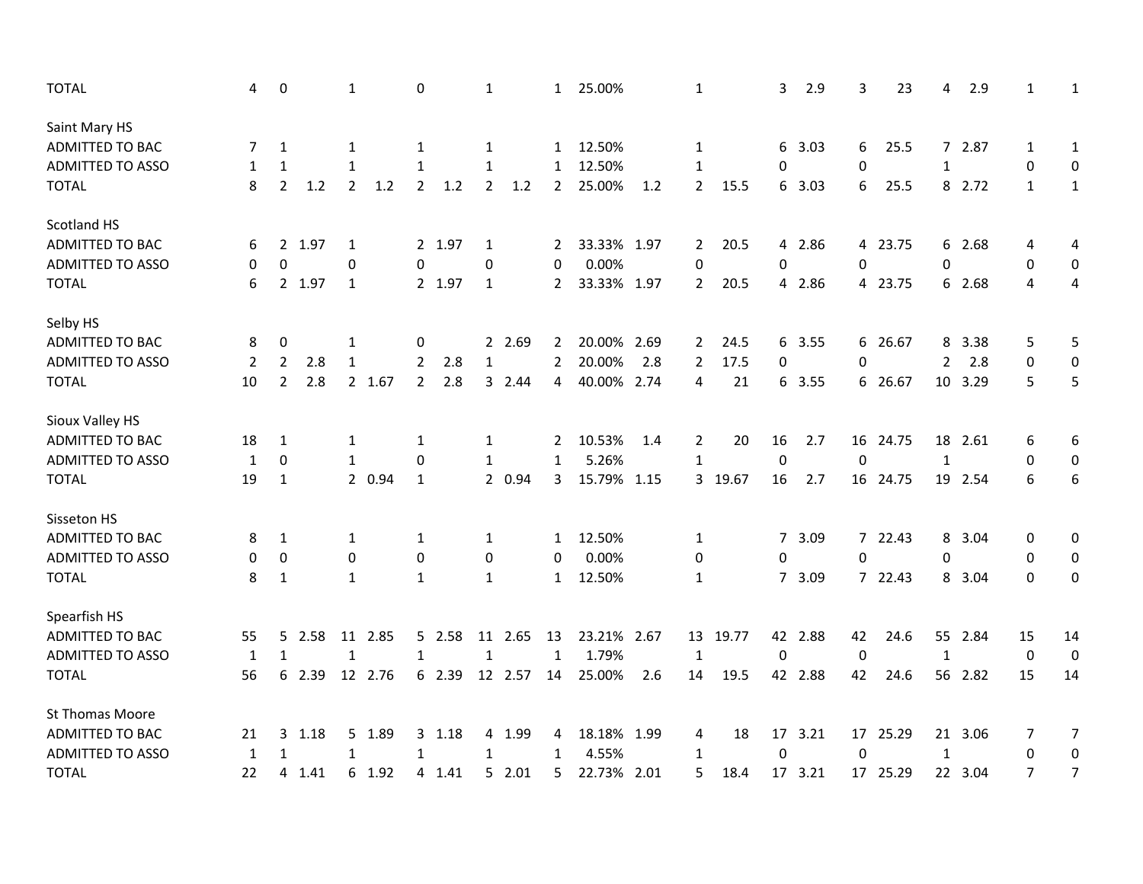| <b>TOTAL</b>            | 4            | 0                |        | 1              |         | 0              |        | 1                |         | $\mathbf{1}$   | 25.00%      |      | 1              |          | 3           | 2.9     | 3           | 23       | 4              | 2.9     | 1              | 1                |
|-------------------------|--------------|------------------|--------|----------------|---------|----------------|--------|------------------|---------|----------------|-------------|------|----------------|----------|-------------|---------|-------------|----------|----------------|---------|----------------|------------------|
| Saint Mary HS           |              |                  |        |                |         |                |        |                  |         |                |             |      |                |          |             |         |             |          |                |         |                |                  |
| ADMITTED TO BAC         | 7            | 1                |        | 1              |         | 1              |        | 1                |         | $\mathbf{1}$   | 12.50%      |      | 1              |          |             | 6 3.03  | 6           | 25.5     |                | 7 2.87  | 1              | $\mathbf{1}$     |
| <b>ADMITTED TO ASSO</b> | 1            | 1                |        | $\mathbf{1}$   |         | 1              |        | 1                |         | $\mathbf{1}$   | 12.50%      |      | 1              |          | 0           |         | 0           |          | 1              |         | $\mathbf 0$    | 0                |
| <b>TOTAL</b>            | 8            | $\overline{2}$   | 1.2    | $\overline{2}$ | 1.2     | $\overline{2}$ | 1.2    | $\overline{2}$   | 1.2     | $\overline{2}$ | 25.00%      | 1.2  | $\overline{2}$ | 15.5     |             | 6 3.03  | 6           | 25.5     |                | 8 2.72  | $\mathbf{1}$   | $\mathbf{1}$     |
| Scotland HS             |              |                  |        |                |         |                |        |                  |         |                |             |      |                |          |             |         |             |          |                |         |                |                  |
| ADMITTED TO BAC         | 6            |                  | 2 1.97 | 1              |         |                | 2 1.97 | 1                |         | $\mathbf{2}$   | 33.33% 1.97 |      | $\mathbf{2}$   | 20.5     |             | 4 2.86  |             | 4 23.75  |                | 6 2.68  | 4              | 4                |
| <b>ADMITTED TO ASSO</b> | 0            | 0                |        | 0              |         | 0              |        | 0                |         | 0              | 0.00%       |      | 0              |          | 0           |         | 0           |          | 0              |         | 0              | 0                |
| <b>TOTAL</b>            | 6            |                  | 2 1.97 | $\mathbf{1}$   |         |                | 2 1.97 | $\mathbf{1}$     |         | $\mathbf{2}$   | 33.33% 1.97 |      | $\overline{2}$ | 20.5     |             | 4 2.86  |             | 4 23.75  |                | 6 2.68  | 4              | 4                |
| Selby HS                |              |                  |        |                |         |                |        |                  |         |                |             |      |                |          |             |         |             |          |                |         |                |                  |
| ADMITTED TO BAC         | 8            | 0                |        | 1              |         | 0              |        |                  | 2 2.69  | 2              | 20.00%      | 2.69 | $\mathbf{2}$   | 24.5     |             | 6 3.55  |             | 6 26.67  | 8              | 3.38    | 5              | 5                |
| <b>ADMITTED TO ASSO</b> | 2            | $\overline{2}$   | 2.8    | $\mathbf{1}$   |         | 2              | 2.8    | $\mathbf{1}$     |         | $\overline{2}$ | 20.00%      | 2.8  | $\overline{2}$ | 17.5     | 0           |         | 0           |          | $\overline{2}$ | 2.8     | 0              | 0                |
| <b>TOTAL</b>            | 10           | $\overline{2}$   | 2.8    |                | 2 1.67  | $\overline{2}$ | 2.8    |                  | 32.44   | 4              | 40.00% 2.74 |      | 4              | 21       |             | 6 3.55  |             | 6 26.67  |                | 10 3.29 | 5              | 5                |
| Sioux Valley HS         |              |                  |        |                |         |                |        |                  |         |                |             |      |                |          |             |         |             |          |                |         |                |                  |
| ADMITTED TO BAC         | 18           | 1                |        | 1              |         | 1              |        | 1                |         | 2              | 10.53%      | 1.4  | 2              | 20       | 16          | 2.7     |             | 16 24.75 |                | 18 2.61 | 6              | 6                |
| <b>ADMITTED TO ASSO</b> | $\mathbf{1}$ | $\mathbf 0$      |        | $\mathbf{1}$   |         | $\Omega$       |        | 1                |         | $\mathbf{1}$   | 5.26%       |      | 1              |          | 0           |         | $\mathbf 0$ |          | 1              |         | 0              | 0                |
| <b>TOTAL</b>            | 19           | $\mathbf{1}$     |        |                | 2 0.94  | $\mathbf{1}$   |        |                  | 2 0.94  | 3              | 15.79%      | 1.15 |                | 3 19.67  | 16          | 2.7     |             | 16 24.75 | 19             | 2.54    | 6              | 6                |
| Sisseton HS             |              |                  |        |                |         |                |        |                  |         |                |             |      |                |          |             |         |             |          |                |         |                |                  |
| ADMITTED TO BAC         | 8            | $\mathbf{1}$     |        | $\mathbf{1}$   |         | 1              |        | 1                |         | $\mathbf{1}$   | 12.50%      |      | $\mathbf{1}$   |          |             | 7 3.09  |             | 7 22.43  | 8              | 3.04    | 0              | 0                |
| ADMITTED TO ASSO        | 0            | $\boldsymbol{0}$ |        | 0              |         | 0              |        | $\boldsymbol{0}$ |         | $\Omega$       | 0.00%       |      | 0              |          | 0           |         | $\Omega$    |          | 0              |         | 0              | 0                |
| <b>TOTAL</b>            | 8            | $\mathbf{1}$     |        | $\mathbf{1}$   |         | $\mathbf{1}$   |        | $\mathbf{1}$     |         | $\mathbf{1}$   | 12.50%      |      | 1              |          |             | 7 3.09  |             | 7 22.43  |                | 8 3.04  | $\Omega$       | 0                |
| Spearfish HS            |              |                  |        |                |         |                |        |                  |         |                |             |      |                |          |             |         |             |          |                |         |                |                  |
| ADMITTED TO BAC         | 55           |                  | 5 2.58 |                | 11 2.85 |                | 5 2.58 |                  | 11 2.65 | 13             | 23.21% 2.67 |      |                | 13 19.77 |             | 42 2.88 | 42          | 24.6     |                | 55 2.84 | 15             | 14               |
| <b>ADMITTED TO ASSO</b> | 1            | $\mathbf{1}$     |        | $\mathbf{1}$   |         | $\mathbf{1}$   |        | 1                |         | $\mathbf{1}$   | 1.79%       |      | 1              |          | $\mathbf 0$ |         | 0           |          | 1              |         | 0              | $\boldsymbol{0}$ |
| <b>TOTAL</b>            | 56           |                  | 6 2.39 |                | 12 2.76 |                | 6 2.39 |                  | 12 2.57 | 14             | 25.00%      | 2.6  | 14             | 19.5     |             | 42 2.88 | 42          | 24.6     |                | 56 2.82 | 15             | 14               |
| St Thomas Moore         |              |                  |        |                |         |                |        |                  |         |                |             |      |                |          |             |         |             |          |                |         |                |                  |
| ADMITTED TO BAC         | 21           | 3                | 1.18   |                | 5 1.89  |                | 3 1.18 |                  | 4 1.99  | 4              | 18.18% 1.99 |      | 4              | 18       |             | 17 3.21 |             | 17 25.29 |                | 21 3.06 | 7              | $\overline{7}$   |
| <b>ADMITTED TO ASSO</b> | 1            | $\mathbf{1}$     |        | 1              |         | $\mathbf{1}$   |        | $\mathbf{1}$     |         | $\mathbf{1}$   | 4.55%       |      | 1              |          | $\mathbf 0$ |         | $\mathbf 0$ |          | $\mathbf{1}$   |         | 0              | 0                |
| <b>TOTAL</b>            | 22           | 4                | 1.41   |                | 6 1.92  |                | 4 1.41 |                  | 52.01   | 5              | 22.73%      | 2.01 | 5              | 18.4     |             | 17 3.21 |             | 17 25.29 |                | 22 3.04 | $\overline{7}$ | $\overline{7}$   |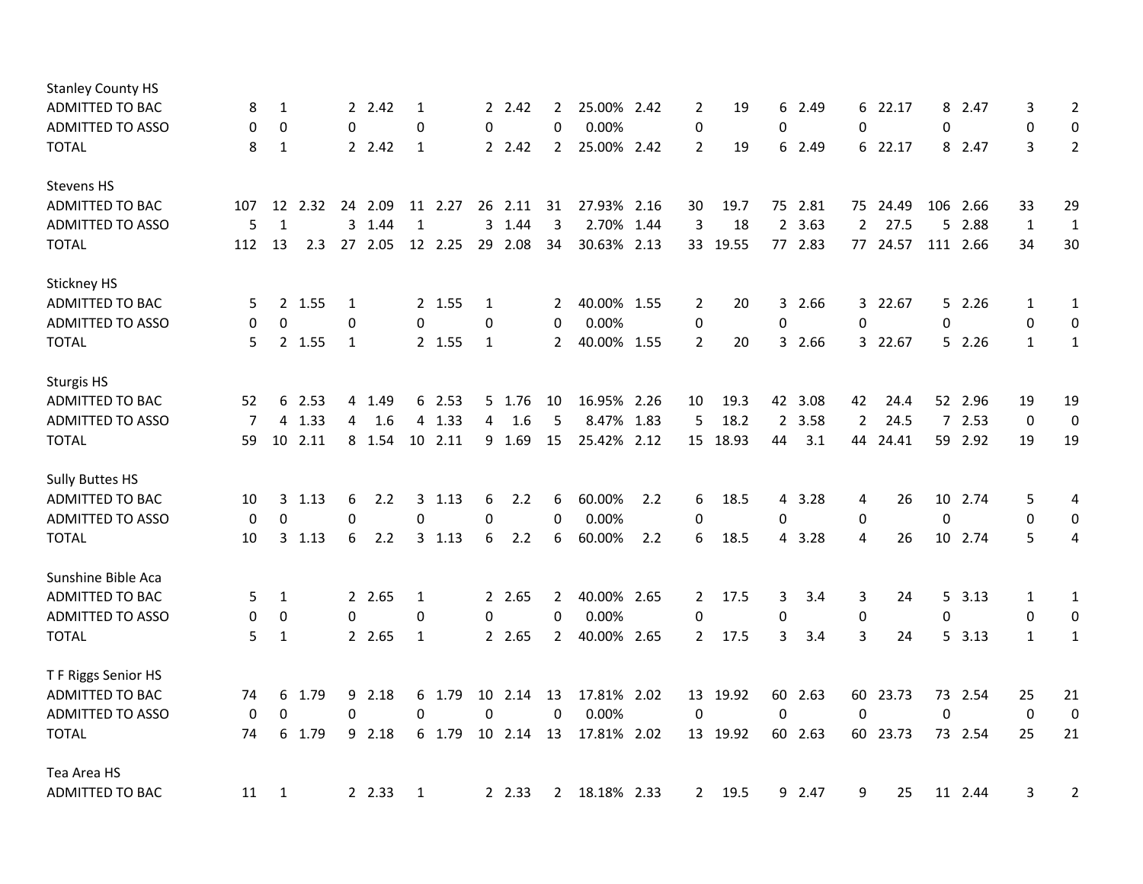| <b>Stanley County HS</b> |             |              |        |    |        |              |         |             |         |                |             |      |                |          |                |         |                |          |             |          |              |                  |
|--------------------------|-------------|--------------|--------|----|--------|--------------|---------|-------------|---------|----------------|-------------|------|----------------|----------|----------------|---------|----------------|----------|-------------|----------|--------------|------------------|
| ADMITTED TO BAC          | 8           | $\mathbf{1}$ |        |    | 2 2.42 | 1            |         |             | 2 2.42  | 2              | 25.00% 2.42 |      | 2              | 19       | 6              | 2.49    |                | 6 22.17  |             | 8 2.47   | 3            | $\overline{2}$   |
| <b>ADMITTED TO ASSO</b>  | 0           | $\mathbf 0$  |        | 0  |        | 0            |         | 0           |         | 0              | 0.00%       |      | 0              |          | 0              |         | $\mathbf 0$    |          | 0           |          | 0            | 0                |
| <b>TOTAL</b>             | 8           | 1            |        |    | 2 2.42 | 1            |         |             | 2 2.42  | $\overline{2}$ | 25.00% 2.42 |      | $\overline{2}$ | 19       | 6              | 2.49    |                | 6 22.17  |             | 8 2.47   | 3            | $\overline{2}$   |
| <b>Stevens HS</b>        |             |              |        |    |        |              |         |             |         |                |             |      |                |          |                |         |                |          |             |          |              |                  |
| <b>ADMITTED TO BAC</b>   | 107         | 12           | 2.32   | 24 | 2.09   | 11           | 2.27    |             | 26 2.11 | 31             | 27.93% 2.16 |      | 30             | 19.7     | 75             | 2.81    |                | 75 24.49 | 106         | 2.66     | 33           | 29               |
| <b>ADMITTED TO ASSO</b>  | 5           | $\mathbf{1}$ |        |    | 3 1.44 | 1            |         |             | 3 1.44  | 3              | 2.70% 1.44  |      | 3              | 18       | $2^{\circ}$    | 3.63    | $\overline{2}$ | 27.5     | 5           | 2.88     | $\mathbf{1}$ | $\mathbf 1$      |
| <b>TOTAL</b>             | 112         | 13           | 2.3    | 27 | 2.05   |              | 12 2.25 | 29          | 2.08    | 34             | 30.63% 2.13 |      | 33             | 19.55    |                | 77 2.83 |                | 77 24.57 |             | 111 2.66 | 34           | 30               |
| Stickney HS              |             |              |        |    |        |              |         |             |         |                |             |      |                |          |                |         |                |          |             |          |              |                  |
| ADMITTED TO BAC          | 5           |              | 2 1.55 | 1  |        |              | 2 1.55  | 1           |         | 2              | 40.00% 1.55 |      | 2              | 20       | 3              | 2.66    |                | 3 22.67  |             | 5 2.26   | 1            | 1                |
| <b>ADMITTED TO ASSO</b>  | 0           | $\mathbf 0$  |        | 0  |        | $\mathbf{0}$ |         | 0           |         | $\mathbf 0$    | 0.00%       |      | 0              |          | 0              |         | 0              |          | 0           |          | $\mathbf 0$  | $\boldsymbol{0}$ |
| <b>TOTAL</b>             | 5           |              | 2 1.55 | 1  |        |              | 2 1.55  | 1           |         | 2              | 40.00% 1.55 |      | $\overline{2}$ | 20       |                | 3 2.66  |                | 3 22.67  |             | 52.26    | $\mathbf{1}$ | $\mathbf{1}$     |
| <b>Sturgis HS</b>        |             |              |        |    |        |              |         |             |         |                |             |      |                |          |                |         |                |          |             |          |              |                  |
| ADMITTED TO BAC          | 52          | 6            | 2.53   |    | 4 1.49 |              | 6 2.53  |             | 5 1.76  | 10             | 16.95% 2.26 |      | 10             | 19.3     |                | 42 3.08 | 42             | 24.4     |             | 52 2.96  | 19           | 19               |
| <b>ADMITTED TO ASSO</b>  | 7           | 4            | 1.33   | 4  | 1.6    |              | 4 1.33  | 4           | 1.6     | 5              | 8.47%       | 1.83 | 5              | 18.2     | $\overline{2}$ | 3.58    | $\overline{2}$ | 24.5     |             | 72.53    | $\mathbf 0$  | $\boldsymbol{0}$ |
| <b>TOTAL</b>             | 59          | 10           | 2.11   |    | 8 1.54 |              | 10 2.11 |             | 9 1.69  | 15             | 25.42% 2.12 |      | 15             | 18.93    | 44             | 3.1     | 44             | 24.41    |             | 59 2.92  | 19           | 19               |
| <b>Sully Buttes HS</b>   |             |              |        |    |        |              |         |             |         |                |             |      |                |          |                |         |                |          |             |          |              |                  |
| ADMITTED TO BAC          | 10          | 3            | 1.13   | 6  | 2.2    |              | 3, 1.13 | 6           | 2.2     | 6              | 60.00%      | 2.2  | 6              | 18.5     | 4              | 3.28    | 4              | 26       |             | 10 2.74  | 5            | 4                |
| <b>ADMITTED TO ASSO</b>  | $\mathbf 0$ | 0            |        | 0  |        | 0            |         | $\Omega$    |         | $\Omega$       | 0.00%       |      | 0              |          | 0              |         | $\mathbf 0$    |          | 0           |          | 0            | 0                |
| <b>TOTAL</b>             | 10          | 3            | 1.13   | 6  | 2.2    |              | 3, 1.13 | 6           | 2.2     | 6              | 60.00%      | 2.2  | 6              | 18.5     | 4              | 3.28    | 4              | 26       |             | 10 2.74  | 5            | 4                |
| Sunshine Bible Aca       |             |              |        |    |        |              |         |             |         |                |             |      |                |          |                |         |                |          |             |          |              |                  |
| ADMITTED TO BAC          | 5           | $\mathbf{1}$ |        |    | 2 2.65 | 1            |         |             | 2 2.65  | $\mathbf{2}$   | 40.00% 2.65 |      | $\mathbf{2}$   | 17.5     | 3              | 3.4     | 3              | 24       |             | 5, 3.13  | 1            | $\mathbf{1}$     |
| <b>ADMITTED TO ASSO</b>  | 0           | 0            |        | 0  |        | 0            |         | 0           |         | 0              | 0.00%       |      | 0              |          | 0              |         | $\pmb{0}$      |          | $\mathbf 0$ |          | 0            | 0                |
| <b>TOTAL</b>             | 5           | $\mathbf{1}$ |        |    | 2 2.65 | 1            |         |             | 2 2.65  | $\overline{2}$ | 40.00% 2.65 |      | $\mathbf{2}$   | 17.5     | 3              | 3.4     | 3              | 24       |             | 5 3.13   | 1            | $\mathbf{1}$     |
| T F Riggs Senior HS      |             |              |        |    |        |              |         |             |         |                |             |      |                |          |                |         |                |          |             |          |              |                  |
| ADMITTED TO BAC          | 74          | 6            | 1.79   | 9  | 2.18   |              | 6 1.79  |             | 10 2.14 | 13             | 17.81% 2.02 |      |                | 13 19.92 |                | 60 2.63 | 60             | 23.73    |             | 73 2.54  | 25           | 21               |
| <b>ADMITTED TO ASSO</b>  | 0           | $\mathbf 0$  |        | 0  |        | 0            |         | $\mathbf 0$ |         | 0              | 0.00%       |      | 0              |          | $\mathbf 0$    |         | $\mathbf 0$    |          | 0           |          | $\mathbf 0$  | $\boldsymbol{0}$ |
| <b>TOTAL</b>             | 74          | 6            | 1.79   |    | 9 2.18 |              | 6 1.79  |             | 10 2.14 | 13             | 17.81% 2.02 |      |                | 13 19.92 |                | 60 2.63 | 60             | 23.73    |             | 73 2.54  | 25           | 21               |
| Tea Area HS              |             |              |        |    |        |              |         |             |         |                |             |      |                |          |                |         |                |          |             |          |              |                  |
| <b>ADMITTED TO BAC</b>   | 11          | 1            |        |    | 2 2.33 | 1            |         |             | 2.33    | $\mathbf{2}$   | 18.18% 2.33 |      | $\mathbf{2}$   | 19.5     | 9              | 2.47    | 9              | 25       |             | 11 2.44  | 3            | $\overline{2}$   |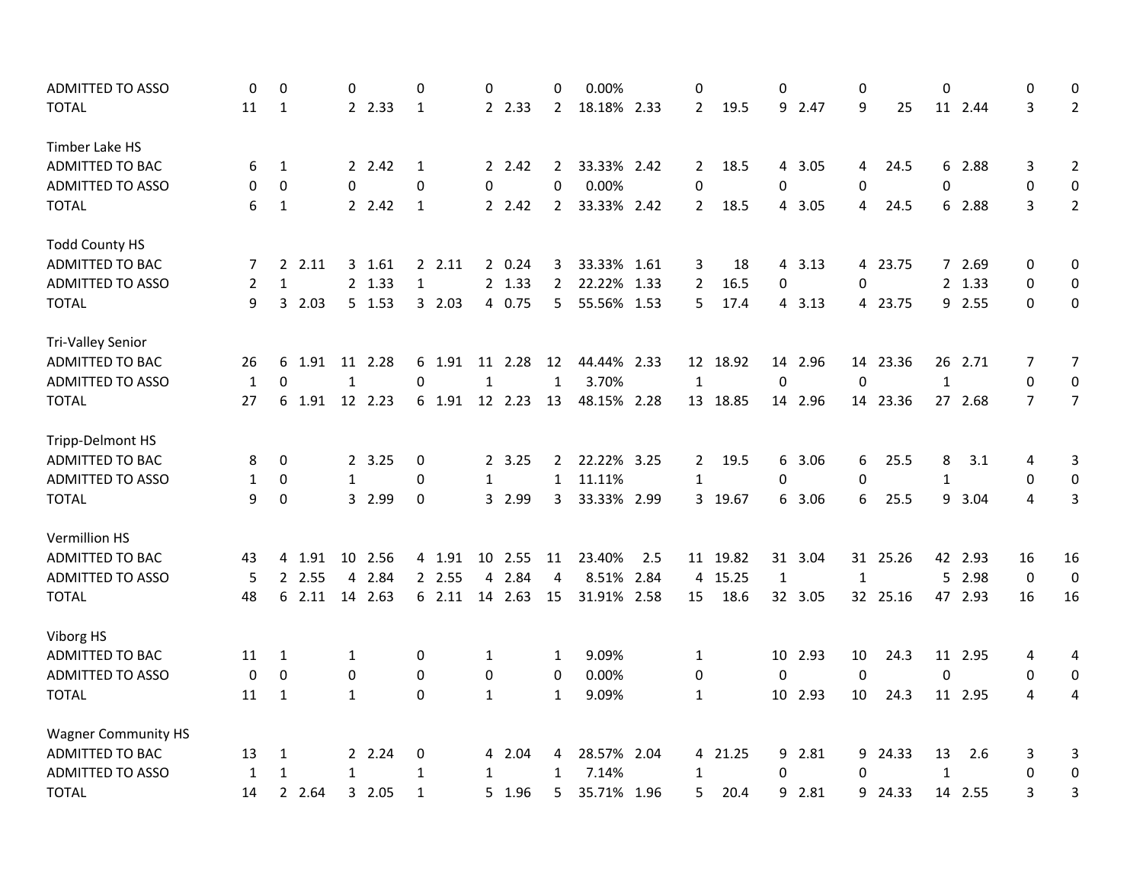| <b>ADMITTED TO ASSO</b>    | 0            | $\mathbf 0$      | 0            |         | $\mathbf 0$  | 0            |         | 0              | 0.00%       |      | 0              |          | 0                |         | 0            |          | 0            |         | 0                | 0                |
|----------------------------|--------------|------------------|--------------|---------|--------------|--------------|---------|----------------|-------------|------|----------------|----------|------------------|---------|--------------|----------|--------------|---------|------------------|------------------|
| <b>TOTAL</b>               | 11           | 1                |              | 2 2.33  | 1            |              | 2 2.33  | $\mathbf{2}$   | 18.18% 2.33 |      | $\overline{2}$ | 19.5     |                  | 9 2.47  | 9            | 25       |              | 11 2.44 | 3                | $\overline{2}$   |
| Timber Lake HS             |              |                  |              |         |              |              |         |                |             |      |                |          |                  |         |              |          |              |         |                  |                  |
| <b>ADMITTED TO BAC</b>     | 6            | 1                |              | 2 2.42  | 1            |              | 2 2.42  | $\overline{2}$ | 33.33% 2.42 |      | $\mathbf{2}$   | 18.5     |                  | 4 3.05  | 4            | 24.5     |              | 6 2.88  | 3                | $\overline{2}$   |
| <b>ADMITTED TO ASSO</b>    | 0            | $\mathbf 0$      | 0            |         | $\mathbf 0$  | 0            |         | $\Omega$       | 0.00%       |      | 0              |          | 0                |         | 0            |          | 0            |         | 0                | $\pmb{0}$        |
| <b>TOTAL</b>               | 6            | $\mathbf{1}$     |              | 2 2.42  | 1            |              | 2.42    | $\overline{2}$ | 33.33% 2.42 |      | $\overline{2}$ | 18.5     | $\overline{4}$   | 3.05    | 4            | 24.5     |              | 6 2.88  | 3                | $2^{\circ}$      |
| <b>Todd County HS</b>      |              |                  |              |         |              |              |         |                |             |      |                |          |                  |         |              |          |              |         |                  |                  |
| ADMITTED TO BAC            | 7            | 2, 2.11          |              | 3 1.61  | 2.11         |              | 2 0.24  | 3              | 33.33% 1.61 |      | 3              | 18       |                  | 4 3.13  |              | 4 23.75  |              | 7 2.69  | 0                | 0                |
| <b>ADMITTED TO ASSO</b>    | 2            | $\mathbf{1}$     |              | 2 1.33  | $\mathbf{1}$ |              | 2 1.33  | $\overline{2}$ | 22.22%      | 1.33 | $\overline{2}$ | 16.5     | 0                |         | 0            |          |              | 2 1.33  | 0                | $\pmb{0}$        |
| <b>TOTAL</b>               | 9            | 2.03<br>3        |              | 5 1.53  | 3 2.03       |              | 4 0.75  | 5              | 55.56% 1.53 |      | 5              | 17.4     |                  | 4 3.13  |              | 4 23.75  |              | 9 2.55  | $\Omega$         | $\pmb{0}$        |
| <b>Tri-Valley Senior</b>   |              |                  |              |         |              |              |         |                |             |      |                |          |                  |         |              |          |              |         |                  |                  |
| ADMITTED TO BAC            | 26           | 6 1.91           |              | 11 2.28 | 6 1.91       |              | 11 2.28 | 12             | 44.44% 2.33 |      |                | 12 18.92 |                  | 14 2.96 |              | 14 23.36 |              | 26 2.71 | 7                | $\overline{7}$   |
| ADMITTED TO ASSO           | $\mathbf{1}$ | $\Omega$         | $\mathbf{1}$ |         | $\Omega$     | $\mathbf{1}$ |         | $\mathbf{1}$   | 3.70%       |      | $\mathbf{1}$   |          | $\boldsymbol{0}$ |         | $\mathbf{0}$ |          | $\mathbf{1}$ |         | 0                | $\pmb{0}$        |
| <b>TOTAL</b>               | 27           | 6 1.91           |              | 12 2.23 | 6 1.91       |              | 12 2.23 | 13             | 48.15% 2.28 |      |                | 13 18.85 |                  | 14 2.96 |              | 14 23.36 |              | 27 2.68 | $\overline{7}$   | $\overline{7}$   |
| Tripp-Delmont HS           |              |                  |              |         |              |              |         |                |             |      |                |          |                  |         |              |          |              |         |                  |                  |
| <b>ADMITTED TO BAC</b>     | 8            | 0                |              | 2 3.25  | 0            |              | 2 3.25  | $2^{\circ}$    | 22.22% 3.25 |      | $\mathbf{2}$   | 19.5     | 6                | 3.06    | 6            | 25.5     | 8            | 3.1     | 4                | 3                |
| <b>ADMITTED TO ASSO</b>    | 1            | 0                | $\mathbf{1}$ |         | 0            | 1            |         | $\mathbf{1}$   | 11.11%      |      | $\mathbf{1}$   |          | 0                |         | $\mathbf 0$  |          | 1            |         | 0                | 0                |
| <b>TOTAL</b>               | 9            | $\boldsymbol{0}$ |              | 3 2.99  | $\pmb{0}$    |              | 3 2.99  | 3              | 33.33% 2.99 |      |                | 3 19.67  |                  | 6 3.06  | 6            | 25.5     | 9            | 3.04    | 4                | 3                |
| Vermillion HS              |              |                  |              |         |              |              |         |                |             |      |                |          |                  |         |              |          |              |         |                  |                  |
| ADMITTED TO BAC            | 43           | 4 1.91           |              | 10 2.56 | 4 1.91       |              | 10 2.55 | 11             | 23.40%      | 2.5  |                | 11 19.82 |                  | 31 3.04 |              | 31 25.26 |              | 42 2.93 | 16               | 16               |
| <b>ADMITTED TO ASSO</b>    | 5            | 2 2.55           | 4            | 2.84    | 2 2.55       | 4            | 2.84    | 4              | 8.51%       | 2.84 | 4              | 15.25    | $\mathbf{1}$     |         | $\mathbf{1}$ |          | 5            | 2.98    | $\boldsymbol{0}$ | $\boldsymbol{0}$ |
| <b>TOTAL</b>               | 48           | 2.11<br>6        | 14           | 2.63    | 62.11        |              | 14 2.63 | 15             | 31.91% 2.58 |      | 15             | 18.6     |                  | 32 3.05 |              | 32 25.16 |              | 47 2.93 | 16               | 16               |
| Viborg HS                  |              |                  |              |         |              |              |         |                |             |      |                |          |                  |         |              |          |              |         |                  |                  |
| ADMITTED TO BAC            | 11           | 1                | $\mathbf{1}$ |         | 0            | 1            |         | 1              | 9.09%       |      | $\mathbf{1}$   |          |                  | 10 2.93 | 10           | 24.3     |              | 11 2.95 | 4                | 4                |
| <b>ADMITTED TO ASSO</b>    | 0            | $\mathbf 0$      | 0            |         | 0            | 0            |         | $\mathbf 0$    | 0.00%       |      | 0              |          | $\mathbf 0$      |         | 0            |          | $\mathbf 0$  |         | 0                | 0                |
| <b>TOTAL</b>               | 11           | $\mathbf{1}$     | $\mathbf{1}$ |         | 0            | $\mathbf{1}$ |         | $\mathbf{1}$   | 9.09%       |      | $\mathbf{1}$   |          | 10 <sup>1</sup>  | 2.93    | 10           | 24.3     |              | 11 2.95 | 4                | 4                |
| <b>Wagner Community HS</b> |              |                  |              |         |              |              |         |                |             |      |                |          |                  |         |              |          |              |         |                  |                  |
| ADMITTED TO BAC            | 13           | 1                |              | 2 2.24  | 0            |              | 4 2.04  | 4              | 28.57% 2.04 |      |                | 4 21.25  | 9                | 2.81    | 9            | 24.33    | 13           | 2.6     | 3                | 3                |
| ADMITTED TO ASSO           | 1            | $\mathbf{1}$     | $\mathbf{1}$ |         | $\mathbf{1}$ | $\mathbf{1}$ |         | $\mathbf{1}$   | 7.14%       |      | $\mathbf{1}$   |          | 0                |         | $\Omega$     |          | $\mathbf{1}$ |         | 0                | $\boldsymbol{0}$ |
| <b>TOTAL</b>               | 14           | 2 2.64           |              | 3 2.05  | $\mathbf{1}$ |              | 5 1.96  | 5              | 35.71% 1.96 |      | 5              | 20.4     | 9                | 2.81    | 9            | 24.33    |              | 14 2.55 | 3                | 3                |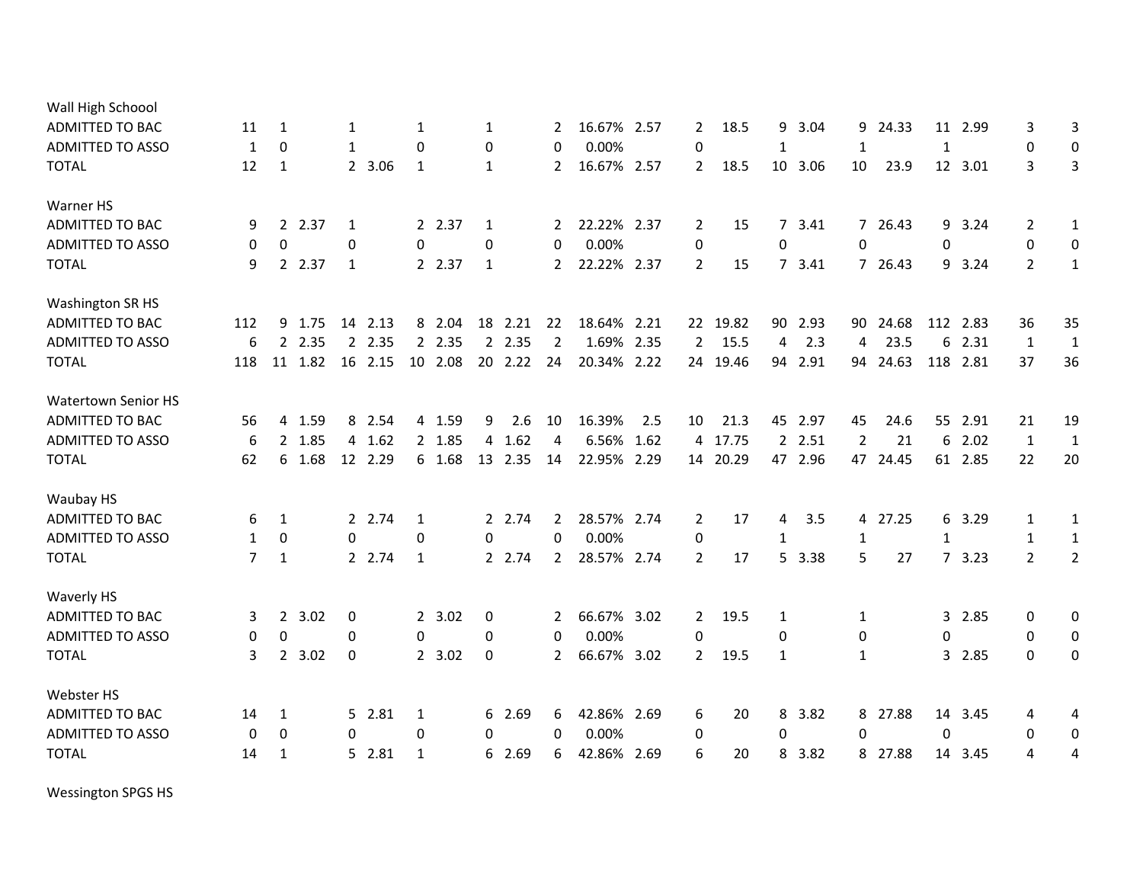| Wall High Schoool          |                |                  |         |              |         |              |         |                |         |                |             |      |                |          |              |         |             |          |    |          |                  |                |
|----------------------------|----------------|------------------|---------|--------------|---------|--------------|---------|----------------|---------|----------------|-------------|------|----------------|----------|--------------|---------|-------------|----------|----|----------|------------------|----------------|
| <b>ADMITTED TO BAC</b>     | 11             | 1                |         | 1            |         | 1            |         | 1              |         | 2              | 16.67% 2.57 |      | $\overline{2}$ | 18.5     | 9            | 3.04    | 9           | 24.33    | 11 | 2.99     | 3                | 3              |
| <b>ADMITTED TO ASSO</b>    | 1              | $\Omega$         |         | $\mathbf{1}$ |         | $\mathbf{0}$ |         | $\mathbf 0$    |         | 0              | 0.00%       |      | $\Omega$       |          | $\mathbf{1}$ |         | 1           |          | 1  |          | 0                | 0              |
| <b>TOTAL</b>               | 12             | 1                |         |              | 2 3.06  | $\mathbf{1}$ |         | 1              |         | $\mathbf{2}$   | 16.67% 2.57 |      | $\overline{2}$ | 18.5     |              | 10 3.06 | 10          | 23.9     |    | 12 3.01  | 3                | 3              |
| Warner HS                  |                |                  |         |              |         |              |         |                |         |                |             |      |                |          |              |         |             |          |    |          |                  |                |
| <b>ADMITTED TO BAC</b>     | 9              |                  | 2 2.37  | 1            |         |              | 2 2.37  | 1              |         | $2^{\circ}$    | 22.22% 2.37 |      | $\overline{2}$ | 15       |              | 7 3.41  |             | 7 26.43  | 9  | 3.24     | $\overline{2}$   | $\mathbf{1}$   |
| <b>ADMITTED TO ASSO</b>    | 0              | $\boldsymbol{0}$ |         | 0            |         | 0            |         | $\pmb{0}$      |         | $\Omega$       | 0.00%       |      | 0              |          | 0            |         | 0           |          | 0  |          | $\boldsymbol{0}$ | 0              |
| <b>TOTAL</b>               | 9              |                  | 2 2.37  | 1            |         |              | 2 2.37  | 1              |         | $\mathbf{2}$   | 22.22% 2.37 |      | $\overline{2}$ | 15       |              | 7 3.41  |             | 7 26.43  | 9  | 3.24     | $\overline{2}$   | $\mathbf{1}$   |
| Washington SR HS           |                |                  |         |              |         |              |         |                |         |                |             |      |                |          |              |         |             |          |    |          |                  |                |
| ADMITTED TO BAC            | 112            | 9                | 1.75    | 14           | 2.13    |              | 8 2.04  | 18             | 2.21    | 22             | 18.64%      | 2.21 | 22             | 19.82    | 90           | 2.93    | 90          | 24.68    |    | 112 2.83 | 36               | 35             |
| <b>ADMITTED TO ASSO</b>    | 6              |                  | 2 2.35  |              | 2 2.35  |              | 2 2.35  |                | 2 2.35  | $\overline{2}$ | 1.69%       | 2.35 | $\overline{2}$ | 15.5     | 4            | 2.3     | 4           | 23.5     | 6  | 2.31     | 1                | $\mathbf{1}$   |
| <b>TOTAL</b>               | 118            |                  | 11 1.82 |              | 16 2.15 |              | 10 2.08 |                | 20 2.22 | 24             | 20.34% 2.22 |      | 24             | 19.46    | 94           | 2.91    |             | 94 24.63 |    | 118 2.81 | 37               | 36             |
| <b>Watertown Senior HS</b> |                |                  |         |              |         |              |         |                |         |                |             |      |                |          |              |         |             |          |    |          |                  |                |
| ADMITTED TO BAC            | 56             | 4                | 1.59    |              | 8 2.54  |              | 4 1.59  | 9              | 2.6     | 10             | 16.39%      | 2.5  | 10             | 21.3     | 45           | 2.97    | 45          | 24.6     | 55 | 2.91     | 21               | 19             |
| <b>ADMITTED TO ASSO</b>    | 6              |                  | 2 1.85  |              | 4 1.62  |              | 2 1.85  | $\overline{4}$ | 1.62    | 4              | 6.56%       | 1.62 |                | 4 17.75  |              | 2 2.51  | 2           | 21       | 6  | 2.02     | $\mathbf{1}$     | $\mathbf{1}$   |
| <b>TOTAL</b>               | 62             |                  | 6 1.68  |              | 12 2.29 |              | 6 1.68  |                | 13 2.35 | 14             | 22.95% 2.29 |      |                | 14 20.29 |              | 47 2.96 |             | 47 24.45 |    | 61 2.85  | 22               | 20             |
| Waubay HS                  |                |                  |         |              |         |              |         |                |         |                |             |      |                |          |              |         |             |          |    |          |                  |                |
| ADMITTED TO BAC            | 6              | 1                |         |              | 2 2.74  | $\mathbf 1$  |         |                | 2 2.74  | $\overline{2}$ | 28.57% 2.74 |      | 2              | 17       | 4            | 3.5     |             | 4 27.25  |    | 6 3.29   | 1                | 1              |
| <b>ADMITTED TO ASSO</b>    | 1              | $\boldsymbol{0}$ |         | 0            |         | 0            |         | 0              |         | $\Omega$       | 0.00%       |      | 0              |          | 1            |         | 1           |          | 1  |          | 1                | $\mathbf{1}$   |
| <b>TOTAL</b>               | $\overline{7}$ | $\mathbf{1}$     |         |              | 2 2.74  | $\mathbf{1}$ |         |                | 2 2.74  | $\mathbf{2}$   | 28.57% 2.74 |      | $\overline{2}$ | 17       |              | 5 3.38  | 5           | 27       |    | 73.23    | $\overline{2}$   | $\overline{2}$ |
| Waverly HS                 |                |                  |         |              |         |              |         |                |         |                |             |      |                |          |              |         |             |          |    |          |                  |                |
| ADMITTED TO BAC            | 3              |                  | 2 3.02  | 0            |         |              | 2, 3.02 | 0              |         | 2              | 66.67% 3.02 |      | $\mathbf{2}$   | 19.5     | 1            |         | 1           |          |    | 3 2.85   | 0                | 0              |
| <b>ADMITTED TO ASSO</b>    | 0              | $\boldsymbol{0}$ |         | 0            |         | 0            |         | $\mathbf 0$    |         | $\mathbf{0}$   | 0.00%       |      | 0              |          | 0            |         | $\mathbf 0$ |          | 0  |          | 0                | 0              |
| <b>TOTAL</b>               | 3              | $2^{\circ}$      | 3.02    | $\mathbf 0$  |         |              | 2 3.02  | $\mathbf 0$    |         | $\mathbf{2}$   | 66.67% 3.02 |      | $\overline{2}$ | 19.5     | 1            |         | 1           |          |    | 3 2.85   | $\Omega$         | 0              |
| Webster HS                 |                |                  |         |              |         |              |         |                |         |                |             |      |                |          |              |         |             |          |    |          |                  |                |
| ADMITTED TO BAC            | 14             | 1                |         |              | 5 2.81  | 1            |         |                | 6 2.69  | 6              | 42.86% 2.69 |      | 6              | 20       | 8            | 3.82    |             | 8 27.88  | 14 | 3.45     | 4                | 4              |
| <b>ADMITTED TO ASSO</b>    | 0              | 0                |         | 0            |         | $\mathbf 0$  |         | 0              |         | $\Omega$       | 0.00%       |      | 0              |          | 0            |         | 0           |          | 0  |          | 0                | 0              |
| <b>TOTAL</b>               | 14             | 1                |         |              | 5 2.81  | 1            |         |                | 6 2.69  | 6              | 42.86% 2.69 |      | 6              | 20       | 8            | 3.82    |             | 8 27.88  |    | 14 3.45  | 4                | 4              |
|                            |                |                  |         |              |         |              |         |                |         |                |             |      |                |          |              |         |             |          |    |          |                  |                |

Wessington SPGS HS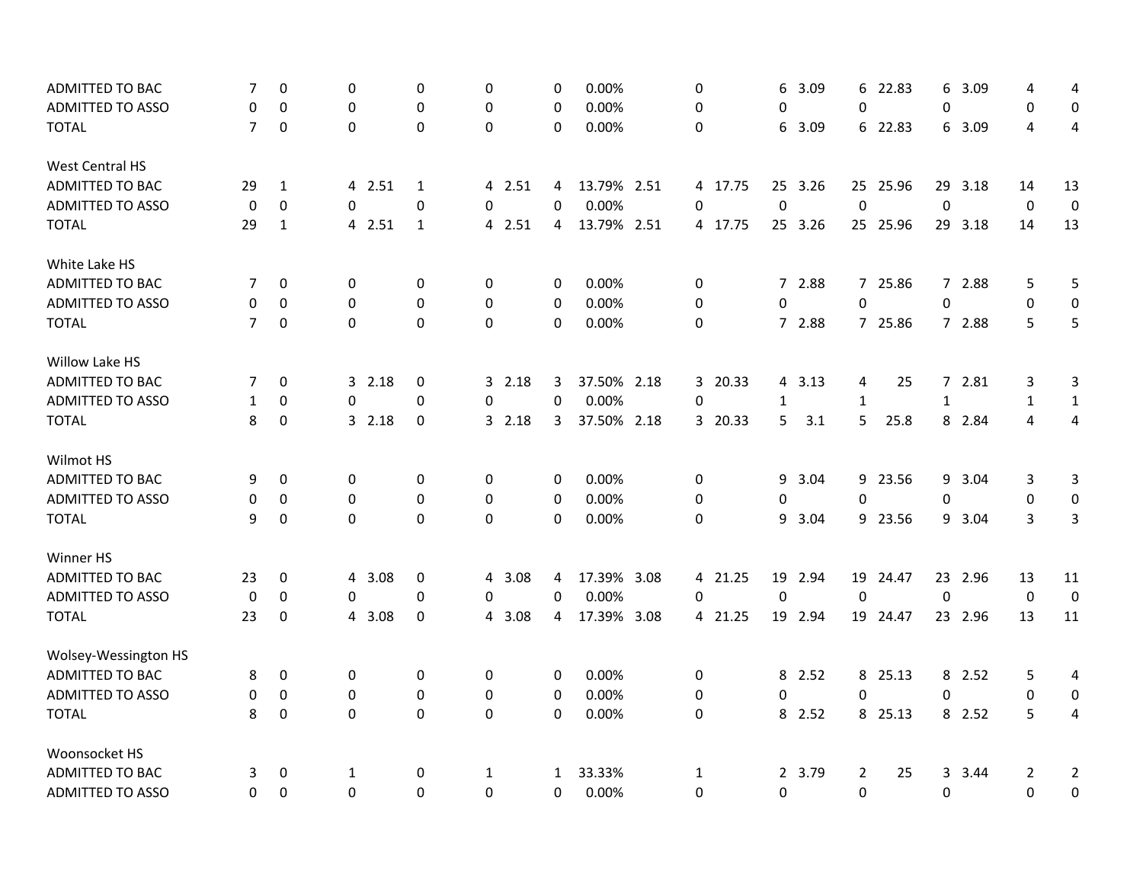| ADMITTED TO BAC         | 7              | 0                | 0            | 0            | 0                | 0            | 0.00%       | 0            |         | 6            | 3.09    | 6              | 22.83    | 6            | 3.09    | 4              | 4                       |
|-------------------------|----------------|------------------|--------------|--------------|------------------|--------------|-------------|--------------|---------|--------------|---------|----------------|----------|--------------|---------|----------------|-------------------------|
| <b>ADMITTED TO ASSO</b> | 0              | 0                | 0            | 0            | 0                | 0            | 0.00%       | 0            |         | 0            |         | 0              |          | 0            |         | 0              | $\boldsymbol{0}$        |
| <b>TOTAL</b>            | $\overline{7}$ | $\boldsymbol{0}$ | $\pmb{0}$    | $\Omega$     | $\mathbf{0}$     | $\Omega$     | 0.00%       | 0            |         | 6            | 3.09    |                | 6 22.83  |              | 6 3.09  | 4              | $\overline{4}$          |
| <b>West Central HS</b>  |                |                  |              |              |                  |              |             |              |         |              |         |                |          |              |         |                |                         |
| ADMITTED TO BAC         | 29             | $\mathbf{1}$     | 4 2.51       | $\mathbf{1}$ | 4 2.51           | 4            | 13.79% 2.51 |              | 4 17.75 |              | 25 3.26 |                | 25 25.96 |              | 29 3.18 | 14             | 13                      |
| <b>ADMITTED TO ASSO</b> | 0              | $\mathbf 0$      | 0            | 0            | $\Omega$         | $\Omega$     | 0.00%       | 0            |         | $\mathbf 0$  |         | $\mathbf 0$    |          | 0            |         | $\mathbf 0$    | $\mathbf 0$             |
| <b>TOTAL</b>            | 29             | $\mathbf{1}$     | 4 2.51       | $\mathbf{1}$ | 4 2.51           | 4            | 13.79% 2.51 |              | 4 17.75 |              | 25 3.26 |                | 25 25.96 |              | 29 3.18 | 14             | 13                      |
| White Lake HS           |                |                  |              |              |                  |              |             |              |         |              |         |                |          |              |         |                |                         |
| ADMITTED TO BAC         | 7              | $\mathbf 0$      | 0            | 0            | 0                | 0            | 0.00%       | 0            |         |              | 7 2.88  |                | 7 25.86  |              | 7 2.88  | 5              | 5                       |
| <b>ADMITTED TO ASSO</b> | 0              | 0                | 0            | 0            | 0                | 0            | 0.00%       | 0            |         | 0            |         | 0              |          | 0            |         | 0              | 0                       |
| <b>TOTAL</b>            | $\overline{7}$ | $\mathbf 0$      | $\mathbf 0$  | $\mathbf 0$  | $\mathbf 0$      | $\mathbf 0$  | 0.00%       | 0            |         |              | 7 2.88  |                | 7 25.86  |              | 7 2.88  | 5              | 5                       |
| Willow Lake HS          |                |                  |              |              |                  |              |             |              |         |              |         |                |          |              |         |                |                         |
| ADMITTED TO BAC         | 7              | 0                | 32.18        | 0            | 32.18            | 3            | 37.50% 2.18 |              | 3 20.33 |              | 4 3.13  | 4              | 25       |              | 7 2.81  | 3              | 3                       |
| <b>ADMITTED TO ASSO</b> | 1              | 0                | 0            | 0            | 0                | 0            | 0.00%       | $\Omega$     |         | $\mathbf{1}$ |         | $\mathbf{1}$   |          | $\mathbf{1}$ |         | $\mathbf{1}$   | $\mathbf{1}$            |
| <b>TOTAL</b>            | 8              | 0                | 32.18        | 0            | 32.18            | 3            | 37.50% 2.18 |              | 3 20.33 | 5            | 3.1     | 5              | 25.8     |              | 8 2.84  | 4              | $\overline{4}$          |
| Wilmot HS               |                |                  |              |              |                  |              |             |              |         |              |         |                |          |              |         |                |                         |
| <b>ADMITTED TO BAC</b>  | 9              | 0                | 0            | 0            | 0                | 0            | 0.00%       | 0            |         |              | 9 3.04  |                | 9 23.56  |              | 9 3.04  | 3              | 3                       |
| ADMITTED TO ASSO        | 0              | 0                | 0            | $\mathbf 0$  | 0                | 0            | 0.00%       | 0            |         | 0            |         | 0              |          | 0            |         | $\mathbf 0$    | $\pmb{0}$               |
| <b>TOTAL</b>            | 9              | $\boldsymbol{0}$ | $\mathbf{0}$ | $\mathbf 0$  | $\mathbf{0}$     | $\Omega$     | 0.00%       | $\Omega$     |         |              | 9 3.04  |                | 9 23.56  |              | 9 3.04  | 3              | $\overline{3}$          |
| Winner HS               |                |                  |              |              |                  |              |             |              |         |              |         |                |          |              |         |                |                         |
| ADMITTED TO BAC         | 23             | 0                | 4 3.08       | 0            | 4 3.08           | 4            | 17.39% 3.08 |              | 4 21.25 |              | 19 2.94 |                | 19 24.47 |              | 23 2.96 | 13             | 11                      |
| <b>ADMITTED TO ASSO</b> | 0              | 0                | 0            | 0            | 0                | 0            | 0.00%       | $\Omega$     |         | $\mathbf 0$  |         | $\mathbf 0$    |          | 0            |         | $\mathbf 0$    | $\mathbf 0$             |
| <b>TOTAL</b>            | 23             | 0                | 4 3.08       | 0            | 4 3.08           | 4            | 17.39% 3.08 |              | 4 21.25 |              | 19 2.94 |                | 19 24.47 |              | 23 2.96 | 13             | 11                      |
| Wolsey-Wessington HS    |                |                  |              |              |                  |              |             |              |         |              |         |                |          |              |         |                |                         |
| <b>ADMITTED TO BAC</b>  | 8              | 0                | 0            | 0            | 0                | 0            | 0.00%       | 0            |         |              | 8 2.52  |                | 8 25.13  |              | 8 2.52  | 5              | 4                       |
| <b>ADMITTED TO ASSO</b> | 0              | 0                | 0            | 0            | 0                | 0            | 0.00%       | 0            |         | $\mathbf 0$  |         | 0              |          | 0            |         | 0              | 0                       |
| <b>TOTAL</b>            | 8              | $\boldsymbol{0}$ | $\pmb{0}$    | $\Omega$     | $\boldsymbol{0}$ | $\Omega$     | 0.00%       | $\Omega$     |         |              | 8 2.52  |                | 8 25.13  |              | 8 2.52  | 5              | $\overline{\mathbf{4}}$ |
| Woonsocket HS           |                |                  |              |              |                  |              |             |              |         |              |         |                |          |              |         |                |                         |
| ADMITTED TO BAC         | 3              | 0                | 1            | 0            | $\mathbf{1}$     | $\mathbf{1}$ | 33.33%      | $\mathbf{1}$ |         |              | 2 3.79  | $\overline{2}$ | 25       |              | 3 3.44  | $\overline{2}$ | $\overline{2}$          |
| <b>ADMITTED TO ASSO</b> | 0              | $\mathbf 0$      | 0            | $\Omega$     | $\mathbf 0$      | $\mathbf 0$  | 0.00%       | 0            |         | 0            |         | 0              |          | 0            |         | 0              | 0                       |